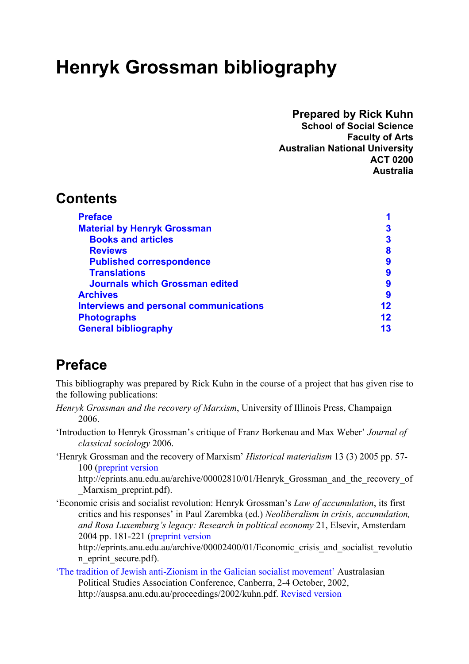# <span id="page-0-0"></span>**Henryk Grossman bibliography**

#### **Prepared by Rick Kuhn**

**School of Social Science Faculty of Arts Australian National University ACT 0200 Australia** 

## **Contents**

| <b>Preface</b>                                |    |
|-----------------------------------------------|----|
| <b>Material by Henryk Grossman</b>            |    |
| <b>Books and articles</b>                     | 3  |
| <b>Reviews</b>                                | 8  |
| <b>Published correspondence</b>               | 9  |
| <b>Translations</b>                           | 9  |
| <b>Journals which Grossman edited</b>         | 9  |
| <b>Archives</b>                               | 9  |
| <b>Interviews and personal communications</b> | 12 |
| <b>Photographs</b>                            | 12 |
| <b>General bibliography</b>                   | 13 |

# **Preface**

This bibliography was prepared by Rick Kuhn in the course of a project that has given rise to the following publications:

- *Henryk Grossman and the recovery of Marxism*, University of Illinois Press, Champaign 2006.
- 'Introduction to Henryk Grossman's critique of Franz Borkenau and Max Weber' *Journal of classical sociology* 2006.
- 'Henryk Grossman and the recovery of Marxism' *Historical materialism* 13 (3) 2005 pp. 57- 100 [\(preprint version](http://eprints.anu.edu.au/archive/00002810/01/Henryk_Grossman_and_the_recovery_of_Marxism_preprint.pdf)

http://eprints.anu.edu.au/archive/00002810/01/Henryk Grossman and the recovery of Marxism preprint.pdf).

'Economic crisis and socialist revolution: Henryk Grossman's *Law of accumulation*, its first critics and his responses' in Paul Zarembka (ed.) *Neoliberalism in crisis, accumulation, and Rosa Luxemburg's legacy: Research in political economy* 21, Elsevir, Amsterdam 2004 pp. 181-221 [\(preprint version](http://eprints.anu.edu.au/archive/00002400/01/Economic_crisis_and_socialist_revolution_eprint_secure.pdf)

http://eprints.anu.edu.au/archive/00002400/01/Economic\_crisis\_and\_socialist\_revolutio n eprint secure.pdf).

['The tradition of Jewish anti-Zionism in the Galician socialist movement'](http://auspsa.anu.edu.au/proceedings/2002/kuhn.pdf) Australasian Political Studies Association Conference, Canberra, 2-4 October, 2002, http://auspsa.anu.edu.au/proceedings/2002/kuhn.pdf. [Revised version](http://eprints.anu.edu.au/archive/00002904/01/Tradition_of_Jewish_anti-Zionism_in_the_Galician_socialist_movement.pdf)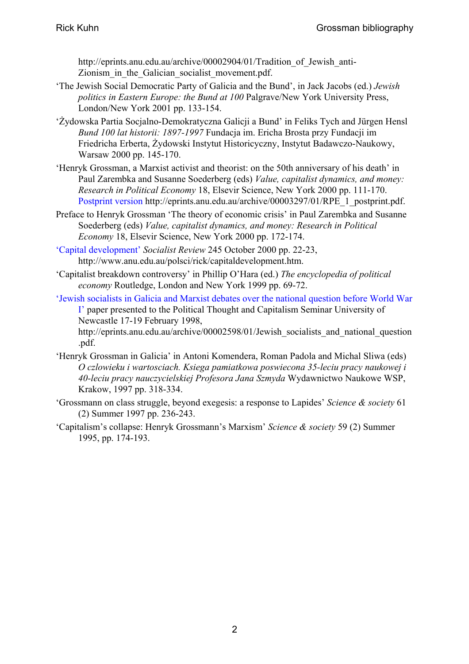http://eprints.anu.edu.au/archive/00002904/01/Tradition of Jewish anti-Zionism in the Galician socialist movement.pdf.

- 'The Jewish Social Democratic Party of Galicia and the Bund', in Jack Jacobs (ed.) *Jewish politics in Eastern Europe: the Bund at 100* Palgrave/New York University Press, London/New York 2001 pp. 133-154.
- 'Żydowska Partia Socjalno-Demokratyczna Galicji a Bund' in Feliks Tych and Jürgen Hensl *Bund 100 lat historii: 1897-1997* Fundacja im. Ericha Brosta przy Fundacji im Friedricha Erberta, Żydowski Instytut Historicyczny, Instytut Badawczo-Naukowy, Warsaw 2000 pp. 145-170.
- 'Henryk Grossman, a Marxist activist and theorist: on the 50th anniversary of his death' in Paul Zarembka and Susanne Soederberg (eds) *Value, capitalist dynamics, and money: Research in Political Economy* 18, Elsevir Science, New York 2000 pp. 111-170. [Postprint version](http://eprints.anu.edu.au/archive/00003297/01/RPE_1_postprint.pdf) http://eprints.anu.edu.au/archive/00003297/01/RPE\_1\_postprint.pdf.
- Preface to Henryk Grossman 'The theory of economic crisis' in Paul Zarembka and Susanne Soederberg (eds) *Value, capitalist dynamics, and money: Research in Political Economy* 18, Elsevir Science, New York 2000 pp. 172-174.
- ['Capital development'](http://www.anu.edu.au/polsci/rick/capitaldevelopment.htm) *Socialist Review* 245 October 2000 pp. 22-23, http://www.anu.edu.au/polsci/rick/capitaldevelopment.htm.
- 'Capitalist breakdown controversy' in Phillip O'Hara (ed.) *The encyclopedia of political economy* Routledge, London and New York 1999 pp. 69-72.
- ['Jewish socialists in Galicia and Marxist debates over the national question before World War](http://eprints.anu.edu.au/archive/00002598/01/Jewish_socialists_and_national_question.pdf)  [I'](http://eprints.anu.edu.au/archive/00002598/01/Jewish_socialists_and_national_question.pdf) paper presented to the Political Thought and Capitalism Seminar University of Newcastle 17-19 February 1998,

http://eprints.anu.edu.au/archive/00002598/01/Jewish\_socialists\_and\_national\_question .pdf.

- 'Henryk Grossman in Galicia' in Antoni Komendera, Roman Padola and Michal Sliwa (eds) *O czlowieku i wartosciach. Ksiega pamiatkowa poswiecona 35-leciu pracy naukowej i 40-leciu pracy nauczycielskiej Profesora Jana Szmyda* Wydawnictwo Naukowe WSP, Krakow, 1997 pp. 318-334.
- 'Grossmann on class struggle, beyond exegesis: a response to Lapides' *Science & society* 61 (2) Summer 1997 pp. 236-243.
- 'Capitalism's collapse: Henryk Grossmann's Marxism' *Science & society* 59 (2) Summer 1995, pp. 174-193.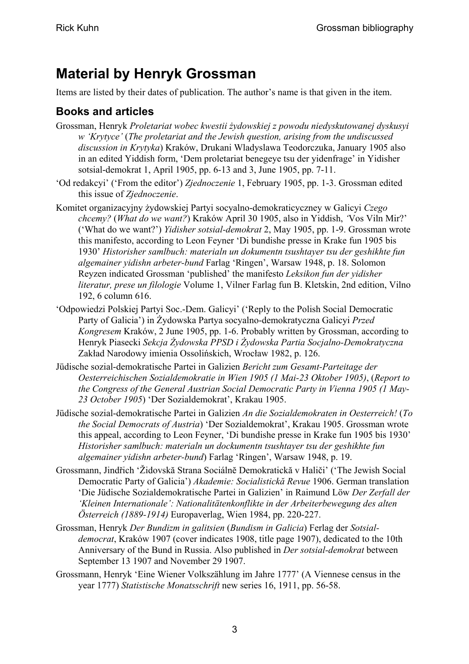# <span id="page-2-0"></span>**Material by Henryk Grossman**

Items are listed by their dates of publication. The author's name is that given in the item.

### **Books and articles**

- Grossman, Henryk *Proletariat wobec kwestii żydowskiej z powodu niedyskutowanej dyskusyi w 'Krytyce'* (*The proletariat and the Jewish question, arising from the undiscussed discussion in Krytyka*) Kraków, Drukani Wladyslawa Teodorczuka, January 1905 also in an edited Yiddish form, 'Dem proletariat benegeye tsu der yidenfrage' in Yidisher sotsial-demokrat 1, April 1905, pp. 6-13 and 3, June 1905, pp. 7-11.
- 'Od redakcyi' ('From the editor') *Zjednoczenie* 1, February 1905, pp. 1-3. Grossman edited this issue of *Zjednoczenie*.
- Komitet organizacyjny żydowskiej Partyi socyalno-demokraticyczney w Galicyi *Czego chcemy?* (*What do we want?*) Kraków April 30 1905, also in Yiddish, *'*Vos Viln Mir?' ('What do we want?') *Yidisher sotsial-demokrat* 2, May 1905, pp. 1-9. Grossman wrote this manifesto, according to Leon Feyner 'Di bundishe presse in Krake fun 1905 bis 1930' *Historisher samlbuch: materialn un dokumentn tsushtayer tsu der geshikhte fun algemainer yidishn arbeter-bund* Farlag 'Ringen', Warsaw 1948, p. 18. Solomon Reyzen indicated Grossman 'published' the manifesto *Leksikon fun der yidisher literatur, prese un filologie* Volume 1, Vilner Farlag fun B. Kletskin, 2nd edition, Vilno 192, 6 column 616.
- 'Odpowiedzi Polskiej Partyi Soc.-Dem. Galicyi' ('Reply to the Polish Social Democratic Party of Galicia') in Żydowska Partya socyalno-demokratyczna Galicyi *Przed Kongresem* Kraków, 2 June 1905, pp. 1-6. Probably written by Grossman, according to Henryk Piasecki *Sekcja Żydowska PPSD i Żydowska Partia Socjalno-Demokratyczna* Zakład Narodowy imienia Ossolińskich, Wrocław 1982, p. 126.
- Jüdische sozial-demokratische Partei in Galizien *Bericht zum Gesamt-Parteitage der Oesterreichischen Sozialdemokratie in Wien 1905 (1 Mai-23 Oktober 1905)*, (*Report to the Congress of the General Austrian Social Democratic Party in Vienna 1905 (1 May-23 October 1905*) 'Der Sozialdemokrat', Krakau 1905.
- Jüdische sozial-demokratische Partei in Galizien *An die Sozialdemokraten in Oesterreich!* (*To the Social Democrats of Austria*) 'Der Sozialdemokrat', Krakau 1905. Grossman wrote this appeal, according to Leon Feyner, 'Di bundishe presse in Krake fun 1905 bis 1930' *Historisher samlbuch: materialn un dockumentn tsushtayer tsu der geshikhte fun algemainer yidishn arbeter-bund*) Farlag 'Ringen', Warsaw 1948, p. 19.
- Grossmann, Jindřich 'Židovskă Strana Sociálnĕ Demokratickă v Haliči' ('The Jewish Social Democratic Party of Galicia') *Akademie: Socialistickă Revue* 1906. German translation 'Die Jüdische Sozialdemokratische Partei in Galizien' in Raimund Löw *Der Zerfall der 'Kleinen Internationale': Nationalitätenkonflikte in der Arbeiterbewegung des alten Österreich (1889-1914)* Europaverlag, Wien 1984, pp. 220-227.
- Grossman, Henryk *Der Bundizm in galitsien* (*Bundism in Galicia*) Ferlag der *Sotsialdemocrat*, Kraków 1907 (cover indicates 1908, title page 1907), dedicated to the 10th Anniversary of the Bund in Russia. Also published in *Der sotsial-demokrat* between September 13 1907 and November 29 1907.
- Grossmann, Henryk 'Eine Wiener Volkszählung im Jahre 1777' (A Viennese census in the year 1777) *Statistische Monatsschrift* new series 16, 1911, pp. 56-58.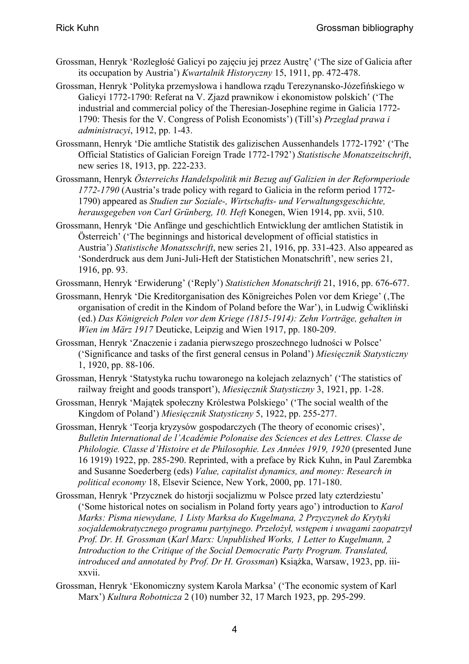- Grossman, Henryk 'Rozległość Galicyi po zajęciu jej przez Austrę' ('The size of Galicia after its occupation by Austria') *Kwartalnik Historyczny* 15, 1911, pp. 472-478.
- Grossman, Henryk 'Polityka przemysłowa i handlowa rządu Terezynansko-Józefińskiego w Galicyi 1772-1790: Referat na V. Zjazd prawnikow i ekonomistow polskich' ('The industrial and commercial policy of the Theresian-Josephine regime in Galicia 1772- 1790: Thesis for the V. Congress of Polish Economists') (Till's) *Przeglad prawa i administracyi*, 1912, pp. 1-43.
- Grossmann, Henryk 'Die amtliche Statistik des galizischen Aussenhandels 1772-1792' ('The Official Statistics of Galician Foreign Trade 1772-1792') *Statistische Monatszeitschrift*, new series 18, 1913, pp. 222-233.
- Grossmann, Henryk *Österreichs Handelspolitik mit Bezug auf Galizien in der Reformperiode 1772-1790* (Austria's trade policy with regard to Galicia in the reform period 1772- 1790) appeared as *Studien zur Soziale-, Wirtschafts- und Verwaltungsgeschichte, herausgegeben von Carl Grünberg, 10. Heft* Konegen, Wien 1914, pp. xvii, 510.
- Grossmann, Henryk 'Die Anfänge und geschichtlich Entwicklung der amtlichen Statistik in Österreich' ('The beginnings and historical development of official statistics in Austria') *Statistische Monatsschrift*, new series 21, 1916, pp. 331-423. Also appeared as 'Sonderdruck aus dem Juni-Juli-Heft der Statistichen Monatschrift', new series 21, 1916, pp. 93.
- Grossmann, Henryk 'Erwiderung' ('Reply') *Statistichen Monatschrift* 21, 1916, pp. 676-677.
- Grossmann, Henryk 'Die Kreditorganisation des Königreiches Polen vor dem Kriege' (The organisation of credit in the Kindom of Poland before the War'), in Ludwig Ćwikliński (ed.) *Das Königreich Polen vor dem Kriege (1815-1914): Zehn Vorträge, gehalten in Wien im März 1917* Deuticke, Leipzig and Wien 1917, pp. 180-209.
- Grossman, Henryk 'Znaczenie i zadania pierwszego proszechnego ludności w Polsce' ('Significance and tasks of the first general census in Poland') *Miesięcznik Statysticzny* 1, 1920, pp. 88-106.
- Grossman, Henryk 'Statystyka ruchu towaronego na kolejach zelaznych' ('The statistics of railway freight and goods transport'), *Miesięcznik Statysticzny* 3, 1921, pp. 1-28.
- Grossman, Henryk 'Majątek społeczny Królestwa Polskiego' ('The social wealth of the Kingdom of Poland') *Miesięcznik Statysticzny* 5, 1922, pp. 255-277.
- Grossman, Henryk 'Teorja kryzysów gospodarczych (The theory of economic crises)', *Bulletin International de l'Académie Polonaise des Sciences et des Lettres. Classe de Philologie. Classe d'Histoire et de Philosophie. Les Années 1919, 1920* (presented June 16 1919) 1922, pp. 285-290. Reprinted, with a preface by Rick Kuhn, in Paul Zarembka and Susanne Soederberg (eds) *Value, capitalist dynamics, and money: Research in political economy* 18, Elsevir Science, New York, 2000, pp. 171-180.
- Grossman, Henryk 'Przycznek do historji socjalizmu w Polsce przed laty czterdziestu' ('Some historical notes on socialism in Poland forty years ago') introduction to *Karol Marks: Pisma niewydane, 1 Listy Marksa do Kugelmana, 2 Przyczynek do Krytyki socjaldemokratycznego programu partyjnego. Przełożył, wstępem i uwagami zaopatrzył Prof. Dr. H. Grossman* (*Karl Marx: Unpublished Works, 1 Letter to Kugelmann, 2 Introduction to the Critique of the Social Democratic Party Program. Translated, introduced and annotated by Prof. Dr H. Grossman*) Książka, Warsaw, 1923, pp. iiixxvii.
- Grossman, Henryk 'Ekonomiczny system Karola Marksa' ('The economic system of Karl Marx') *Kultura Robotnicza* 2 (10) number 32, 17 March 1923, pp. 295-299.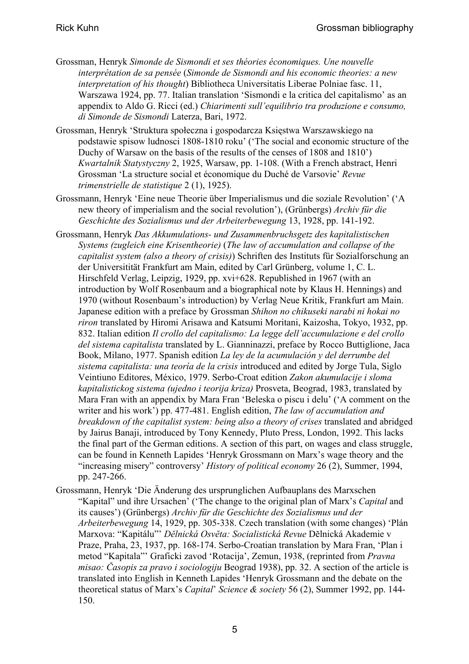- Grossman, Henryk *Simonde de Sismondi et ses théories économiques. Une nouvelle interprétation de sa pensée* (*Simonde de Sismondi and his economic theories: a new interpretation of his thought*) Bibliotheca Universitatis Liberae Polniae fasc. 11, Warszawa 1924, pp. 77. Italian translation 'Sismondi e la critica del capitalismo' as an appendix to Aldo G. Ricci (ed.) *Chiarimenti sull'equilibrio tra produzione e consumo, di Simonde de Sismondi* Laterza, Bari, 1972.
- Grossman, Henryk 'Struktura społeczna i gospodarcza Księstwa Warszawskiego na podstawie spisow ludnosci 1808-1810 roku' ('The social and economic structure of the Duchy of Warsaw on the basis of the results of the censes of 1808 and 1810') *Kwartalnik Statystyczny* 2, 1925, Warsaw, pp. 1-108. (With a French abstract, Henri Grossman 'La structure social et économique du Duché de Varsovie' *Revue trimenstrielle de statistique* 2 (1), 1925).
- Grossmann, Henryk 'Eine neue Theorie über Imperialismus und die soziale Revolution' ('A new theory of imperialism and the social revolution'), (Grünbergs) *Archiv für die Geschichte des Sozialismus und der Arbeiterbewegung* 13, 1928, pp. 141-192.
- Grossmann, Henryk *Das Akkumulations- und Zusammenbruchsgetz des kapitalistischen Systems (zugleich eine Krisentheorie)* (*The law of accumulation and collapse of the capitalist system (also a theory of crisis)*) Schriften des Instituts für Sozialforschung an der Universitität Frankfurt am Main, edited by Carl Grünberg, volume 1, C. L. Hirschfeld Verlag, Leipzig, 1929, pp. xvi+628. Republished in 1967 (with an introduction by Wolf Rosenbaum and a biographical note by Klaus H. Hennings) and 1970 (without Rosenbaum's introduction) by Verlag Neue Kritik, Frankfurt am Main. Japanese edition with a preface by Grossman *Shihon no chikuseki narabi ni hokai no riron* translated by Hiromi Arisawa and Katsumi Moritani, Kaizosha, Tokyo, 1932, pp. 832. Italian edition *Il crollo del capitalismo: La legge dell'accumulazione e del crollo del sistema capitalista* translated by L. Gianninazzi, preface by Rocco Buttiglione, Jaca Book, Milano, 1977. Spanish edition *La ley de la acumulación y del derrumbe del sistema capitalista: una teoría de la crisis* introduced and edited by Jorge Tula, Siglo Veintiuno Editores, México, 1979. Serbo-Croat edition *Zakon akumulacije i sloma kapitalistickog sistema (ujedno i teorija kriza)* Prosveta, Beograd, 1983, translated by Mara Fran with an appendix by Mara Fran 'Beleska o piscu i delu' ('A comment on the writer and his work') pp. 477-481. English edition, *The law of accumulation and breakdown of the capitalist system: being also a theory of crises* translated and abridged by Jairus Banaji, introduced by Tony Kennedy, Pluto Press, London, 1992. This lacks the final part of the German editions. A section of this part, on wages and class struggle, can be found in Kenneth Lapides 'Henryk Grossmann on Marx's wage theory and the "increasing misery" controversy' *History of political economy* 26 (2), Summer, 1994, pp. 247-266.
- Grossmann, Henryk 'Die Änderung des ursprunglichen Aufbauplans des Marxschen "Kapital" und ihre Ursachen' ('The change to the original plan of Marx's *Capital* and its causes') (Grünbergs) *Archiv für die Geschichte des Sozialismus und der Arbeiterbewegung* 14, 1929, pp. 305-338. Czech translation (with some changes) 'Plán Marxova: "Kapitálu"' *Dĕlnická Osvĕta: Socialistická Revue* Dĕlnická Akademie v Praze, Praha, 23, 1937, pp. 168-174. Serbo-Croatian translation by Mara Fran, 'Plan i metod "Kapitala"' Graficki zavod 'Rotacija', Zemun, 1938, (reprinted from *Pravna misao: Časopis za pravo i sociologiju* Beograd 1938), pp. 32. A section of the article is translated into English in Kenneth Lapides 'Henryk Grossmann and the debate on the theoretical status of Marx's *Capital*' *Science & society* 56 (2), Summer 1992, pp. 144- 150.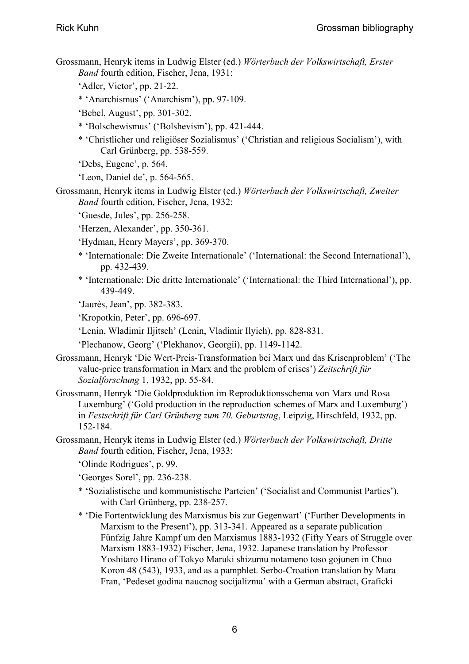- Grossmann, Henryk items in Ludwig Elster (ed.) *Wörterbuch der Volkswirtschaft, Erster Band* fourth edition, Fischer, Jena, 1931:
	- 'Adler, Victor', pp. 21-22.
	- \* 'Anarchismus' ('Anarchism'), pp. 97-109.
	- 'Bebel, August', pp. 301-302.
	- \* 'Bolschewismus' ('Bolshevism'), pp. 421-444.
	- \* 'Christlicher und religiöser Sozialismus' ('Christian and religious Socialism'), with Carl Grünberg, pp. 538-559.
	- 'Debs, Eugene', p. 564.
	- 'Leon, Daniel de', p. 564-565.
- Grossmann, Henryk items in Ludwig Elster (ed.) *Wörterbuch der Volkswirtschaft, Zweiter Band* fourth edition, Fischer, Jena, 1932:
	- 'Guesde, Jules', pp. 256-258.
	- 'Herzen, Alexander', pp. 350-361.
	- 'Hydman, Henry Mayers', pp. 369-370.
	- \* 'Internationale: Die Zweite Internationale' ('International: the Second International'), pp. 432-439.
	- \* 'Internationale: Die dritte Internationale' ('International: the Third International'), pp. 439-449.
	- 'Jaurès, Jean', pp. 382-383.
	- 'Kropotkin, Peter', pp. 696-697.
	- 'Lenin, Wladimir Iljitsch' (Lenin, Vladimir Ilyich), pp. 828-831.
	- 'Plechanow, Georg' ('Plekhanov, Georgii), pp. 1149-1142.
- Grossmann, Henryk 'Die Wert-Preis-Transformation bei Marx und das Krisenproblem' ('The value-price transformation in Marx and the problem of crises') *Zeitschrift für Sozialforschung* 1, 1932, pp. 55-84.
- Grossmann, Henryk 'Die Goldproduktion im Reproduktionsschema von Marx und Rosa Luxemburg' ('Gold production in the reproduction schemes of Marx and Luxemburg') in *Festschrift für Carl Grünberg zum 70. Geburtstag*, Leipzig, Hirschfeld, 1932, pp. 152-184.
- Grossmann, Henryk items in Ludwig Elster (ed.) *Wörterbuch der Volkswirtschaft, Dritte Band* fourth edition, Fischer, Jena, 1933:
	- 'Olinde Rodrigues', p. 99.
	- 'Georges Sorel', pp. 236-238.
	- \* 'Sozialistische und kommunistische Parteien' ('Socialist and Communist Parties'), with Carl Grünberg, pp. 238-257.
	- \* 'Die Fortentwicklung des Marxismus bis zur Gegenwart' ('Further Developments in Marxism to the Present'), pp. 313-341. Appeared as a separate publication Fünfzig Jahre Kampf um den Marxismus 1883-1932 (Fifty Years of Struggle over Marxism 1883-1932) Fischer, Jena, 1932. Japanese translation by Professor Yoshitaro Hirano of Tokyo Maruki shizumu notameno toso gojunen in Chuo Koron 48 (543), 1933, and as a pamphlet. Serbo-Croation translation by Mara Fran, 'Pedeset godina naucnog socijalizma' with a German abstract, Graficki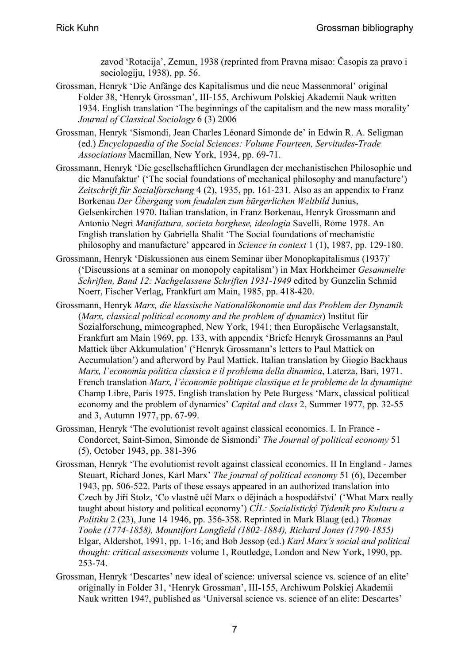zavod 'Rotacija', Zemun, 1938 (reprinted from Pravna misao: Časopis za pravo i sociologiju, 1938), pp. 56.

- Grossman, Henryk 'Die Anfänge des Kapitalismus und die neue Massenmoral' original Folder 38, 'Henryk Grossman', III-155, Archiwum Polskiej Akademii Nauk written 1934. English translation 'The beginnings of the capitalism and the new mass morality' *Journal of Classical Sociology* 6 (3) 2006
- Grossman, Henryk 'Sismondi, Jean Charles Léonard Simonde de' in Edwin R. A. Seligman (ed.) *Encyclopaedia of the Social Sciences: Volume Fourteen, Servitudes-Trade Associations* Macmillan, New York, 1934, pp. 69-71.
- Grossmann, Henryk 'Die gesellschaftlichen Grundlagen der mechanistischen Philosophie und die Manufaktur' ('The social foundations of mechanical philosophy and manufacture') *Zeitschrift für Sozialforschung* 4 (2), 1935, pp. 161-231. Also as an appendix to Franz Borkenau *Der Übergang vom feudalen zum bürgerlichen Weltbild* Junius, Gelsenkirchen 1970. Italian translation, in Franz Borkenau, Henryk Grossmann and Antonio Negri *Manifattura, societa borghese, ideologia* Savelli, Rome 1978. An English translation by Gabriella Shalit 'The Social foundations of mechanistic philosophy and manufacture' appeared in *Science in context* 1 (1), 1987, pp. 129-180.
- Grossmann, Henryk 'Diskussionen aus einem Seminar über Monopkapitalismus (1937)' ('Discussions at a seminar on monopoly capitalism') in Max Horkheimer *Gesammelte Schriften, Band 12: Nachgelassene Schriften 1931-1949* edited by Gunzelin Schmid Noerr, Fischer Verlag, Frankfurt am Main, 1985, pp. 418-420.
- Grossmann, Henryk *Marx, die klassische Nationalökonomie und das Problem der Dynamik* (*Marx, classical political economy and the problem of dynamics*) Institut für Sozialforschung, mimeographed, New York, 1941; then Europäische Verlagsanstalt, Frankfurt am Main 1969, pp. 133, with appendix 'Briefe Henryk Grossmanns an Paul Mattick über Akkumulation' ('Henryk Grossmann's letters to Paul Mattick on Accumulation') and afterword by Paul Mattick. Italian translation by Giogio Backhaus *Marx, l'economia politica classica e il problema della dinamica*, Laterza, Bari, 1971. French translation *Marx, l'économie politique classique et le probleme de la dynamique* Champ Libre, Paris 1975. English translation by Pete Burgess 'Marx, classical political economy and the problem of dynamics' *Capital and class* 2, Summer 1977, pp. 32-55 and 3, Autumn 1977, pp. 67-99.
- Grossman, Henryk 'The evolutionist revolt against classical economics. I. In France Condorcet, Saint-Simon, Simonde de Sismondi' *The Journal of political economy* 51 (5), October 1943, pp. 381-396
- Grossman, Henryk 'The evolutionist revolt against classical economics. II In England James Steuart, Richard Jones, Karl Marx' *The journal of political economy* 51 (6), December 1943, pp. 506-522. Parts of these essays appeared in an authorized translation into Czech by Jiří Stolz, 'Co vlastnĕ učí Marx o dĕjinách a hospodářství' ('What Marx really taught about history and political economy') *CÍL: Socialistický Týdeník pro Kulturu a Politiku* 2 (23), June 14 1946, pp. 356-358. Reprinted in Mark Blaug (ed.) *Thomas Tooke (1774-1858), Mountifort Longfield (1802-1884), Richard Jones (1790-1855)* Elgar, Aldershot, 1991, pp. 1-16; and Bob Jessop (ed.) *Karl Marx's social and political thought: critical assessments* volume 1, Routledge, London and New York, 1990, pp. 253-74.
- Grossman, Henryk 'Descartes' new ideal of science: universal science vs. science of an elite' originally in Folder 31, 'Henryk Grossman', III-155, Archiwum Polskiej Akademii Nauk written 194?, published as 'Universal science vs. science of an elite: Descartes'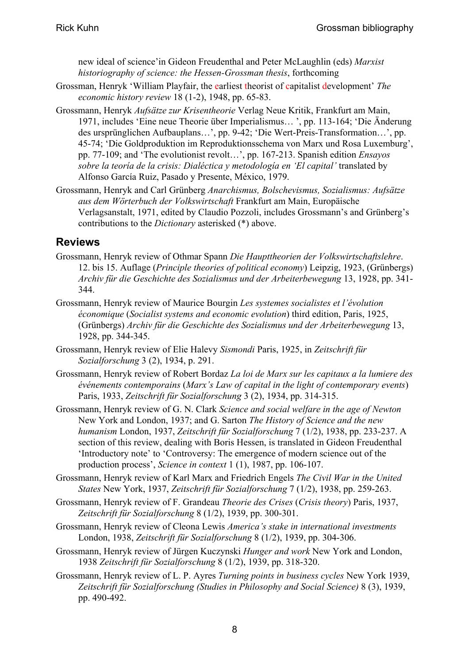<span id="page-7-0"></span>new ideal of science'in Gideon Freudenthal and Peter McLaughlin (eds) *Marxist historiography of science: the Hessen-Grossman thesis*, forthcoming

- Grossman, Henryk 'William Playfair, the earliest theorist of capitalist development' *The economic history review* 18 (1-2), 1948, pp. 65-83.
- Grossmann, Henryk *Aufsätze zur Krisentheorie* Verlag Neue Kritik, Frankfurt am Main, 1971, includes 'Eine neue Theorie über Imperialismus… ', pp. 113-164; 'Die Änderung des ursprünglichen Aufbauplans…', pp. 9-42; 'Die Wert-Preis-Transformation…', pp. 45-74; 'Die Goldproduktion im Reproduktionsschema von Marx und Rosa Luxemburg', pp. 77-109; and 'The evolutionist revolt…', pp. 167-213. Spanish edition *Ensayos sobre la teoría de la crisis: Dialéctica y metodología en 'El capital'* translated by Alfonso García Ruiz, Pasado y Presente, México, 1979.
- Grossmann, Henryk and Carl Grünberg *Anarchismus, Bolschevismus, Sozialismus: Aufsätze aus dem Wörterbuch der Volkswirtschaft* Frankfurt am Main, Europäische Verlagsanstalt, 1971, edited by Claudio Pozzoli, includes Grossmann's and Grünberg's contributions to the *Dictionary* asterisked (\*) above.

#### **Reviews**

- Grossmann, Henryk review of Othmar Spann *Die Haupttheorien der Volkswirtschaftslehre*. 12. bis 15. Auflage (*Principle theories of political economy*) Leipzig, 1923, (Grünbergs) *Archiv für die Geschichte des Sozialismus und der Arbeiterbewegung* 13, 1928, pp. 341- 344.
- Grossmann, Henryk review of Maurice Bourgin *Les systemes socialistes et l'évolution économique* (*Socialist systems and economic evolution*) third edition, Paris, 1925, (Grünbergs) *Archiv für die Geschichte des Sozialismus und der Arbeiterbewegung* 13, 1928, pp. 344-345.
- Grossmann, Henryk review of Elie Halevy *Sismondi* Paris, 1925, in *Zeitschrift für Sozialforschung* 3 (2), 1934, p. 291.
- Grossmann, Henryk review of Robert Bordaz *La loi de Marx sur les capitaux a la lumiere des événements contemporains* (*Marx's Law of capital in the light of contemporary events*) Paris, 1933, *Zeitschrift für Sozialforschung* 3 (2), 1934, pp. 314-315.
- Grossmann, Henryk review of G. N. Clark *Science and social welfare in the age of Newton* New York and London, 1937; and G. Sarton *The History of Science and the new humanism* London, 1937, *Zeitschrift für Sozialforschung* 7 (1/2), 1938, pp. 233-237. A section of this review, dealing with Boris Hessen, is translated in Gideon Freudenthal 'Introductory note' to 'Controversy: The emergence of modern science out of the production process', *Science in context* 1 (1), 1987, pp. 106-107.
- Grossmann, Henryk review of Karl Marx and Friedrich Engels *The Civil War in the United States* New York, 1937, *Zeitschrift für Sozialforschung* 7 (1/2), 1938, pp. 259-263.
- Grossmann, Henryk review of F. Grandeau *Theorie des Crises* (*Crisis theory*) Paris, 1937, *Zeitschrift für Sozialforschung* 8 (1/2), 1939, pp. 300-301.
- Grossmann, Henryk review of Cleona Lewis *America's stake in international investments* London, 1938, *Zeitschrift für Sozialforschung* 8 (1/2), 1939, pp. 304-306.
- Grossmann, Henryk review of Jürgen Kuczynski *Hunger and work* New York and London, 1938 *Zeitschrift für Sozialforschung* 8 (1/2), 1939, pp. 318-320.
- Grossmann, Henryk review of L. P. Ayres *Turning points in business cycles* New York 1939, *Zeitschrift für Sozialforschung (Studies in Philosophy and Social Science)* 8 (3), 1939, pp. 490-492.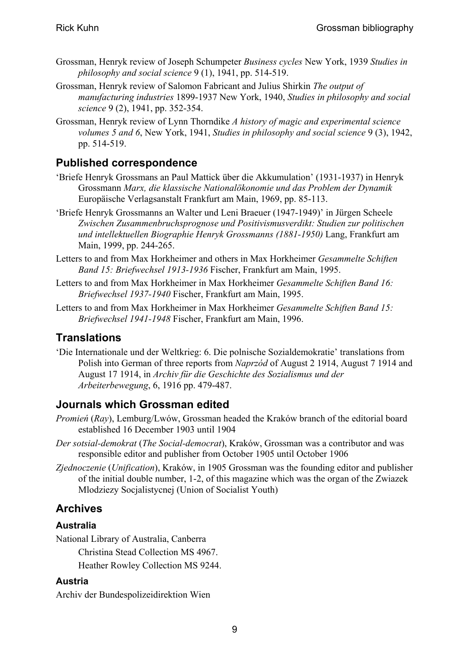- <span id="page-8-0"></span>Grossman, Henryk review of Joseph Schumpeter *Business cycles* New York, 1939 *Studies in philosophy and social science* 9 (1), 1941, pp. 514-519.
- Grossman, Henryk review of Salomon Fabricant and Julius Shirkin *The output of manufacturing industries* 1899-1937 New York, 1940, *Studies in philosophy and social science* 9 (2), 1941, pp. 352-354.
- Grossman, Henryk review of Lynn Thorndike *A history of magic and experimental science volumes 5 and 6*, New York, 1941, *Studies in philosophy and social science* 9 (3), 1942, pp. 514-519.

#### **Published correspondence**

- 'Briefe Henryk Grossmans an Paul Mattick über die Akkumulation' (1931-1937) in Henryk Grossmann *Marx, die klassische Nationalökonomie und das Problem der Dynamik* Europäische Verlagsanstalt Frankfurt am Main, 1969, pp. 85-113.
- 'Briefe Henryk Grossmanns an Walter und Leni Braeuer (1947-1949)' in Jürgen Scheele *Zwischen Zusammenbruchsprognose und Positivismusverdikt: Studien zur politischen und intellektuellen Biographie Henryk Grossmanns (1881-1950)* Lang, Frankfurt am Main, 1999, pp. 244-265.
- Letters to and from Max Horkheimer and others in Max Horkheimer *Gesammelte Schiften Band 15: Briefwechsel 1913-1936* Fischer, Frankfurt am Main, 1995.
- Letters to and from Max Horkheimer in Max Horkheimer *Gesammelte Schiften Band 16: Briefwechsel 1937-1940* Fischer, Frankfurt am Main, 1995.
- Letters to and from Max Horkheimer in Max Horkheimer *Gesammelte Schiften Band 15: Briefwechsel 1941-1948* Fischer, Frankfurt am Main, 1996.

#### **Translations**

'Die Internationale und der Weltkrieg: 6. Die polnische Sozialdemokratie' translations from Polish into German of three reports from *Naprzód* of August 2 1914, August 7 1914 and August 17 1914, in *Archiv für die Geschichte des Sozialismus und der Arbeiterbewegung*, 6, 1916 pp. 479-487.

#### **Journals which Grossman edited**

- *Promień* (*Ray*), Lemburg/Lwów, Grossman headed the Kraków branch of the editorial board established 16 December 1903 until 1904
- *Der sotsial-demokrat* (*The Social-democrat*), Kraków, Grossman was a contributor and was responsible editor and publisher from October 1905 until October 1906
- *Zjednoczenie* (*Unification*), Kraków, in 1905 Grossman was the founding editor and publisher of the initial double number, 1-2, of this magazine which was the organ of the Zwiazek Mlodziezy Socjalistycnej (Union of Socialist Youth)

### **Archives**

#### **Australia**

National Library of Australia, Canberra

Christina Stead Collection MS 4967.

Heather Rowley Collection MS 9244.

#### **Austria**

Archiv der Bundespolizeidirektion Wien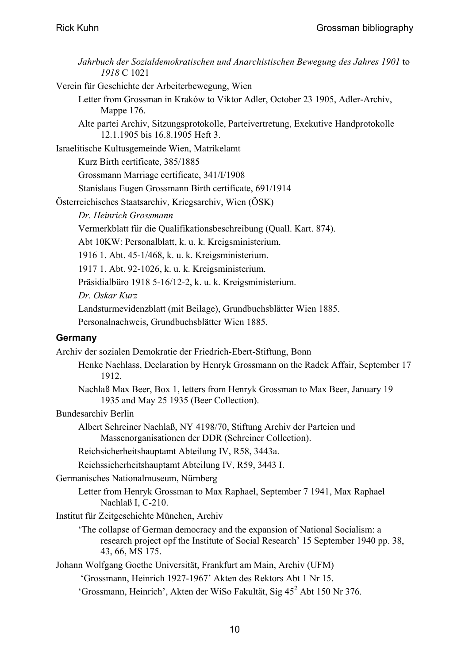| Jahrbuch der Sozialdemokratischen und Anarchistischen Bewegung des Jahres 1901 to<br>1918 C 1021                                                                 |
|------------------------------------------------------------------------------------------------------------------------------------------------------------------|
| Verein für Geschichte der Arbeiterbewegung, Wien                                                                                                                 |
| Letter from Grossman in Kraków to Viktor Adler, October 23 1905, Adler-Archiv,<br>Mappe 176.                                                                     |
| Alte partei Archiv, Sitzungsprotokolle, Parteivertretung, Exekutive Handprotokolle<br>12.1.1905 bis 16.8.1905 Heft 3.                                            |
| Israelitische Kultusgemeinde Wien, Matrikelamt                                                                                                                   |
| Kurz Birth certificate, 385/1885                                                                                                                                 |
| Grossmann Marriage certificate, 341/I/1908                                                                                                                       |
| Stanislaus Eugen Grossmann Birth certificate, 691/1914                                                                                                           |
| Österreichisches Staatsarchiv, Kriegsarchiv, Wien (ÖSK)                                                                                                          |
| Dr. Heinrich Grossmann                                                                                                                                           |
| Vermerkblatt für die Qualifikationsbeschreibung (Quall. Kart. 874).                                                                                              |
| Abt 10KW: Personalblatt, k. u. k. Kreigsministerium.                                                                                                             |
| 1916 1. Abt. 45-1/468, k. u. k. Kreigsministerium.                                                                                                               |
| 1917 1. Abt. 92-1026, k. u. k. Kreigsministerium.                                                                                                                |
| Präsidialbüro 1918 5-16/12-2, k. u. k. Kreigsministerium.                                                                                                        |
| Dr. Oskar Kurz                                                                                                                                                   |
| Landsturmevidenzblatt (mit Beilage), Grundbuchsblätter Wien 1885.                                                                                                |
| Personalnachweis, Grundbuchsblätter Wien 1885.                                                                                                                   |
| Germany                                                                                                                                                          |
| Archiv der sozialen Demokratie der Friedrich-Ebert-Stiftung, Bonn                                                                                                |
| Henke Nachlass, Declaration by Henryk Grossmann on the Radek Affair, September 17<br>1912.                                                                       |
| Nachlaß Max Beer, Box 1, letters from Henryk Grossman to Max Beer, January 19<br>1935 and May 25 1935 (Beer Collection).                                         |
| <b>Bundesarchiv Berlin</b>                                                                                                                                       |
| Albert Schreiner Nachlaß, NY 4198/70, Stiftung Archiv der Parteien und<br>Massenorganisationen der DDR (Schreiner Collection).                                   |
| Reichsicherheitshauptamt Abteilung IV, R58, 3443a.                                                                                                               |
| Reichssicherheitshauptamt Abteilung IV, R59, 3443 I.                                                                                                             |
| Germanisches Nationalmuseum, Nürnberg                                                                                                                            |
| Letter from Henryk Grossman to Max Raphael, September 7 1941, Max Raphael<br>Nachlaß I, C-210.                                                                   |
| Institut für Zeitgeschichte München, Archiv                                                                                                                      |
| 'The collapse of German democracy and the expansion of National Socialism: a<br>research project opf the Institute of Social Research' 15 September 1940 pp. 38, |
| 43, 66, MS 175.                                                                                                                                                  |
| Johann Wolfgang Goethe Universität, Frankfurt am Main, Archiv (UFM)                                                                                              |
| 'Grossmann, Heinrich 1927-1967' Akten des Rektors Abt 1 Nr 15.                                                                                                   |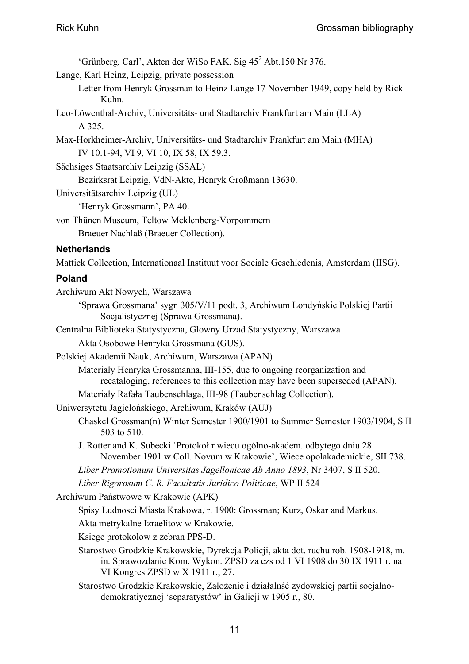'Grünberg, Carl', Akten der WiSo FAK, Sig 45<sup>2</sup> Abt.150 Nr 376. Lange, Karl Heinz, Leipzig, private possession Letter from Henryk Grossman to Heinz Lange 17 November 1949, copy held by Rick Kuhn. Leo-Löwenthal-Archiv, Universitäts- und Stadtarchiv Frankfurt am Main (LLA) A 325. Max-Horkheimer-Archiv, Universitäts- und Stadtarchiv Frankfurt am Main (MHA) IV 10.1-94, VI 9, VI 10, IX 58, IX 59.3. Sächsiges Staatsarchiv Leipzig (SSAL) Bezirksrat Leipzig, VdN-Akte, Henryk Großmann 13630. Universitätsarchiv Leipzig (UL) 'Henryk Grossmann', PA 40. von Thünen Museum, Teltow Meklenberg-Vorpommern Braeuer Nachlaß (Braeuer Collection). **Netherlands**  Mattick Collection, Internationaal Instituut voor Sociale Geschiedenis, Amsterdam (IISG). **Poland**  Archiwum Akt Nowych, Warszawa 'Sprawa Grossmana' sygn 305/V/11 podt. 3, Archiwum Londyńskie Polskiej Partii Socjalistycznej (Sprawa Grossmana).

Centralna Biblioteka Statystyczna, Glowny Urzad Statystyczny, Warszawa

Akta Osobowe Henryka Grossmana (GUS).

Polskiej Akademii Nauk, Archiwum, Warszawa (APAN)

Materiały Henryka Grossmanna, III-155, due to ongoing reorganization and recataloging, references to this collection may have been superseded (APAN).

Materiały Rafała Taubenschlaga, III-98 (Taubenschlag Collection).

- Uniwersytetu Jagielońskiego, Archiwum, Kraków (AUJ)
	- Chaskel Grossman(n) Winter Semester 1900/1901 to Summer Semester 1903/1904, S II 503 to 510.

J. Rotter and K. Subecki 'Protokoł r wiecu ogólno-akadem. odbytego dniu 28 November 1901 w Coll. Novum w Krakowie', Wiece opolakademickie, SII 738.

*Liber Promotionum Universitas Jagellonicae Ab Anno 1893*, Nr 3407, S II 520.

*Liber Rigorosum C. R. Facultatis Juridico Politicae*, WP II 524

Archiwum Państwowe w Krakowie (APK)

Spisy Ludnosci Miasta Krakowa, r. 1900: Grossman; Kurz, Oskar and Markus.

Akta metrykalne Izraelitow w Krakowie.

Ksiege protokolow z zebran PPS-D.

Starostwo Grodzkie Krakowskie, Dyrekcja Policji, akta dot. ruchu rob. 1908-1918, m. in. Sprawozdanie Kom. Wykon. ZPSD za czs od 1 VI 1908 do 30 IX 1911 r. na VI Kongres ZPSD w X 1911 r., 27.

Starostwo Grodzkie Krakowskie, Założenie i działalnść zydowskiej partii socjalnodemokratiycznej 'separatystów' in Galicji w 1905 r., 80.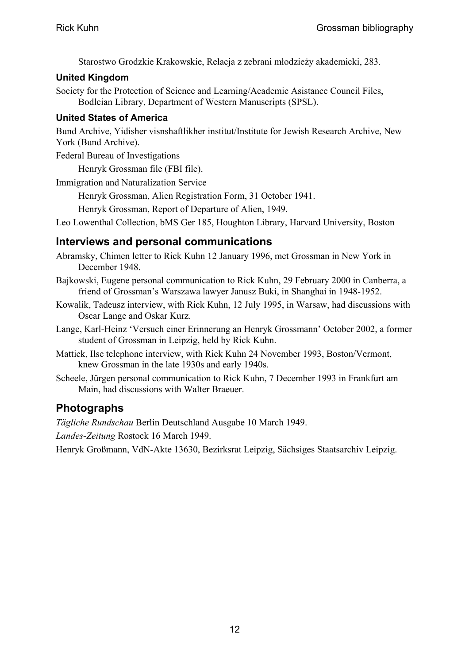Starostwo Grodzkie Krakowskie, Relacja z zebrani młodzieży akademicki, 283.

#### <span id="page-11-0"></span>**United Kingdom**

Society for the Protection of Science and Learning/Academic Asistance Council Files, Bodleian Library, Department of Western Manuscripts (SPSL).

#### **United States of America**

Bund Archive, Yidisher visnshaftlikher institut/Institute for Jewish Research Archive, New York (Bund Archive).

Federal Bureau of Investigations

Henryk Grossman file (FBI file).

Immigration and Naturalization Service

Henryk Grossman, Alien Registration Form, 31 October 1941.

Henryk Grossman, Report of Departure of Alien, 1949.

Leo Lowenthal Collection, bMS Ger 185, Houghton Library, Harvard University, Boston

#### **Interviews and personal communications**

- Abramsky, Chimen letter to Rick Kuhn 12 January 1996, met Grossman in New York in December 1948.
- Bajkowski, Eugene personal communication to Rick Kuhn, 29 February 2000 in Canberra, a friend of Grossman's Warszawa lawyer Janusz Buki, in Shanghai in 1948-1952.
- Kowalik, Tadeusz interview, with Rick Kuhn, 12 July 1995, in Warsaw, had discussions with Oscar Lange and Oskar Kurz.
- Lange, Karl-Heinz 'Versuch einer Erinnerung an Henryk Grossmann' October 2002, a former student of Grossman in Leipzig, held by Rick Kuhn.
- Mattick, Ilse telephone interview, with Rick Kuhn 24 November 1993, Boston/Vermont, knew Grossman in the late 1930s and early 1940s.
- Scheele, Jürgen personal communication to Rick Kuhn, 7 December 1993 in Frankfurt am Main, had discussions with Walter Braeuer.

### **Photographs**

*Tägliche Rundschau* Berlin Deutschland Ausgabe 10 March 1949.

*Landes-Zeitung* Rostock 16 March 1949.

Henryk Großmann, VdN-Akte 13630, Bezirksrat Leipzig, Sächsiges Staatsarchiv Leipzig.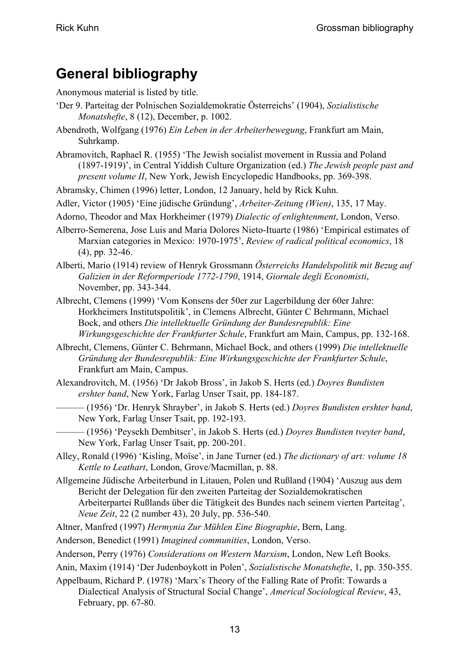# <span id="page-12-0"></span>**General bibliography**

Anonymous material is listed by title.

- 'Der 9. Parteitag der Polnischen Sozialdemokratie Österreichs' (1904), *Sozialistische Monatshefte*, 8 (12), December, p. 1002.
- Abendroth, Wolfgang (1976) *Ein Leben in der Arbeiterbewegung*, Frankfurt am Main, Suhrkamp.
- Abramovitch, Raphael R. (1955) 'The Jewish socialist movement in Russia and Poland (1897-1919)', in Central Yiddish Culture Organization (ed.) *The Jewish people past and present volume II*, New York, Jewish Encyclopedic Handbooks, pp. 369-398.
- Abramsky, Chimen (1996) letter, London, 12 January, held by Rick Kuhn.

Adler, Victor (1905) 'Eine jüdische Gründung', *Arbeiter-Zeitung (Wien)*, 135, 17 May.

- Adorno, Theodor and Max Horkheimer (1979) *Dialectic of enlightenment*, London, Verso.
- Alberro-Semerena, Jose Luis and Maria Dolores Nieto-Ituarte (1986) 'Empirical estimates of Marxian categories in Mexico: 1970-1975', *Review of radical political economics*, 18 (4), pp. 32-46.
- Alberti, Mario (1914) review of Henryk Grossmann *Österreichs Handelspolitik mit Bezug auf Galizien in der Reformperiode 1772-1790*, 1914, *Giornale degli Economisti*, November, pp. 343-344.
- Albrecht, Clemens (1999) 'Vom Konsens der 50er zur Lagerbildung der 60er Jahre: Horkheimers Institutspolitik', in Clemens Albrecht, Günter C Behrmann, Michael Bock, and others *Die intellektuelle Gründung der Bundesrepublik: Eine Wirkungsgeschichte der Frankfurter Schule*, Frankfurt am Main, Campus, pp. 132-168.
- Albrecht, Clemens, Günter C. Behrmann, Michael Bock, and others (1999) *Die intellektuelle Gründung der Bundesrepublik: Eine Wirkungsgeschichte der Frankfurter Schule*, Frankfurt am Main, Campus.
- Alexandrovitch, M. (1956) 'Dr Jakob Bross', in Jakob S. Herts (ed.) *Doyres Bundisten ershter band*, New York, Farlag Unser Tsait, pp. 184-187.
	- ——— (1956) 'Dr. Henryk Shrayber', in Jakob S. Herts (ed.) *Doyres Bundisten ershter band*, New York, Farlag Unser Tsait, pp. 192-193.
- ——— (1956) 'Peysekh Dembitser', in Jakob S. Herts (ed.) *Doyres Bundisten tveyter band*, New York, Farlag Unser Tsait, pp. 200-201.
- Alley, Ronald (1996) 'Kisling, Moïse', in Jane Turner (ed.) *The dictionary of art: volume 18 Kettle to Leathart*, London, Grove/Macmillan, p. 88.
- Allgemeine Jüdische Arbeiterbund in Litauen, Polen und Rußland (1904) 'Auszug aus dem Bericht der Delegation für den zweiten Parteitag der Sozialdemokratischen Arbeiterpartei Rußlands über die Tätigkeit des Bundes nach seinem vierten Parteitag', *Neue Zeit*, 22 (2 number 43), 20 July, pp. 536-540.
- Altner, Manfred (1997) *Hermynia Zur Mühlen Eine Biographie*, Bern, Lang.
- Anderson, Benedict (1991) *Imagined communities*, London, Verso.
- Anderson, Perry (1976) *Considerations on Western Marxism*, London, New Left Books.
- Anin, Maxim (1914) 'Der Judenboykott in Polen', *Sozialistische Monatshefte*, 1, pp. 350-355.
- Appelbaum, Richard P. (1978) 'Marx's Theory of the Falling Rate of Profit: Towards a Dialectical Analysis of Structural Social Change', *Americal Sociological Review*, 43, February, pp. 67-80.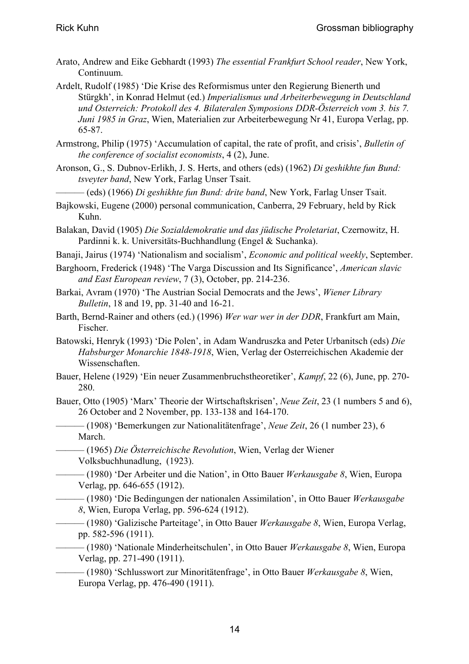- Arato, Andrew and Eike Gebhardt (1993) *The essential Frankfurt School reader*, New York, Continuum.
- Ardelt, Rudolf (1985) 'Die Krise des Reformismus unter den Regierung Bienerth und Stürgkh', in Konrad Helmut (ed.) *Imperialismus und Arbeiterbewegung in Deutschland und Osterreich: Protokoll des 4. Bilateralen Symposions DDR-Österreich vom 3. bis 7. Juni 1985 in Graz*, Wien, Materialien zur Arbeiterbewegung Nr 41, Europa Verlag, pp. 65-87.
- Armstrong, Philip (1975) 'Accumulation of capital, the rate of profit, and crisis', *Bulletin of the conference of socialist economists*, 4 (2), June.
- Aronson, G., S. Dubnov-Erlikh, J. S. Herts, and others (eds) (1962) *Di geshikhte fun Bund: tsveyter band*, New York, Farlag Unser Tsait.
- ——— (eds) (1966) *Di geshikhte fun Bund: drite band*, New York, Farlag Unser Tsait.
- Bajkowski, Eugene (2000) personal communication, Canberra, 29 February, held by Rick Kuhn.
- Balakan, David (1905) *Die Sozialdemokratie und das jüdische Proletariat*, Czernowitz, H. Pardinni k. k. Universitäts-Buchhandlung (Engel & Suchanka).
- Banaji, Jairus (1974) 'Nationalism and socialism', *Economic and political weekly*, September.
- Barghoorn, Frederick (1948) 'The Varga Discussion and Its Significance', *American slavic and East European review*, 7 (3), October, pp. 214-236.
- Barkai, Avram (1970) 'The Austrian Social Democrats and the Jews', *Wiener Library Bulletin*, 18 and 19, pp. 31-40 and 16-21.
- Barth, Bernd-Rainer and others (ed.) (1996) *Wer war wer in der DDR*, Frankfurt am Main, Fischer.
- Batowski, Henryk (1993) 'Die Polen', in Adam Wandruszka and Peter Urbanitsch (eds) *Die Habsburger Monarchie 1848-1918*, Wien, Verlag der Osterreichischen Akademie der Wissenschaften.
- Bauer, Helene (1929) 'Ein neuer Zusammenbruchstheoretiker', *Kampf*, 22 (6), June, pp. 270- 280.
- Bauer, Otto (1905) 'Marx' Theorie der Wirtschaftskrisen', *Neue Zeit*, 23 (1 numbers 5 and 6), 26 October and 2 November, pp. 133-138 and 164-170.
- ——— (1908) 'Bemerkungen zur Nationalitätenfrage', *Neue Zeit*, 26 (1 number 23), 6 March.
- ——— (1965) *Die Österreichische Revolution*, Wien, Verlag der Wiener Volksbuchhunadlung, (1923).
- ——— (1980) 'Der Arbeiter und die Nation', in Otto Bauer *Werkausgabe 8*, Wien, Europa Verlag, pp. 646-655 (1912).
- ——— (1980) 'Die Bedingungen der nationalen Assimilation', in Otto Bauer *Werkausgabe 8*, Wien, Europa Verlag, pp. 596-624 (1912).
- ——— (1980) 'Galizische Parteitage', in Otto Bauer *Werkausgabe 8*, Wien, Europa Verlag, pp. 582-596 (1911).
- ——— (1980) 'Nationale Minderheitschulen', in Otto Bauer *Werkausgabe 8*, Wien, Europa Verlag, pp. 271-490 (1911).
	- ——— (1980) 'Schlusswort zur Minoritätenfrage', in Otto Bauer *Werkausgabe 8*, Wien, Europa Verlag, pp. 476-490 (1911).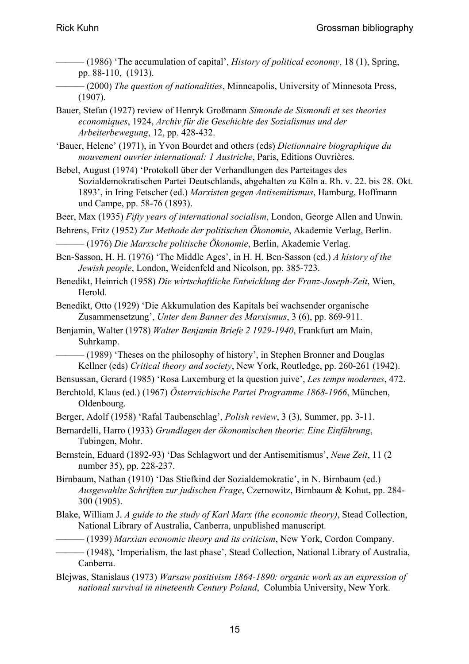- ——— (1986) 'The accumulation of capital', *History of political economy*, 18 (1), Spring, pp. 88-110, (1913).
- ——— (2000) *The question of nationalities*, Minneapolis, University of Minnesota Press, (1907).
- Bauer, Stefan (1927) review of Henryk Großmann *Simonde de Sismondi et ses theories economiques*, 1924, *Archiv für die Geschichte des Sozialismus und der Arbeiterbewegung*, 12, pp. 428-432.
- 'Bauer, Helene' (1971), in Yvon Bourdet and others (eds) *Dictionnaire biographique du mouvement ouvrier international: 1 Austriche*, Paris, Editions Ouvrières.
- Bebel, August (1974) 'Protokoll über der Verhandlungen des Parteitages des Sozialdemokratischen Partei Deutschlands, abgehalten zu Köln a. Rh. v. 22. bis 28. Okt. 1893', in Iring Fetscher (ed.) *Marxisten gegen Antisemitismus*, Hamburg, Hoffmann und Campe, pp. 58-76 (1893).
- Beer, Max (1935) *Fifty years of international socialism*, London, George Allen and Unwin.
- Behrens, Fritz (1952) *Zur Methode der politischen Ökonomie*, Akademie Verlag, Berlin. ——— (1976) *Die Marxsche politische Ökonomie*, Berlin, Akademie Verlag.
- Ben-Sasson, H. H. (1976) 'The Middle Ages', in H. H. Ben-Sasson (ed.) *A history of the Jewish people*, London, Weidenfeld and Nicolson, pp. 385-723.
- Benedikt, Heinrich (1958) *Die wirtschaftliche Entwicklung der Franz-Joseph-Zeit*, Wien, Herold.
- Benedikt, Otto (1929) 'Die Akkumulation des Kapitals bei wachsender organische Zusammensetzung', *Unter dem Banner des Marxismus*, 3 (6), pp. 869-911.
- Benjamin, Walter (1978) *Walter Benjamin Briefe 2 1929-1940*, Frankfurt am Main, Suhrkamp.
	- $-(1989)$  'Theses on the philosophy of history', in Stephen Bronner and Douglas Kellner (eds) *Critical theory and society*, New York, Routledge, pp. 260-261 (1942).
- Bensussan, Gerard (1985) 'Rosa Luxemburg et la question juive', *Les temps modernes*, 472.
- Berchtold, Klaus (ed.) (1967) *Österreichische Partei Programme 1868-1966*, München, Oldenbourg.
- Berger, Adolf (1958) 'Rafal Taubenschlag', *Polish review*, 3 (3), Summer, pp. 3-11.
- Bernardelli, Harro (1933) *Grundlagen der ökonomischen theorie: Eine Einführung*, Tubingen, Mohr.
- Bernstein, Eduard (1892-93) 'Das Schlagwort und der Antisemitismus', *Neue Zeit*, 11 (2 number 35), pp. 228-237.
- Birnbaum, Nathan (1910) 'Das Stiefkind der Sozialdemokratie', in N. Birnbaum (ed.) *Ausgewahlte Schriften zur judischen Frage*, Czernowitz, Birnbaum & Kohut, pp. 284- 300 (1905).
- Blake, William J. *A guide to the study of Karl Marx (the economic theory)*, Stead Collection, National Library of Australia, Canberra, unpublished manuscript.
- ——— (1939) *Marxian economic theory and its criticism*, New York, Cordon Company.
	- ——— (1948), 'Imperialism, the last phase', Stead Collection, National Library of Australia, Canberra.
- Blejwas, Stanislaus (1973) *Warsaw positivism 1864-1890: organic work as an expression of national survival in nineteenth Century Poland*, Columbia University, New York.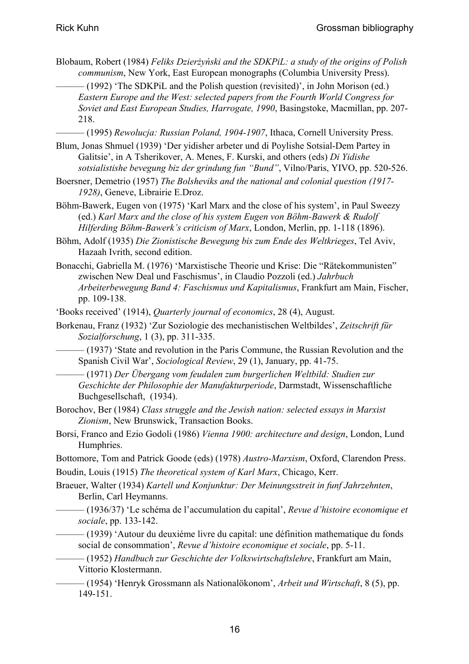Blobaum, Robert (1984) *Feliks Dzierżyński and the SDKPiL: a study of the origins of Polish communism*, New York, East European monographs (Columbia University Press).

 $(1992)$  'The SDKPiL and the Polish question (revisited)', in John Morison (ed.) *Eastern Europe and the West: selected papers from the Fourth World Congress for Soviet and East European Studies, Harrogate, 1990*, Basingstoke, Macmillan, pp. 207- 218.

——— (1995) *Rewolucja: Russian Poland, 1904-1907*, Ithaca, Cornell University Press.

- Blum, Jonas Shmuel (1939) 'Der yidisher arbeter und di Poylishe Sotsial-Dem Partey in Galitsie', in A Tsherikover, A. Menes, F. Kurski, and others (eds) *Di Yidishe sotsialistishe bevegung biz der grindung fun "Bund"*, Vilno/Paris, YIVO, pp. 520-526.
- Boersner, Demetrio (1957) *The Bolsheviks and the national and colonial question (1917- 1928)*, Geneve, Librairie E.Droz.
- Böhm-Bawerk, Eugen von (1975) 'Karl Marx and the close of his system', in Paul Sweezy (ed.) *Karl Marx and the close of his system Eugen von Böhm-Bawerk & Rudolf Hilferding Böhm-Bawerk's criticism of Marx*, London, Merlin, pp. 1-118 (1896).
- Böhm, Adolf (1935) *Die Zionistische Bewegung bis zum Ende des Weltkrieges*, Tel Aviv, Hazaah Ivrith, second edition.
- Bonacchi, Gabriella M. (1976) 'Marxistische Theorie und Krise: Die "Rätekommunisten" zwischen New Deal und Faschismus', in Claudio Pozzoli (ed.) *Jahrbuch Arbeiterbewegung Band 4: Faschismus und Kapitalismus*, Frankfurt am Main, Fischer, pp. 109-138.
- 'Books received' (1914), *Quarterly journal of economics*, 28 (4), August.
- Borkenau, Franz (1932) 'Zur Soziologie des mechanistischen Weltbildes', *Zeitschrift für Sozialforschung*, 1 (3), pp. 311-335.

– (1937) 'State and revolution in the Paris Commune, the Russian Revolution and the Spanish Civil War', *Sociological Review*, 29 (1), January, pp. 41-75.

- ——— (1971) *Der Übergang vom feudalen zum burgerlichen Weltbild: Studien zur Geschichte der Philosophie der Manufakturperiode*, Darmstadt, Wissenschaftliche Buchgesellschaft, (1934).
- Borochov, Ber (1984) *Class struggle and the Jewish nation: selected essays in Marxist Zionism*, New Brunswick, Transaction Books.
- Borsi, Franco and Ezio Godoli (1986) *Vienna 1900: architecture and design*, London, Lund Humphries.
- Bottomore, Tom and Patrick Goode (eds) (1978) *Austro-Marxism*, Oxford, Clarendon Press.

Boudin, Louis (1915) *The theoretical system of Karl Marx*, Chicago, Kerr.

- Braeuer, Walter (1934) *Kartell und Konjunktur: Der Meinungsstreit in funf Jahrzehnten*, Berlin, Carl Heymanns.
	- ——— (1936/37) 'Le schéma de l'accumulation du capital', *Revue d'histoire economique et sociale*, pp. 133-142.
	- ——— (1939) 'Autour du deuxiéme livre du capital: une définition mathematique du fonds social de consommation', *Revue d'histoire economique et sociale*, pp. 5-11.

——— (1952) *Handbuch zur Geschichte der Volkswirtschaftslehre*, Frankfurt am Main, Vittorio Klostermann.

——— (1954) 'Henryk Grossmann als Nationalökonom', *Arbeit und Wirtschaft*, 8 (5), pp. 149-151.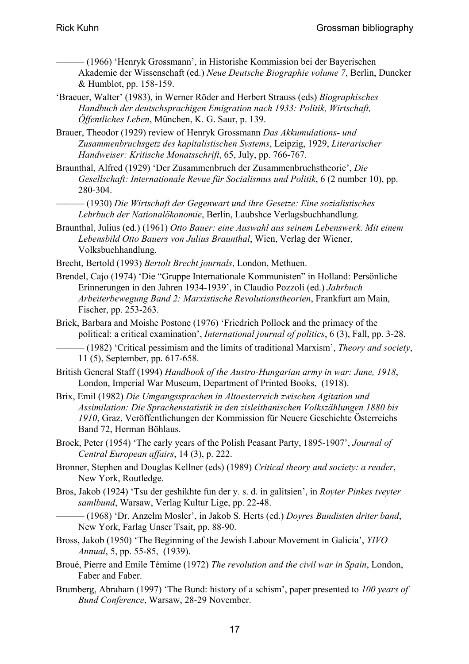——— (1966) 'Henryk Grossmann', in Historishe Kommission bei der Bayerischen Akademie der Wissenschaft (ed.) *Neue Deutsche Biographie volume 7*, Berlin, Duncker & Humblot, pp. 158-159.

'Braeuer, Walter' (1983), in Werner Röder and Herbert Strauss (eds) *Biographisches Handbuch der deutschsprachigen Emigration nach 1933: Politik, Wirtschaft, Öffentliches Leben*, München, K. G. Saur, p. 139.

Brauer, Theodor (1929) review of Henryk Grossmann *Das Akkumulations- und Zusammenbruchsgetz des kapitalistischen Systems*, Leipzig, 1929, *Literarischer Handweiser: Kritische Monatsschrift*, 65, July, pp. 766-767.

Braunthal, Alfred (1929) 'Der Zusammenbruch der Zusammenbruchstheorie', *Die Gesellschaft: Internationale Revue für Socialismus und Politik*, 6 (2 number 10), pp. 280-304.

——— (1930) *Die Wirtschaft der Gegenwart und ihre Gesetze: Eine sozialistisches Lehrbuch der Nationalökonomie*, Berlin, Laubshce Verlagsbuchhandlung.

- Braunthal, Julius (ed.) (1961) *Otto Bauer: eine Auswahl aus seinem Lebenswerk. Mit einem Lebensbild Otto Bauers von Julius Braunthal*, Wien, Verlag der Wiener, Volksbuchhandlung.
- Brecht, Bertold (1993) *Bertolt Brecht journals*, London, Methuen.
- Brendel, Cajo (1974) 'Die "Gruppe Internationale Kommunisten" in Holland: Persönliche Erinnerungen in den Jahren 1934-1939', in Claudio Pozzoli (ed.) *Jahrbuch Arbeiterbewegung Band 2: Marxistische Revolutionstheorien*, Frankfurt am Main, Fischer, pp. 253-263.
- Brick, Barbara and Moishe Postone (1976) 'Friedrich Pollock and the primacy of the political: a critical examination', *International journal of politics*, 6 (3), Fall, pp. 3-28.

——— (1982) 'Critical pessimism and the limits of traditional Marxism', *Theory and society*, 11 (5), September, pp. 617-658.

- British General Staff (1994) *Handbook of the Austro-Hungarian army in war: June, 1918*, London, Imperial War Museum, Department of Printed Books, (1918).
- Brix, Emil (1982) *Die Umgangssprachen in Altoesterreich zwischen Agitation und Assimilation: Die Sprachenstatistik in den zisleithanischen Volkszählungen 1880 bis 1910*, Graz, Veröffentlichungen der Kommission für Neuere Geschichte Österreichs Band 72, Herman Böhlaus.
- Brock, Peter (1954) 'The early years of the Polish Peasant Party, 1895-1907', *Journal of Central European affairs*, 14 (3), p. 222.
- Bronner, Stephen and Douglas Kellner (eds) (1989) *Critical theory and society: a reader*, New York, Routledge.
- Bros, Jakob (1924) 'Tsu der geshikhte fun der y. s. d. in galitsien', in *Royter Pinkes tveyter samlbund*, Warsaw, Verlag Kultur Lige, pp. 22-48.

——— (1968) 'Dr. Anzelm Mosler', in Jakob S. Herts (ed.) *Doyres Bundisten driter band*, New York, Farlag Unser Tsait, pp. 88-90.

- Bross, Jakob (1950) 'The Beginning of the Jewish Labour Movement in Galicia', *YIVO Annual*, 5, pp. 55-85, (1939).
- Broué, Pierre and Emile Témime (1972) *The revolution and the civil war in Spain*, London, Faber and Faber.

Brumberg, Abraham (1997) 'The Bund: history of a schism', paper presented to *100 years of Bund Conference*, Warsaw, 28-29 November.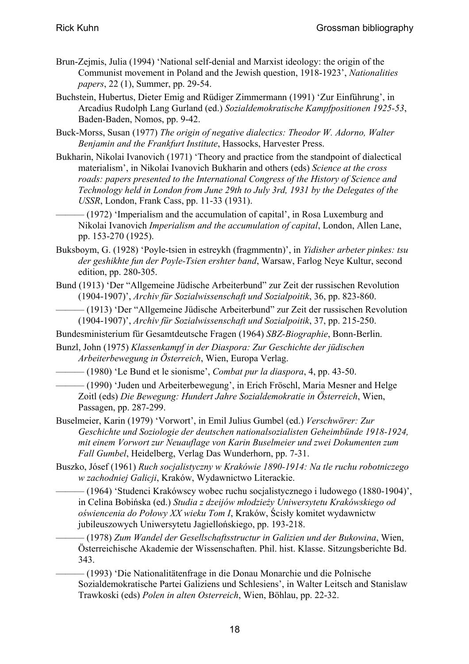- Brun-Zejmis, Julia (1994) 'National self-denial and Marxist ideology: the origin of the Communist movement in Poland and the Jewish question, 1918-1923', *Nationalities papers*, 22 (1), Summer, pp. 29-54.
- Buchstein, Hubertus, Dieter Emig and Rüdiger Zimmermann (1991) 'Zur Einführung', in Arcadius Rudolph Lang Gurland (ed.) *Sozialdemokratische Kampfpositionen 1925-53*, Baden-Baden, Nomos, pp. 9-42.
- Buck-Morss, Susan (1977) *The origin of negative dialectics: Theodor W. Adorno, Walter Benjamin and the Frankfurt Institute*, Hassocks, Harvester Press.
- Bukharin, Nikolai Ivanovich (1971) 'Theory and practice from the standpoint of dialectical materialism', in Nikolai Ivanovich Bukharin and others (eds) *Science at the cross roads: papers presented to the International Congress of the History of Science and Technology held in London from June 29th to July 3rd, 1931 by the Delegates of the USSR*, London, Frank Cass, pp. 11-33 (1931).
- $-$  (1972) 'Imperialism and the accumulation of capital', in Rosa Luxemburg and Nikolai Ivanovich *Imperialism and the accumulation of capital*, London, Allen Lane, pp. 153-270 (1925).
- Buksboym, G. (1928) 'Poyle-tsien in estreykh (fragmmentn)', in *Yidisher arbeter pinkes: tsu der geshikhte fun der Poyle-Tsien ershter band*, Warsaw, Farlog Neye Kultur, second edition, pp. 280-305.
- Bund (1913) 'Der "Allgemeine Jüdische Arbeiterbund" zur Zeit der russischen Revolution (1904-1907)', *Archiv für Sozialwissenschaft und Sozialpoitik*, 36, pp. 823-860.
- ——— (1913) 'Der "Allgemeine Jüdische Arbeiterbund" zur Zeit der russischen Revolution (1904-1907)', *Archiv für Sozialwissenschaft und Sozialpoitik*, 37, pp. 215-250.
- Bundesministerium für Gesamtdeutsche Fragen (1964) *SBZ-Biographie*, Bonn-Berlin.
- Bunzl, John (1975) *Klassenkampf in der Diaspora: Zur Geschichte der jüdischen Arbeiterbewegung in Österreich*, Wien, Europa Verlag.
	- ——— (1980) 'Le Bund et le sionisme', *Combat pur la diaspora*, 4, pp. 43-50.
	- ——— (1990) 'Juden und Arbeiterbewegung', in Erich Fröschl, Maria Mesner and Helge Zoitl (eds) *Die Bewegung: Hundert Jahre Sozialdemokratie in Österreich*, Wien, Passagen, pp. 287-299.
- Buselmeier, Karin (1979) 'Vorwort', in Emil Julius Gumbel (ed.) *Verschwörer: Zur Geschichte und Soziologie der deutschen nationalsozialisten Geheimbünde 1918-1924, mit einem Vorwort zur Neuauflage von Karin Buselmeier und zwei Dokumenten zum Fall Gumbel*, Heidelberg, Verlag Das Wunderhorn, pp. 7-31.
- Buszko, Jósef (1961) *Ruch socjalistyczny w Krakówie 1890-1914: Na tle ruchu robotniczego w zachodniej Galicji*, Kraków, Wydawnictwo Literackie.
	- ——— (1964) 'Studenci Krakówscy wobec ruchu socjalistycznego i ludowego (1880-1904)', in Celina Bobińska (ed.) *Studia z dzeijów młodzieży Uniwersytetu Krakówskiego od oświencenia do Połowy XX wieku Tom I*, Kraków, Ścisły komitet wydawnictw jubileuszowych Uniwersytetu Jagiellońskiego, pp. 193-218.
		- ——— (1978) *Zum Wandel der Gesellschaftsstructur in Galizien und der Bukowina*, Wien, Österreichische Akademie der Wissenschaften. Phil. hist. Klasse. Sitzungsberichte Bd. 343.
	- ——— (1993) 'Die Nationalitätenfrage in die Donau Monarchie und die Polnische Sozialdemokratische Partei Galiziens und Schlesiens', in Walter Leitsch and Stanislaw Trawkoski (eds) *Polen in alten Osterreich*, Wien, Böhlau, pp. 22-32.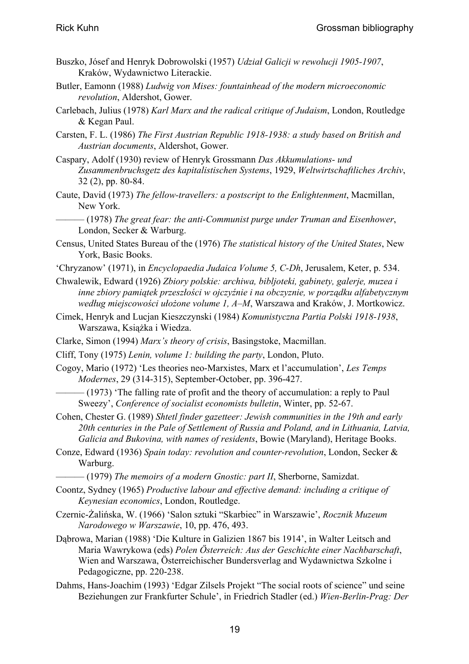- Buszko, Jósef and Henryk Dobrowolski (1957) *Udział Galicji w rewolucji 1905-1907*, Kraków, Wydawnictwo Literackie.
- Butler, Eamonn (1988) *Ludwig von Mises: fountainhead of the modern microeconomic revolution*, Aldershot, Gower.
- Carlebach, Julius (1978) *Karl Marx and the radical critique of Judaism*, London, Routledge & Kegan Paul.
- Carsten, F. L. (1986) *The First Austrian Republic 1918-1938: a study based on British and Austrian documents*, Aldershot, Gower.
- Caspary, Adolf (1930) review of Henryk Grossmann *Das Akkumulations- und Zusammenbruchsgetz des kapitalistischen Systems*, 1929, *Weltwirtschaftliches Archiv*, 32 (2), pp. 80-84.
- Caute, David (1973) *The fellow-travellers: a postscript to the Enlightenment*, Macmillan, New York.
	- ——— (1978) *The great fear: the anti-Communist purge under Truman and Eisenhower*, London, Secker & Warburg.
- Census, United States Bureau of the (1976) *The statistical history of the United States*, New York, Basic Books.
- 'Chryzanow' (1971), in *Encyclopaedia Judaica Volume 5, C-Dh*, Jerusalem, Keter, p. 534.
- Chwalewik, Edward (1926) *Zbiory polskie: archiwa, bibljoteki, gabinety, galerje, muzea i inne zbiory pamiątek przeszłości w ojczyźnie i na obczyznie, w porządku alfabetycznym według miejscowości ułożone volume 1, A–M*, Warszawa and Kraków, J. Mortkowicz.
- Cimek, Henryk and Lucjan Kieszczynski (1984) *Komunistyczna Partia Polski 1918-1938*, Warszawa, Książka i Wiedza.
- Clarke, Simon (1994) *Marx's theory of crisis*, Basingstoke, Macmillan.
- Cliff, Tony (1975) *Lenin, volume 1: building the party*, London, Pluto.
- Cogoy, Mario (1972) 'Les theories neo-Marxistes, Marx et l'accumulation', *Les Temps Modernes*, 29 (314-315), September-October, pp. 396-427.
	- $-$  (1973) The falling rate of profit and the theory of accumulation: a reply to Paul Sweezy', *Conference of socialist economists bulletin*, Winter, pp. 52-67.
- Cohen, Chester G. (1989) *Shtetl finder gazetteer: Jewish communities in the 19th and early 20th centuries in the Pale of Settlement of Russia and Poland, and in Lithuania, Latvia, Galicia and Bukovina, with names of residents*, Bowie (Maryland), Heritage Books.
- Conze, Edward (1936) *Spain today: revolution and counter-revolution*, London, Secker & Warburg.
	- ——— (1979) *The memoirs of a modern Gnostic: part II*, Sherborne, Samizdat.
- Coontz, Sydney (1965) *Productive labour and effective demand: including a critique of Keynesian economics*, London, Routledge.
- Czernic-Żalińska, W. (1966) 'Salon sztuki "Skarbiec" in Warszawie', *Rocznik Muzeum Narodowego w Warszawie*, 10, pp. 476, 493.
- Dąbrowa, Marian (1988) 'Die Kulture in Galizien 1867 bis 1914', in Walter Leitsch and Maria Wawrykowa (eds) *Polen Österreich: Aus der Geschichte einer Nachbarschaft*, Wien and Warszawa, Österreichischer Bundersverlag and Wydawnictwa Szkolne i Pedagogiczne, pp. 220-238.
- Dahms, Hans-Joachim (1993) 'Edgar Zilsels Projekt "The social roots of science" und seine Beziehungen zur Frankfurter Schule', in Friedrich Stadler (ed.) *Wien-Berlin-Prag: Der*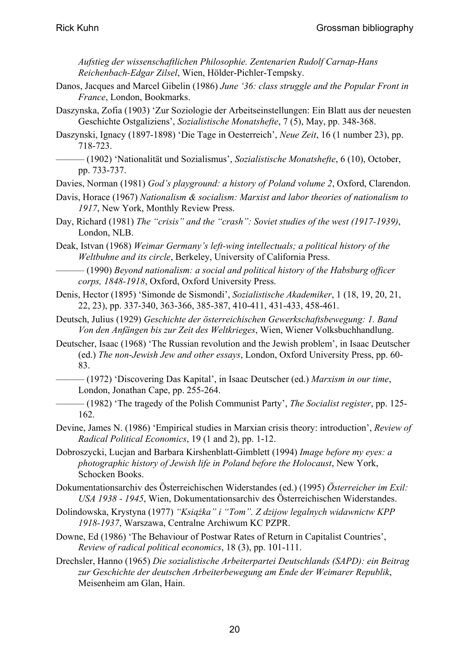*Aufstieg der wissenschaftlichen Philosophie. Zentenarien Rudolf Carnap-Hans Reichenbach-Edgar Zilsel*, Wien, Hölder-Pichler-Tempsky.

- Danos, Jacques and Marcel Gibelin (1986) *June '36: class struggle and the Popular Front in France*, London, Bookmarks.
- Daszynska, Zofia (1903) 'Zur Soziologie der Arbeitseinstellungen: Ein Blatt aus der neuesten Geschichte Ostgaliziens', *Sozialistische Monatshefte*, 7 (5), May, pp. 348-368.
- Daszynski, Ignacy (1897-1898) 'Die Tage in Oesterreich', *Neue Zeit*, 16 (1 number 23), pp. 718-723.
- ——— (1902) 'Nationalität und Sozialismus', *Sozialistische Monatshefte*, 6 (10), October, pp. 733-737.
- Davies, Norman (1981) *God's playground: a history of Poland volume 2*, Oxford, Clarendon.
- Davis, Horace (1967) *Nationalism & socialism: Marxist and labor theories of nationalism to 1917*, New York, Monthly Review Press.
- Day, Richard (1981) *The "crisis" and the "crash": Soviet studies of the west (1917-1939)*, London, NLB.

Deak, Istvan (1968) *Weimar Germany's left-wing intellectuals; a political history of the Weltbuhne and its circle*, Berkeley, University of California Press.

——— (1990) *Beyond nationalism: a social and political history of the Habsburg officer corps, 1848-1918*, Oxford, Oxford University Press.

Denis, Hector (1895) 'Simonde de Sismondi', *Sozialistische Akademiker*, 1 (18, 19, 20, 21, 22, 23), pp. 337-340, 363-366, 385-387, 410-411, 431-433, 458-461.

Deutsch, Julius (1929) *Geschichte der österreichischen Gewerkschaftsbewegung: 1. Band Von den Anfängen bis zur Zeit des Weltkrieges*, Wien, Wiener Volksbuchhandlung.

- Deutscher, Isaac (1968) 'The Russian revolution and the Jewish problem', in Isaac Deutscher (ed.) *The non-Jewish Jew and other essays*, London, Oxford University Press, pp. 60- 83.
	- ——— (1972) 'Discovering Das Kapital', in Isaac Deutscher (ed.) *Marxism in our time*, London, Jonathan Cape, pp. 255-264.
- ——— (1982) 'The tragedy of the Polish Communist Party', *The Socialist register*, pp. 125- 162.
- Devine, James N. (1986) 'Empirical studies in Marxian crisis theory: introduction', *Review of Radical Political Economics*, 19 (1 and 2), pp. 1-12.
- Dobroszycki, Lucjan and Barbara Kirshenblatt-Gimblett (1994) *Image before my eyes: a photographic history of Jewish life in Poland before the Holocaust*, New York, Schocken Books.

Dokumentationsarchiv des Österreichischen Widerstandes (ed.) (1995) *Österreicher im Exil: USA 1938 - 1945*, Wien, Dokumentationsarchiv des Österreichischen Widerstandes.

- Dolindowska, Krystyna (1977) *"Książka" i "Tom". Z dzijow legalnych widawnictw KPP 1918-1937*, Warszawa, Centralne Archiwum KC PZPR.
- Downe, Ed (1986) 'The Behaviour of Postwar Rates of Return in Capitalist Countries', *Review of radical political economics*, 18 (3), pp. 101-111.
- Drechsler, Hanno (1965) *Die sozialistische Arbeiterpartei Deutschlands (SAPD): ein Beitrag zur Geschichte der deutschen Arbeiterbewegung am Ende der Weimarer Republik*, Meisenheim am Glan, Hain.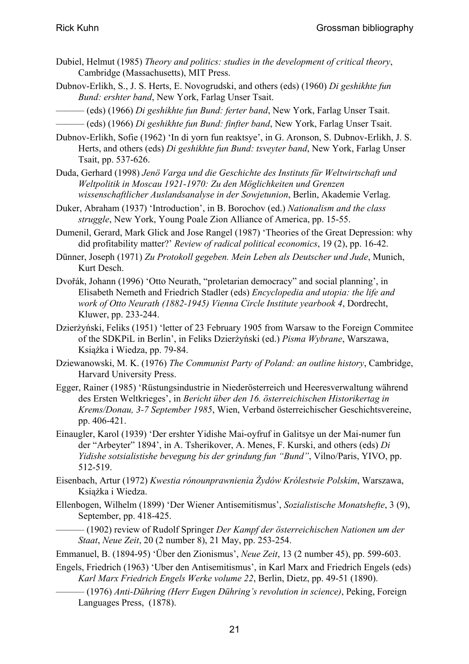- Dubiel, Helmut (1985) *Theory and politics: studies in the development of critical theory*, Cambridge (Massachusetts), MIT Press.
- Dubnov-Erlikh, S., J. S. Herts, E. Novogrudski, and others (eds) (1960) *Di geshikhte fun Bund: ershter band*, New York, Farlag Unser Tsait.
- ——— (eds) (1966) *Di geshikhte fun Bund: ferter band*, New York, Farlag Unser Tsait.
- ——— (eds) (1966) *Di geshikhte fun Bund: finfter band*, New York, Farlag Unser Tsait.
- Dubnov-Erlikh, Sofie (1962) 'In di yorn fun reaktsye', in G. Aronson, S. Dubnov-Erlikh, J. S. Herts, and others (eds) *Di geshikhte fun Bund: tsveyter band*, New York, Farlag Unser Tsait, pp. 537-626.
- Duda, Gerhard (1998) *Jenö Varga und die Geschichte des Instituts für Weltwirtschaft und Weltpolitik in Moscau 1921-1970: Zu den Möglichkeiten und Grenzen wissenschaftlicher Auslandsanalyse in der Sowjetunion*, Berlin, Akademie Verlag.
- Duker, Abraham (1937) 'Introduction', in B. Borochov (ed.) *Nationalism and the class struggle*, New York, Young Poale Zion Alliance of America, pp. 15-55.
- Dumenil, Gerard, Mark Glick and Jose Rangel (1987) 'Theories of the Great Depression: why did profitability matter?' *Review of radical political economics*, 19 (2), pp. 16-42.
- Dünner, Joseph (1971) *Zu Protokoll gegeben. Mein Leben als Deutscher und Jude*, Munich, Kurt Desch.
- Dvořák, Johann (1996) 'Otto Neurath, "proletarian democracy" and social planning', in Elisabeth Nemeth and Friedrich Stadler (eds) *Encyclopedia and utopia: the life and work of Otto Neurath (1882-1945) Vienna Circle Institute yearbook 4*, Dordrecht, Kluwer, pp. 233-244.
- Dzierżyński, Feliks (1951) 'letter of 23 February 1905 from Warsaw to the Foreign Commitee of the SDKPiL in Berlin', in Feliks Dzierżyński (ed.) *Pisma Wybrane*, Warszawa, Książka i Wiedza, pp. 79-84.
- Dziewanowski, M. K. (1976) *The Communist Party of Poland: an outline history*, Cambridge, Harvard University Press.
- Egger, Rainer (1985) 'Rüstungsindustrie in Niederösterreich und Heeresverwaltung während des Ersten Weltkrieges', in *Bericht über den 16. österreichischen Historikertag in Krems/Donau, 3-7 September 1985*, Wien, Verband österreichischer Geschichtsvereine, pp. 406-421.
- Einaugler, Karol (1939) 'Der ershter Yidishe Mai-oyfruf in Galitsye un der Mai-numer fun der "Arbeyter" 1894', in A. Tsherikover, A. Menes, F. Kurski, and others (eds) *Di Yidishe sotsialistishe bevegung bis der grindung fun "Bund"*, Vilno/Paris, YIVO, pp. 512-519.
- Eisenbach, Artur (1972) *Kwestia rónounprawnienia Żydów Królestwie Polskim*, Warszawa, Książka i Wiedza.
- Ellenbogen, Wilhelm (1899) 'Der Wiener Antisemitismus', *Sozialistische Monatshefte*, 3 (9), September, pp. 418-425.
- ——— (1902) review of Rudolf Springer *Der Kampf der österreichischen Nationen um der Staat*, *Neue Zeit*, 20 (2 number 8), 21 May, pp. 253-254.
- Emmanuel, B. (1894-95) 'Über den Zionismus', *Neue Zeit*, 13 (2 number 45), pp. 599-603.
- Engels, Friedrich (1963) 'Uber den Antisemitismus', in Karl Marx and Friedrich Engels (eds) *Karl Marx Friedrich Engels Werke volume 22*, Berlin, Dietz, pp. 49-51 (1890).
	- ——— (1976) *Anti-Dühring (Herr Eugen Dühring's revolution in science)*, Peking, Foreign Languages Press, (1878).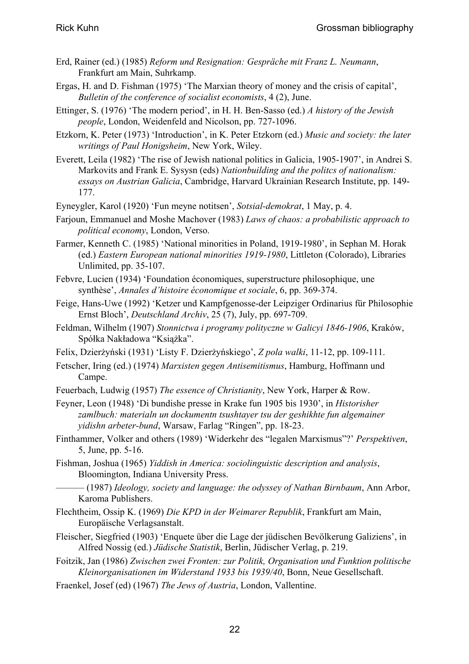- Erd, Rainer (ed.) (1985) *Reform und Resignation: Gespräche mit Franz L. Neumann*, Frankfurt am Main, Suhrkamp.
- Ergas, H. and D. Fishman (1975) 'The Marxian theory of money and the crisis of capital', *Bulletin of the conference of socialist economists*, 4 (2), June.
- Ettinger, S. (1976) 'The modern period', in H. H. Ben-Sasso (ed.) *A history of the Jewish people*, London, Weidenfeld and Nicolson, pp. 727-1096.
- Etzkorn, K. Peter (1973) 'Introduction', in K. Peter Etzkorn (ed.) *Music and society: the later writings of Paul Honigsheim*, New York, Wiley.
- Everett, Leila (1982) 'The rise of Jewish national politics in Galicia, 1905-1907', in Andrei S. Markovits and Frank E. Sysysn (eds) *Nationbuilding and the politcs of nationalism: essays on Austrian Galicia*, Cambridge, Harvard Ukrainian Research Institute, pp. 149- 177.
- Eyneygler, Karol (1920) 'Fun meyne notitsen', *Sotsial-demokrat*, 1 May, p. 4.
- Farjoun, Emmanuel and Moshe Machover (1983) *Laws of chaos: a probabilistic approach to political economy*, London, Verso.
- Farmer, Kenneth C. (1985) 'National minorities in Poland, 1919-1980', in Sephan M. Horak (ed.) *Eastern European national minorities 1919-1980*, Littleton (Colorado), Libraries Unlimited, pp. 35-107.
- Febvre, Lucien (1934) 'Foundation économiques, superstructure philosophique, une synthèse', *Annales d'histoire économique et sociale*, 6, pp. 369-374.
- Feige, Hans-Uwe (1992) 'Ketzer und Kampfgenosse-der Leipziger Ordinarius für Philosophie Ernst Bloch', *Deutschland Archiv*, 25 (7), July, pp. 697-709.
- Feldman, Wilhelm (1907) *Stonnictwa i programy polityczne w Galicyi 1846-1906*, Kraków, Spółka Nakładowa "Książka".
- Felix, Dzierżyński (1931) 'Listy F. Dzierżyńskiego', *Z pola walki*, 11-12, pp. 109-111.
- Fetscher, Iring (ed.) (1974) *Marxisten gegen Antisemitismus*, Hamburg, Hoffmann und Campe.
- Feuerbach, Ludwig (1957) *The essence of Christianity*, New York, Harper & Row.
- Feyner, Leon (1948) 'Di bundishe presse in Krake fun 1905 bis 1930', in *Historisher zamlbuch: materialn un dockumentn tsushtayer tsu der geshikhte fun algemainer yidishn arbeter-bund*, Warsaw, Farlag "Ringen", pp. 18-23.
- Finthammer, Volker and others (1989) 'Widerkehr des "legalen Marxismus"?' *Perspektiven*, 5, June, pp. 5-16.
- Fishman, Joshua (1965) *Yiddish in America: sociolinguistic description and analysis*, Bloomington, Indiana University Press.
- ——— (1987) *Ideology, society and language: the odyssey of Nathan Birnbaum*, Ann Arbor, Karoma Publishers.
- Flechtheim, Ossip K. (1969) *Die KPD in der Weimarer Republik*, Frankfurt am Main, Europäische Verlagsanstalt.
- Fleischer, Siegfried (1903) 'Enquete über die Lage der jüdischen Bevölkerung Galiziens', in Alfred Nossig (ed.) *Jüdische Statistik*, Berlin, Jüdischer Verlag, p. 219.
- Foitzik, Jan (1986) *Zwischen zwei Fronten: zur Politik, Organisation und Funktion politische Kleinorganisationen im Widerstand 1933 bis 1939/40*, Bonn, Neue Gesellschaft.
- Fraenkel, Josef (ed) (1967) *The Jews of Austria*, London, Vallentine.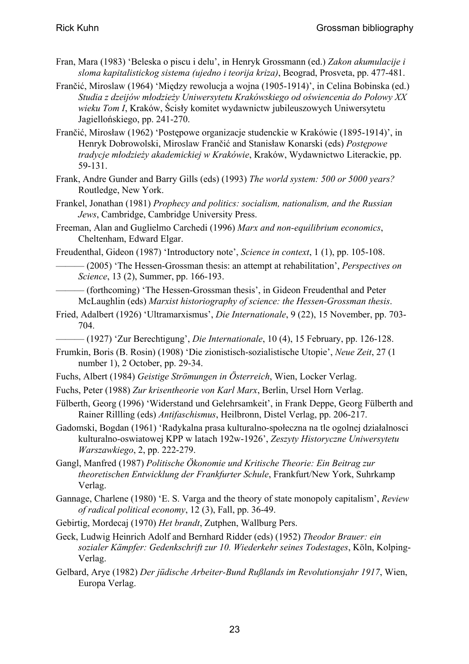- Fran, Mara (1983) 'Beleska o piscu i delu', in Henryk Grossmann (ed.) *Zakon akumulacije i sloma kapitalistickog sistema (ujedno i teorija kriza)*, Beograd, Prosveta, pp. 477-481.
- Frančić, Miroslaw (1964) 'Między rewolucja a wojna (1905-1914)', in Celina Bobinska (ed.) *Studia z dzeijów młodzieży Uniwersytetu Krakówskiego od oświencenia do Połowy XX wieku Tom I*, Kraków, Ścisły komitet wydawnictw jubileuszowych Uniwersytetu Jagiellońskiego, pp. 241-270.
- Frančić, Mirosław (1962) 'Postępowe organizacje studenckie w Krakówie (1895-1914)', in Henryk Dobrowolski, Miroslaw Frančić and Stanisław Konarski (eds) *Postępowe tradycje młodzieży akademickiej w Krakówie*, Kraków, Wydawnictwo Literackie, pp. 59-131.
- Frank, Andre Gunder and Barry Gills (eds) (1993) *The world system: 500 or 5000 years?* Routledge, New York.
- Frankel, Jonathan (1981) *Prophecy and politics: socialism, nationalism, and the Russian Jews*, Cambridge, Cambridge University Press.
- Freeman, Alan and Guglielmo Carchedi (1996) *Marx and non-equilibrium economics*, Cheltenham, Edward Elgar.
- Freudenthal, Gideon (1987) 'Introductory note', *Science in context*, 1 (1), pp. 105-108.

——— (2005) 'The Hessen-Grossman thesis: an attempt at rehabilitation', *Perspectives on Science*, 13 (2), Summer, pp. 166-193.

- (forthcoming) 'The Hessen-Grossman thesis', in Gideon Freudenthal and Peter McLaughlin (eds) *Marxist historiography of science: the Hessen-Grossman thesis*.

Fried, Adalbert (1926) 'Ultramarxismus', *Die Internationale*, 9 (22), 15 November, pp. 703- 704.

——— (1927) 'Zur Berechtigung', *Die Internationale*, 10 (4), 15 February, pp. 126-128.

- Frumkin, Boris (B. Rosin) (1908) 'Die zionistisch-sozialistische Utopie', *Neue Zeit*, 27 (1 number 1), 2 October, pp. 29-34.
- Fuchs, Albert (1984) *Geistige Strömungen in Österreich*, Wien, Locker Verlag.
- Fuchs, Peter (1988) *Zur krisentheorie von Karl Marx*, Berlin, Ursel Horn Verlag.
- Fülberth, Georg (1996) 'Widerstand und Gelehrsamkeit', in Frank Deppe, Georg Fülberth and Rainer Rillling (eds) *Antifaschismus*, Heilbronn, Distel Verlag, pp. 206-217.
- Gadomski, Bogdan (1961) 'Radykalna prasa kulturalno-społeczna na tle ogolnej działalnosci kulturalno-oswiatowej KPP w latach 192w-1926', *Zeszyty Historyczne Uniwersytetu Warszawkiego*, 2, pp. 222-279.
- Gangl, Manfred (1987) *Politische Ökonomie und Kritische Theorie: Ein Beitrag zur theoretischen Entwicklung der Frankfurter Schule*, Frankfurt/New York, Suhrkamp Verlag.
- Gannage, Charlene (1980) 'E. S. Varga and the theory of state monopoly capitalism', *Review of radical political economy*, 12 (3), Fall, pp. 36-49.
- Gebirtig, Mordecaj (1970) *Het brandt*, Zutphen, Wallburg Pers.
- Geck, Ludwig Heinrich Adolf and Bernhard Ridder (eds) (1952) *Theodor Brauer: ein sozialer Kämpfer: Gedenkschrift zur 10. Wiederkehr seines Todestages*, Köln, Kolping-Verlag.
- Gelbard, Arye (1982) *Der jüdische Arbeiter-Bund Rußlands im Revolutionsjahr 1917*, Wien, Europa Verlag.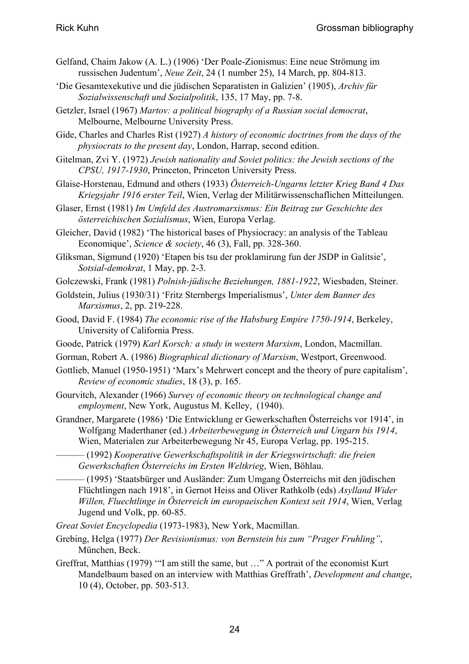- Gelfand, Chaim Jakow (A. L.) (1906) 'Der Poale-Zionismus: Eine neue Strömung im russischen Judentum', *Neue Zeit*, 24 (1 number 25), 14 March, pp. 804-813.
- 'Die Gesamtexekutive und die jüdischen Separatisten in Galizien' (1905), *Archiv für Sozialwissenschaft und Sozialpolitik*, 135, 17 May, pp. 7-8.
- Getzler, Israel (1967) *Martov: a political biography of a Russian social democrat*, Melbourne, Melbourne University Press.
- Gide, Charles and Charles Rist (1927) *A history of economic doctrines from the days of the physiocrats to the present day*, London, Harrap, second edition.
- Gitelman, Zvi Y. (1972) *Jewish nationality and Soviet politics: the Jewish sections of the CPSU, 1917-1930*, Princeton, Princeton University Press.
- Glaise-Horstenau, Edmund and others (1933) *Österreich-Ungarns letzter Krieg Band 4 Das Kriegsjahr 1916 erster Teil*, Wien, Verlag der Militärwissenschaflichen Mitteilungen.
- Glaser, Ernst (1981) *Im Umfeld des Austromarxismus: Ein Beitrag zur Geschichte des österreichischen Sozialismus*, Wien, Europa Verlag.
- Gleicher, David (1982) 'The historical bases of Physiocracy: an analysis of the Tableau Economique', *Science & society*, 46 (3), Fall, pp. 328-360.
- Gliksman, Sigmund (1920) 'Etapen bis tsu der proklamirung fun der JSDP in Galitsie', *Sotsial-demokrat*, 1 May, pp. 2-3.
- Golczewski, Frank (1981) *Polnish-jüdische Beziehungen, 1881-1922*, Wiesbaden, Steiner.
- Goldstein, Julius (1930/31) 'Fritz Sternbergs Imperialismus', *Unter dem Banner des Marxismus*, 2, pp. 219-228.
- Good, David F. (1984) *The economic rise of the Habsburg Empire 1750-1914*, Berkeley, University of California Press.
- Goode, Patrick (1979) *Karl Korsch: a study in western Marxism*, London, Macmillan.
- Gorman, Robert A. (1986) *Biographical dictionary of Marxism*, Westport, Greenwood.
- Gottlieb, Manuel (1950-1951) 'Marx's Mehrwert concept and the theory of pure capitalism', *Review of economic studies*, 18 (3), p. 165.
- Gourvitch, Alexander (1966) *Survey of economic theory on technological change and employment*, New York, Augustus M. Kelley, (1940).
- Grandner, Margarete (1986) 'Die Entwicklung er Gewerkschaften Österreichs vor 1914', in Wolfgang Maderthaner (ed.) *Arbeiterbewegung in Österreich und Ungarn bis 1914*, Wien, Materialen zur Arbeiterbewegung Nr 45, Europa Verlag, pp. 195-215.
	- ——— (1992) *Kooperative Gewerkschaftspolitik in der Kriegswirtschaft: die freien Gewerkschaften Österreichs im Ersten Weltkrieg*, Wien, Böhlau.
	- ——— (1995) 'Staatsbürger und Ausländer: Zum Umgang Österreichs mit den jüdischen Flüchtlingen nach 1918', in Gernot Heiss and Oliver Rathkolb (eds) *Asylland Wider Willen, Fluechtlinge in Österreich im europaeischen Kontext seit 1914*, Wien, Verlag Jugend und Volk, pp. 60-85.
- *Great Soviet Encyclopedia* (1973-1983), New York, Macmillan.
- Grebing, Helga (1977) *Der Revisionismus: von Bernstein bis zum "Prager Fruhling"*, München, Beck.
- Greffrat, Matthias (1979) '"I am still the same, but …" A portrait of the economist Kurt Mandelbaum based on an interview with Matthias Greffrath', *Development and change*, 10 (4), October, pp. 503-513.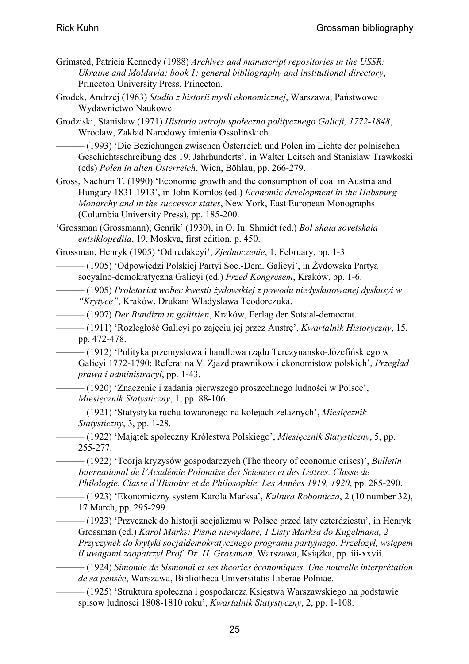- Grimsted, Patricia Kennedy (1988) *Archives and manuscript repositories in the USSR: Ukraine and Moldavia: book 1: general bibliography and institutional directory*, Princeton University Press, Princeton.
- Grodek, Andrzej (1963) *Studia z historii mysłi ekonomicznej*, Warszawa, Państwowe Wydawnictwo Naukowe.
- Grodziski, Stanisław (1971) *Historia ustroju społeczno politycznego Galicji, 1772-1848*, Wroclaw, Zakład Narodowy imienia Ossolińskich.

——— (1993) 'Die Beziehungen zwischen Österreich und Polen im Lichte der polnischen Geschichtsschreibung des 19. Jahrhunderts', in Walter Leitsch and Stanislaw Trawkoski (eds) *Polen in alten Osterreich*, Wien, Böhlau, pp. 266-279.

- Gross, Nachum T. (1990) 'Economic growth and the consumption of coal in Austria and Hungary 1831-1913', in John Komlos (ed.) *Economic development in the Habsburg Monarchy and in the successor states*, New York, East European Monographs (Columbia University Press), pp. 185-200.
- 'Grossman (Grossmann), Genrik' (1930), in O. Iu. Shmidt (ed.) *Bol'shaia sovetskaia entsiklopediia*, 19, Moskva, first edition, p. 450.
- Grossman, Henryk (1905) 'Od redakcyi', *Zjednoczenie*, 1, February, pp. 1-3.

——— (1905) 'Odpowiedzi Polskiej Partyi Soc.-Dem. Galicyi', in Żydowska Partya socyalno-demokratyczna Galicyi (ed.) *Przed Kongresem*, Kraków, pp. 1-6.

——— (1905) *Proletariat wobec kwestii żydowskiej z powodu niedyskutowanej dyskusyi w "Krytyce"*, Kraków, Drukani Wladyslawa Teodorczuka.

——— (1907) *Der Bundizm in galitsien*, Kraków, Ferlag der Sotsial-democrat.

——— (1911) 'Rozległość Galicyi po zajęciu jej przez Austrę', *Kwartalnik Historyczny*, 15, pp. 472-478.

——— (1912) 'Polityka przemysłowa i handlowa rządu Terezynansko-Józefińskiego w Galicyi 1772-1790: Referat na V. Zjazd prawnikow i ekonomistow polskich', *Przeglad prawa i administracyi*, pp. 1-43.

——— (1920) 'Znaczenie i zadania pierwszego proszechnego ludności w Polsce', *Miesięcznik Statysticzny*, 1, pp. 88-106.

——— (1921) 'Statystyka ruchu towaronego na kolejach zelaznych', *Miesięcznik Statysticzny*, 3, pp. 1-28.

——— (1922) 'Majątek społeczny Królestwa Polskiego', *Miesięcznik Statysticzny*, 5, pp. 255-277.

——— (1922) 'Teorja kryzysów gospodarczych (The theory of economic crises)', *Bulletin International de l'Académie Polonaise des Sciences et des Lettres. Classe de Philologie. Classe d'Histoire et de Philosophie. Les Années 1919, 1920*, pp. 285-290.

——— (1923) 'Ekonomiczny system Karola Marksa', *Kultura Robotnicza*, 2 (10 number 32), 17 March, pp. 295-299.

——— (1923) 'Przycznek do historji socjalizmu w Polsce przed laty czterdziestu', in Henryk Grossman (ed.) *Karol Marks: Pisma niewydane, 1 Listy Marksa do Kugelmana, 2 Przyczynek do krytyki socjaldemokratycznego programu partyjnego. Przełożył, wstępem iI uwagami zaopatrzył Prof. Dr. H. Grossman*, Warszawa, Książka, pp. iii-xxvii.

——— (1924) *Simonde de Sismondi et ses théories économiques. Une nouvelle interprétation de sa pensée*, Warszawa, Bibliotheca Universitatis Liberae Polniae.

——— (1925) 'Struktura społeczna i gospodarcza Księstwa Warszawskiego na podstawie spisow ludnosci 1808-1810 roku', *Kwartalnik Statystyczny*, 2, pp. 1-108.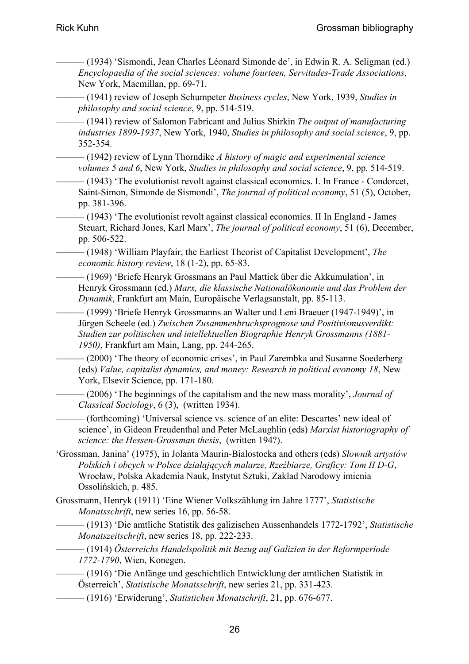- ——— (1934) 'Sismondi, Jean Charles Léonard Simonde de', in Edwin R. A. Seligman (ed.) *Encyclopaedia of the social sciences: volume fourteen, Servitudes-Trade Associations*, New York, Macmillan, pp. 69-71.
- ——— (1941) review of Joseph Schumpeter *Business cycles*, New York, 1939, *Studies in philosophy and social science*, 9, pp. 514-519.
- ——— (1941) review of Salomon Fabricant and Julius Shirkin *The output of manufacturing industries 1899-1937*, New York, 1940, *Studies in philosophy and social science*, 9, pp. 352-354.
- ——— (1942) review of Lynn Thorndike *A history of magic and experimental science volumes 5 and 6*, New York, *Studies in philosophy and social science*, 9, pp. 514-519.
- ——— (1943) 'The evolutionist revolt against classical economics. I. In France Condorcet, Saint-Simon, Simonde de Sismondi', *The journal of political economy*, 51 (5), October, pp. 381-396.
- $-$  (1943) 'The evolutionist revolt against classical economics. II In England James Steuart, Richard Jones, Karl Marx', *The journal of political economy*, 51 (6), December, pp. 506-522.
- ——— (1948) 'William Playfair, the Earliest Theorist of Capitalist Development', *The economic history review*, 18 (1-2), pp. 65-83.
- ——— (1969) 'Briefe Henryk Grossmans an Paul Mattick über die Akkumulation', in Henryk Grossmann (ed.) *Marx, die klassische Nationalökonomie und das Problem der Dynamik*, Frankfurt am Main, Europäische Verlagsanstalt, pp. 85-113.
- ——— (1999) 'Briefe Henryk Grossmanns an Walter und Leni Braeuer (1947-1949)', in Jürgen Scheele (ed.) *Zwischen Zusammenbruchsprognose und Positivismusverdikt: Studien zur politischen und intellektuellen Biographie Henryk Grossmanns (1881- 1950)*, Frankfurt am Main, Lang, pp. 244-265.
	- ——— (2000) 'The theory of economic crises', in Paul Zarembka and Susanne Soederberg (eds) *Value, capitalist dynamics, and money: Research in political economy 18*, New York, Elsevir Science, pp. 171-180.
	- $-$  (2006) 'The beginnings of the capitalism and the new mass morality', *Journal of Classical Sociology*, 6 (3), (written 1934).
- ——— (forthcoming) 'Universal science vs. science of an elite: Descartes' new ideal of science', in Gideon Freudenthal and Peter McLaughlin (eds) *Marxist historiography of science: the Hessen-Grossman thesis*, (written 194?).
- 'Grossman, Janina' (1975), in Jolanta Maurin-Bialostocka and others (eds) *Słownik artystów Polskich i obcych w Polsce działających malarze, Rzeźbiarze, Graficy: Tom II D-G*, Wrocław, Polska Akademia Nauk, Instytut Sztuki, Zakład Narodowy imienia Ossolińskich, p. 485.
- Grossmann, Henryk (1911) 'Eine Wiener Volkszählung im Jahre 1777', *Statistische Monatsschrift*, new series 16, pp. 56-58.
- ——— (1913) 'Die amtliche Statistik des galizischen Aussenhandels 1772-1792', *Statistische Monatszeitschrift*, new series 18, pp. 222-233.
- ——— (1914) *Österreichs Handelspolitik mit Bezug auf Galizien in der Reformperiode 1772-1790*, Wien, Konegen.
- ——— (1916) 'Die Anfänge und geschichtlich Entwicklung der amtlichen Statistik in Österreich', *Statistische Monatsschrift*, new series 21, pp. 331-423.
- ——— (1916) 'Erwiderung', *Statistichen Monatschrift*, 21, pp. 676-677.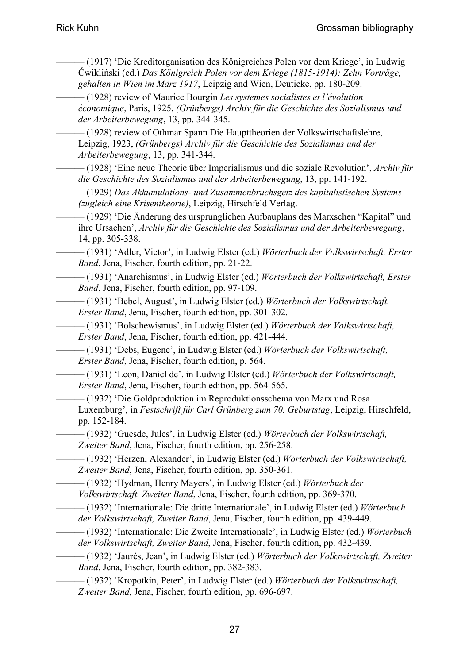——— (1917) 'Die Kreditorganisation des Königreiches Polen vor dem Kriege', in Ludwig Ćwikliński (ed.) *Das Königreich Polen vor dem Kriege (1815-1914): Zehn Vorträge, gehalten in Wien im März 1917*, Leipzig and Wien, Deuticke, pp. 180-209.

——— (1928) review of Maurice Bourgin *Les systemes socialistes et l'évolution économique*, Paris, 1925, *(Grünbergs) Archiv für die Geschichte des Sozialismus und der Arbeiterbewegung*, 13, pp. 344-345.

——— (1928) review of Othmar Spann Die Haupttheorien der Volkswirtschaftslehre, Leipzig, 1923, *(Grünbergs) Archiv für die Geschichte des Sozialismus und der Arbeiterbewegung*, 13, pp. 341-344.

——— (1928) 'Eine neue Theorie über Imperialismus und die soziale Revolution', *Archiv für die Geschichte des Sozialismus und der Arbeiterbewegung*, 13, pp. 141-192.

——— (1929) *Das Akkumulations- und Zusammenbruchsgetz des kapitalistischen Systems (zugleich eine Krisentheorie)*, Leipzig, Hirschfeld Verlag.

- ——— (1929) 'Die Änderung des ursprunglichen Aufbauplans des Marxschen "Kapital" und ihre Ursachen', *Archiv für die Geschichte des Sozialismus und der Arbeiterbewegung*, 14, pp. 305-338.
- ——— (1931) 'Adler, Victor', in Ludwig Elster (ed.) *Wörterbuch der Volkswirtschaft, Erster Band*, Jena, Fischer, fourth edition, pp. 21-22.
- ——— (1931) 'Anarchismus', in Ludwig Elster (ed.) *Wörterbuch der Volkswirtschaft, Erster Band*, Jena, Fischer, fourth edition, pp. 97-109.

——— (1931) 'Bebel, August', in Ludwig Elster (ed.) *Wörterbuch der Volkswirtschaft, Erster Band*, Jena, Fischer, fourth edition, pp. 301-302.

——— (1931) 'Bolschewismus', in Ludwig Elster (ed.) *Wörterbuch der Volkswirtschaft, Erster Band*, Jena, Fischer, fourth edition, pp. 421-444.

- ——— (1931) 'Debs, Eugene', in Ludwig Elster (ed.) *Wörterbuch der Volkswirtschaft, Erster Band*, Jena, Fischer, fourth edition, p. 564.
- ——— (1931) 'Leon, Daniel de', in Ludwig Elster (ed.) *Wörterbuch der Volkswirtschaft, Erster Band*, Jena, Fischer, fourth edition, pp. 564-565.
	- ——— (1932) 'Die Goldproduktion im Reproduktionsschema von Marx und Rosa Luxemburg', in *Festschrift für Carl Grünberg zum 70. Geburtstag*, Leipzig, Hirschfeld, pp. 152-184.
- ——— (1932) 'Guesde, Jules', in Ludwig Elster (ed.) *Wörterbuch der Volkswirtschaft, Zweiter Band*, Jena, Fischer, fourth edition, pp. 256-258.
- ——— (1932) 'Herzen, Alexander', in Ludwig Elster (ed.) *Wörterbuch der Volkswirtschaft, Zweiter Band*, Jena, Fischer, fourth edition, pp. 350-361.
	- ——— (1932) 'Hydman, Henry Mayers', in Ludwig Elster (ed.) *Wörterbuch der Volkswirtschaft, Zweiter Band*, Jena, Fischer, fourth edition, pp. 369-370.
	- ——— (1932) 'Internationale: Die dritte Internationale', in Ludwig Elster (ed.) *Wörterbuch der Volkswirtschaft, Zweiter Band*, Jena, Fischer, fourth edition, pp. 439-449.
	- ——— (1932) 'Internationale: Die Zweite Internationale', in Ludwig Elster (ed.) *Wörterbuch der Volkswirtschaft, Zweiter Band*, Jena, Fischer, fourth edition, pp. 432-439.
- ——— (1932) 'Jaurès, Jean', in Ludwig Elster (ed.) *Wörterbuch der Volkswirtschaft, Zweiter Band*, Jena, Fischer, fourth edition, pp. 382-383.
	- ——— (1932) 'Kropotkin, Peter', in Ludwig Elster (ed.) *Wörterbuch der Volkswirtschaft, Zweiter Band*, Jena, Fischer, fourth edition, pp. 696-697.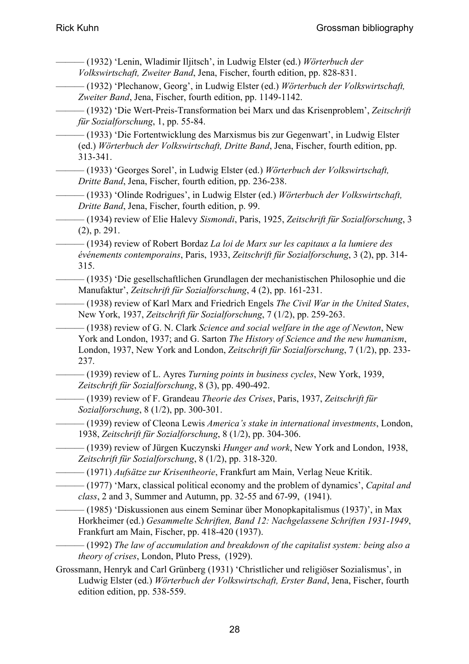- ——— (1932) 'Lenin, Wladimir Iljitsch', in Ludwig Elster (ed.) *Wörterbuch der Volkswirtschaft, Zweiter Band*, Jena, Fischer, fourth edition, pp. 828-831. ——— (1932) 'Plechanow, Georg', in Ludwig Elster (ed.) *Wörterbuch der Volkswirtschaft, Zweiter Band*, Jena, Fischer, fourth edition, pp. 1149-1142. ——— (1932) 'Die Wert-Preis-Transformation bei Marx und das Krisenproblem', *Zeitschrift für Sozialforschung*, 1, pp. 55-84. ——— (1933) 'Die Fortentwicklung des Marxismus bis zur Gegenwart', in Ludwig Elster (ed.) *Wörterbuch der Volkswirtschaft, Dritte Band*, Jena, Fischer, fourth edition, pp. 313-341. ——— (1933) 'Georges Sorel', in Ludwig Elster (ed.) *Wörterbuch der Volkswirtschaft, Dritte Band*, Jena, Fischer, fourth edition, pp. 236-238. ——— (1933) 'Olinde Rodrigues', in Ludwig Elster (ed.) *Wörterbuch der Volkswirtschaft, Dritte Band*, Jena, Fischer, fourth edition, p. 99. ——— (1934) review of Elie Halevy *Sismondi*, Paris, 1925, *Zeitschrift für Sozialforschung*, 3 (2), p. 291. ——— (1934) review of Robert Bordaz *La loi de Marx sur les capitaux a la lumiere des événements contemporains*, Paris, 1933, *Zeitschrift für Sozialforschung*, 3 (2), pp. 314- 315. ——— (1935) 'Die gesellschaftlichen Grundlagen der mechanistischen Philosophie und die Manufaktur', *Zeitschrift für Sozialforschung*, 4 (2), pp. 161-231. ——— (1938) review of Karl Marx and Friedrich Engels *The Civil War in the United States*, New York, 1937, *Zeitschrift für Sozialforschung*, 7 (1/2), pp. 259-263.  $-$  (1938) review of G. N. Clark *Science and social welfare in the age of Newton*, New York and London, 1937; and G. Sarton *The History of Science and the new humanism*, London, 1937, New York and London, *Zeitschrift für Sozialforschung*, 7 (1/2), pp. 233- 237. ——— (1939) review of L. Ayres *Turning points in business cycles*, New York, 1939, *Zeitschrift für Sozialforschung*, 8 (3), pp. 490-492. ——— (1939) review of F. Grandeau *Theorie des Crises*, Paris, 1937, *Zeitschrift für Sozialforschung*, 8 (1/2), pp. 300-301.
	- ——— (1939) review of Cleona Lewis *America's stake in international investments*, London, 1938, *Zeitschrift für Sozialforschung*, 8 (1/2), pp. 304-306.
	- ——— (1939) review of Jürgen Kuczynski *Hunger and work*, New York and London, 1938, *Zeitschrift für Sozialforschung*, 8 (1/2), pp. 318-320.
- ——— (1971) *Aufsätze zur Krisentheorie*, Frankfurt am Main, Verlag Neue Kritik.
- ——— (1977) 'Marx, classical political economy and the problem of dynamics', *Capital and class*, 2 and 3, Summer and Autumn, pp. 32-55 and 67-99, (1941).
	- ——— (1985) 'Diskussionen aus einem Seminar über Monopkapitalismus (1937)', in Max Horkheimer (ed.) *Gesammelte Schriften, Band 12: Nachgelassene Schriften 1931-1949*, Frankfurt am Main, Fischer, pp. 418-420 (1937).
- ——— (1992) *The law of accumulation and breakdown of the capitalist system: being also a theory of crises*, London, Pluto Press, (1929).
- Grossmann, Henryk and Carl Grünberg (1931) 'Christlicher und religiöser Sozialismus', in Ludwig Elster (ed.) *Wörterbuch der Volkswirtschaft, Erster Band*, Jena, Fischer, fourth edition edition, pp. 538-559.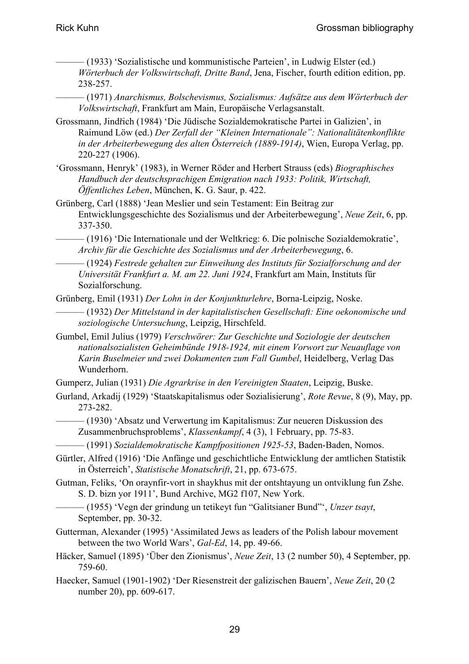- ——— (1933) 'Sozialistische und kommunistische Parteien', in Ludwig Elster (ed.) *Wörterbuch der Volkswirtschaft, Dritte Band*, Jena, Fischer, fourth edition edition, pp. 238-257.
- ——— (1971) *Anarchismus, Bolschevismus, Sozialismus: Aufsätze aus dem Wörterbuch der Volkswirtschaft*, Frankfurt am Main, Europäische Verlagsanstalt.
- Grossmann, Jindřich (1984) 'Die Jüdische Sozialdemokratische Partei in Galizien', in Raimund Löw (ed.) *Der Zerfall der "Kleinen Internationale": Nationalitätenkonflikte in der Arbeiterbewegung des alten Österreich (1889-1914)*, Wien, Europa Verlag, pp. 220-227 (1906).
- 'Grossmann, Henryk' (1983), in Werner Röder and Herbert Strauss (eds) *Biographisches Handbuch der deutschsprachigen Emigration nach 1933: Politik, Wirtschaft, Öffentliches Leben*, München, K. G. Saur, p. 422.
- Grünberg, Carl (1888) 'Jean Meslier und sein Testament: Ein Beitrag zur Entwicklungsgeschichte des Sozialismus und der Arbeiterbewegung', *Neue Zeit*, 6, pp. 337-350.
	- ——— (1916) 'Die Internationale und der Weltkrieg: 6. Die polnische Sozialdemokratie', *Archiv für die Geschichte des Sozialismus und der Arbeiterbewegung*, 6.
- ——— (1924) *Festrede gehalten zur Einweihung des Instituts für Sozialforschung and der Universität Frankfurt a. M. am 22. Juni 1924*, Frankfurt am Main, Instituts für Sozialforschung.
- Grünberg, Emil (1931) *Der Lohn in der Konjunkturlehre*, Borna-Leipzig, Noske.
- ——— (1932) *Der Mittelstand in der kapitalistischen Gesellschaft: Eine oekonomische und soziologische Untersuchung*, Leipzig, Hirschfeld.
- Gumbel, Emil Julius (1979) *Verschwörer: Zur Geschichte und Soziologie der deutschen nationalsozialisten Geheimbünde 1918-1924, mit einem Vorwort zur Neuauflage von Karin Buselmeier und zwei Dokumenten zum Fall Gumbel*, Heidelberg, Verlag Das Wunderhorn.
- Gumperz, Julian (1931) *Die Agrarkrise in den Vereinigten Staaten*, Leipzig, Buske.
- Gurland, Arkadij (1929) 'Staatskapitalismus oder Sozialisierung', *Rote Revue*, 8 (9), May, pp. 273-282.
- ——— (1930) 'Absatz und Verwertung im Kapitalismus: Zur neueren Diskussion des Zusammenbruchsproblems', *Klassenkampf*, 4 (3), 1 February, pp. 75-83.
- ——— (1991) *Sozialdemokratische Kampfpositionen 1925-53*, Baden-Baden, Nomos.
- Gürtler, Alfred (1916) 'Die Anfänge und geschichtliche Entwicklung der amtlichen Statistik in Österreich', *Statistische Monatschrift*, 21, pp. 673-675.
- Gutman, Feliks, 'On oraynfir-vort in shaykhus mit der ontshtayung un ontviklung fun Zshe. S. D. bizn yor 1911', Bund Archive, MG2 f107, New York.
	- ——— (1955) 'Vegn der grindung un tetikeyt fun "Galitsianer Bund"', *Unzer tsayt*, September, pp. 30-32.
- Gutterman, Alexander (1995) 'Assimilated Jews as leaders of the Polish labour movement between the two World Wars', *Gal-Ed*, 14, pp. 49-66.
- Häcker, Samuel (1895) 'Über den Zionismus', *Neue Zeit*, 13 (2 number 50), 4 September, pp. 759-60.
- Haecker, Samuel (1901-1902) 'Der Riesenstreit der galizischen Bauern', *Neue Zeit*, 20 (2 number 20), pp. 609-617.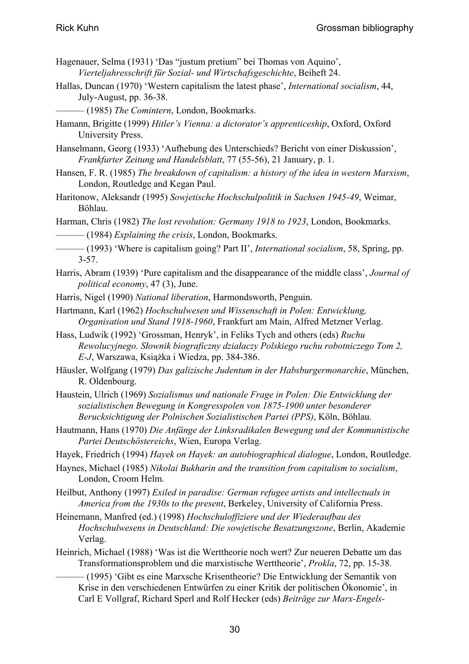- Hagenauer, Selma (1931) 'Das "justum pretium" bei Thomas von Aquino', *Vierteljahresschrift für Sozial- und Wirtschafsgeschichte*, Beiheft 24.
- Hallas, Duncan (1970) 'Western capitalism the latest phase', *International socialism*, 44, July-August, pp. 36-38.
- ——— (1985) *The Comintern*, London, Bookmarks.
- Hamann, Brigitte (1999) *Hitler's Vienna: a dictorator's apprenticeship*, Oxford, Oxford University Press.
- Hanselmann, Georg (1933) 'Aufhebung des Unterschieds? Bericht von einer Diskussion', *Frankfurter Zeitung und Handelsblatt*, 77 (55-56), 21 January, p. 1.
- Hansen, F. R. (1985) *The breakdown of capitalism: a history of the idea in western Marxism*, London, Routledge and Kegan Paul.
- Haritonow, Aleksandr (1995) *Sowjetische Hochschulpolitik in Sachsen 1945-49*, Weimar, Böhlau.
- Harman, Chris (1982) *The lost revolution: Germany 1918 to 1923*, London, Bookmarks.
	- ——— (1984) *Explaining the crisis*, London, Bookmarks.
- ——— (1993) 'Where is capitalism going? Part II', *International socialism*, 58, Spring, pp. 3-57.
- Harris, Abram (1939) 'Pure capitalism and the disappearance of the middle class', *Journal of political economy*, 47 (3), June.
- Harris, Nigel (1990) *National liberation*, Harmondsworth, Penguin.
- Hartmann, Karl (1962) *Hochschulwesen und Wissenschaft in Polen: Entwicklung, Organisation und Stand 1918-1960*, Frankfurt am Main, Alfred Metzner Verlag.
- Hass, Ludwik (1992) 'Grossman, Henryk', in Feliks Tych and others (eds) *Ruchu Rewolucyjnego. Słownik biograficzny działaczy Polskiego ruchu robotniczego Tom 2, E-J*, Warszawa, Książka i Wiedza, pp. 384-386.
- Häusler, Wolfgang (1979) *Das galizische Judentum in der Habsburgermonarchie*, München, R. Oldenbourg.
- Haustein, Ulrich (1969) *Sozialismus und nationale Frage in Polen: Die Entwicklung der sozialistischen Bewegung in Kongresspolen von 1875-1900 unter besonderer Berucksichtigung der Polnischen Sozialistischen Partei (PPS)*, Köln, Böhlau.
- Hautmann, Hans (1970) *Die Anfänge der Linksradikalen Bewegung und der Kommunistische Partei Deutschöstereichs*, Wien, Europa Verlag.
- Hayek, Friedrich (1994) *Hayek on Hayek: an autobiographical dialogue*, London, Routledge.
- Haynes, Michael (1985) *Nikolai Bukharin and the transition from capitalism to socialism*, London, Croom Helm.
- Heilbut, Anthony (1997) *Exiled in paradise: German refugee artists and intellectuals in America from the 1930s to the present*, Berkeley, University of California Press.
- Heinemann, Manfred (ed.) (1998) *Hochschuloffiziere und der Wiederaufbau des Hochschulwesens in Deutschland: Die sowjetische Besatzungszone*, Berlin, Akademie Verlag.
- Heinrich, Michael (1988) 'Was ist die Werttheorie noch wert? Zur neueren Debatte um das Transformationsproblem und die marxistische Werttheorie', *Prokla*, 72, pp. 15-38.
	- ——— (1995) 'Gibt es eine Marxsche Krisentheorie? Die Entwicklung der Semantik von Krise in den verschiedenen Entwürfen zu einer Kritik der politischen Ökonomie', in Carl E Vollgraf, Richard Sperl and Rolf Hecker (eds) *Beiträge zur Marx-Engels-*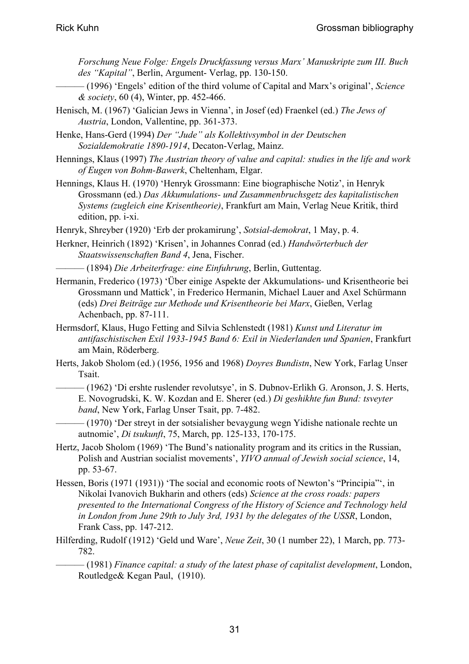*Forschung Neue Folge: Engels Druckfassung versus Marx' Manuskripte zum III. Buch des "Kapital"*, Berlin, Argument- Verlag, pp. 130-150.

- ——— (1996) 'Engels' edition of the third volume of Capital and Marx's original', *Science & society*, 60 (4), Winter, pp. 452-466.
- Henisch, M. (1967) 'Galician Jews in Vienna', in Josef (ed) Fraenkel (ed.) *The Jews of Austria*, London, Vallentine, pp. 361-373.
- Henke, Hans-Gerd (1994) *Der "Jude" als Kollektivsymbol in der Deutschen Sozialdemokratie 1890-1914*, Decaton-Verlag, Mainz.
- Hennings, Klaus (1997) *The Austrian theory of value and capital: studies in the life and work of Eugen von Bohm-Bawerk*, Cheltenham, Elgar.
- Hennings, Klaus H. (1970) 'Henryk Grossmann: Eine biographische Notiz', in Henryk Grossmann (ed.) *Das Akkumulations- und Zusammenbruchsgetz des kapitalistischen Systems (zugleich eine Krisentheorie)*, Frankfurt am Main, Verlag Neue Kritik, third edition, pp. i-xi.
- Henryk, Shreyber (1920) 'Erb der prokamirung', *Sotsial-demokrat*, 1 May, p. 4.
- Herkner, Heinrich (1892) 'Krisen', in Johannes Conrad (ed.) *Handwörterbuch der Staatswissenschaften Band 4*, Jena, Fischer.
	- ——— (1894) *Die Arbeiterfrage: eine Einfuhrung*, Berlin, Guttentag.
- Hermanin, Frederico (1973) 'Über einige Aspekte der Akkumulations- und Krisentheorie bei Grossmann und Mattick', in Frederico Hermanin, Michael Lauer and Axel Schürmann (eds) *Drei Beiträge zur Methode und Krisentheorie bei Marx*, Gießen, Verlag Achenbach, pp. 87-111.
- Hermsdorf, Klaus, Hugo Fetting and Silvia Schlenstedt (1981) *Kunst und Literatur im antifaschistischen Exil 1933-1945 Band 6: Exil in Niederlanden und Spanien*, Frankfurt am Main, Röderberg.
- Herts, Jakob Sholom (ed.) (1956, 1956 and 1968) *Doyres Bundistn*, New York, Farlag Unser Tsait.
	- (1962) 'Di ershte ruslender revolutsye', in S. Dubnov-Erlikh G. Aronson, J. S. Herts, E. Novogrudski, K. W. Kozdan and E. Sherer (ed.) *Di geshikhte fun Bund: tsveyter band*, New York, Farlag Unser Tsait, pp. 7-482.
- ——— (1970) 'Der streyt in der sotsialisher bevaygung wegn Yidishe nationale rechte un autnomie', *Di tsukunft*, 75, March, pp. 125-133, 170-175.
- Hertz, Jacob Sholom (1969) 'The Bund's nationality program and its critics in the Russian, Polish and Austrian socialist movements', *YIVO annual of Jewish social science*, 14, pp. 53-67.
- Hessen, Boris (1971 (1931)) 'The social and economic roots of Newton's "Principia"', in Nikolai Ivanovich Bukharin and others (eds) *Science at the cross roads: papers presented to the International Congress of the History of Science and Technology held in London from June 29th to July 3rd, 1931 by the delegates of the USSR*, London, Frank Cass, pp. 147-212.
- Hilferding, Rudolf (1912) 'Geld und Ware', *Neue Zeit*, 30 (1 number 22), 1 March, pp. 773- 782.
	- ——— (1981) *Finance capital: a study of the latest phase of capitalist development*, London, Routledge& Kegan Paul, (1910).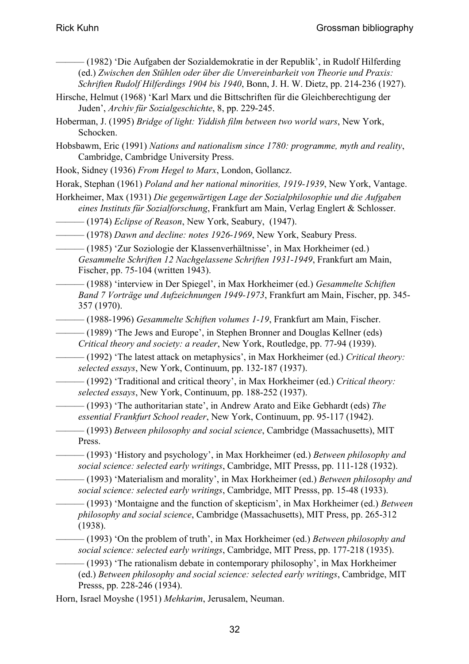- ——— (1982) 'Die Aufgaben der Sozialdemokratie in der Republik', in Rudolf Hilferding (ed.) *Zwischen den Stühlen oder über die Unvereinbarkeit von Theorie und Praxis: Schriften Rudolf Hilferdings 1904 bis 1940*, Bonn, J. H. W. Dietz, pp. 214-236 (1927).
- Hirsche, Helmut (1968) 'Karl Marx und die Bittschriften für die Gleichberechtigung der Juden', *Archiv für Sozialgeschichte*, 8, pp. 229-245.
- Hoberman, J. (1995) *Bridge of light: Yiddish film between two world wars*, New York, Schocken.
- Hobsbawm, Eric (1991) *Nations and nationalism since 1780: programme, myth and reality*, Cambridge, Cambridge University Press.

Hook, Sidney (1936) *From Hegel to Marx*, London, Gollancz.

Horak, Stephan (1961) *Poland and her national minorities, 1919-1939*, New York, Vantage.

- Horkheimer, Max (1931) *Die gegenwärtigen Lage der Sozialphilosophie und die Aufgaben eines Instituts für Sozialforschung*, Frankfurt am Main, Verlag Englert & Schlosser.
- ——— (1974) *Eclipse of Reason*, New York, Seabury, (1947).

——— (1978) *Dawn and decline: notes 1926-1969*, New York, Seabury Press.

- ——— (1985) 'Zur Soziologie der Klassenverhältnisse', in Max Horkheimer (ed.) *Gesammelte Schriften 12 Nachgelassene Schriften 1931-1949*, Frankfurt am Main, Fischer, pp. 75-104 (written 1943).
- ——— (1988) 'interview in Der Spiegel', in Max Horkheimer (ed.) *Gesammelte Schiften Band 7 Vorträge und Aufzeichnungen 1949-1973*, Frankfurt am Main, Fischer, pp. 345- 357 (1970).
- ——— (1988-1996) *Gesammelte Schiften volumes 1-19*, Frankfurt am Main, Fischer.

——— (1989) 'The Jews and Europe', in Stephen Bronner and Douglas Kellner (eds) *Critical theory and society: a reader*, New York, Routledge, pp. 77-94 (1939).

——— (1992) 'The latest attack on metaphysics', in Max Horkheimer (ed.) *Critical theory: selected essays*, New York, Continuum, pp. 132-187 (1937).

——— (1992) 'Traditional and critical theory', in Max Horkheimer (ed.) *Critical theory: selected essays*, New York, Continuum, pp. 188-252 (1937).

——— (1993) 'The authoritarian state', in Andrew Arato and Eike Gebhardt (eds) *The essential Frankfurt School reader*, New York, Continuum, pp. 95-117 (1942).

- ——— (1993) *Between philosophy and social science*, Cambridge (Massachusetts), MIT Press.
	- ——— (1993) 'History and psychology', in Max Horkheimer (ed.) *Between philosophy and social science: selected early writings*, Cambridge, MIT Presss, pp. 111-128 (1932).
- ——— (1993) 'Materialism and morality', in Max Horkheimer (ed.) *Between philosophy and social science: selected early writings*, Cambridge, MIT Presss, pp. 15-48 (1933).

——— (1993) 'Montaigne and the function of skepticism', in Max Horkheimer (ed.) *Between philosophy and social science*, Cambridge (Massachusetts), MIT Press, pp. 265-312 (1938).

——— (1993) 'On the problem of truth', in Max Horkheimer (ed.) *Between philosophy and social science: selected early writings*, Cambridge, MIT Press, pp. 177-218 (1935).

 $-$  (1993) 'The rationalism debate in contemporary philosophy', in Max Horkheimer (ed.) *Between philosophy and social science: selected early writings*, Cambridge, MIT Presss, pp. 228-246 (1934).

Horn, Israel Moyshe (1951) *Mehkarim*, Jerusalem, Neuman.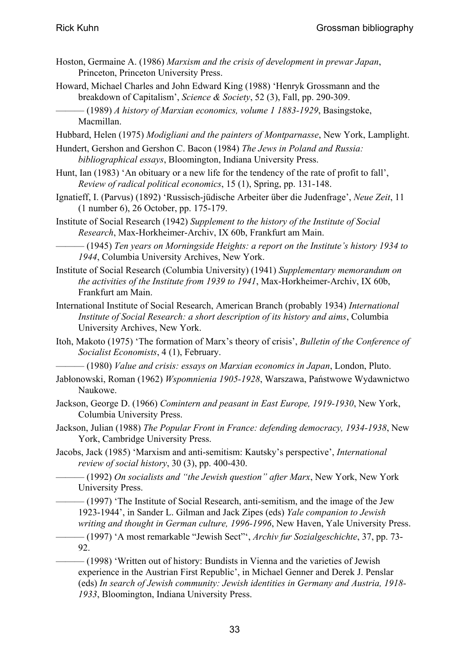- Hoston, Germaine A. (1986) *Marxism and the crisis of development in prewar Japan*, Princeton, Princeton University Press.
- Howard, Michael Charles and John Edward King (1988) 'Henryk Grossmann and the breakdown of Capitalism', *Science & Society*, 52 (3), Fall, pp. 290-309.
- ——— (1989) *A history of Marxian economics, volume 1 1883-1929*, Basingstoke, Macmillan.
- Hubbard, Helen (1975) *Modigliani and the painters of Montparnasse*, New York, Lamplight.
- Hundert, Gershon and Gershon C. Bacon (1984) *The Jews in Poland and Russia: bibliographical essays*, Bloomington, Indiana University Press.
- Hunt, Ian (1983) 'An obituary or a new life for the tendency of the rate of profit to fall', *Review of radical political economics*, 15 (1), Spring, pp. 131-148.
- Ignatieff, I. (Parvus) (1892) 'Russisch-jüdische Arbeiter über die Judenfrage', *Neue Zeit*, 11 (1 number 6), 26 October, pp. 175-179.
- Institute of Social Research (1942) *Supplement to the history of the Institute of Social Research*, Max-Horkheimer-Archiv, IX 60b, Frankfurt am Main.
	- ——— (1945) *Ten years on Morningside Heights: a report on the Institute's history 1934 to 1944*, Columbia University Archives, New York.
- Institute of Social Research (Columbia University) (1941) *Supplementary memorandum on the activities of the Institute from 1939 to 1941*, Max-Horkheimer-Archiv, IX 60b, Frankfurt am Main.
- International Institute of Social Research, American Branch (probably 1934) *International Institute of Social Research: a short description of its history and aims*, Columbia University Archives, New York.
- Itoh, Makoto (1975) 'The formation of Marx's theory of crisis', *Bulletin of the Conference of Socialist Economists*, 4 (1), February.
	- ——— (1980) *Value and crisis: essays on Marxian economics in Japan*, London, Pluto.
- Jabłonowski, Roman (1962) *Wspomnienia 1905-1928*, Warszawa, Państwowe Wydawnictwo Naukowe.
- Jackson, George D. (1966) *Comintern and peasant in East Europe, 1919-1930*, New York, Columbia University Press.
- Jackson, Julian (1988) *The Popular Front in France: defending democracy, 1934-1938*, New York, Cambridge University Press.
- Jacobs, Jack (1985) 'Marxism and anti-semitism: Kautsky's perspective', *International review of social history*, 30 (3), pp. 400-430.
	- ——— (1992) *On socialists and "the Jewish question" after Marx*, New York, New York University Press.
	- ——— (1997) 'The Institute of Social Research, anti-semitism, and the image of the Jew 1923-1944', in Sander L. Gilman and Jack Zipes (eds) *Yale companion to Jewish writing and thought in German culture, 1996-1996*, New Haven, Yale University Press.
	- ——— (1997) 'A most remarkable "Jewish Sect"', *Archiv fur Sozialgeschichte*, 37, pp. 73- 92.
		- ——— (1998) 'Written out of history: Bundists in Vienna and the varieties of Jewish experience in the Austrian First Republic', in Michael Genner and Derek J. Penslar (eds) *In search of Jewish community: Jewish identities in Germany and Austria, 1918- 1933*, Bloomington, Indiana University Press.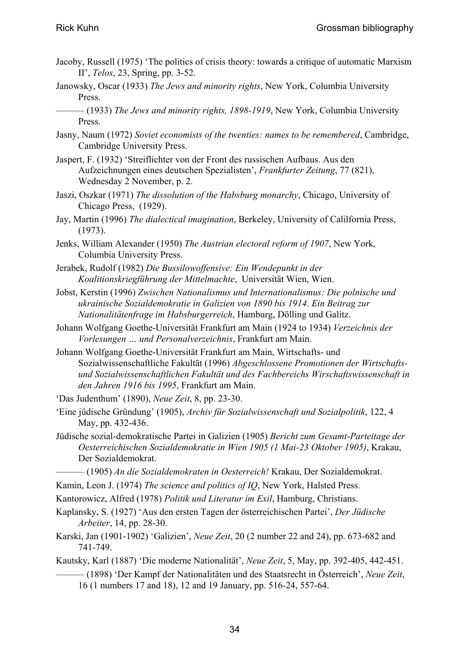- Jacoby, Russell (1975) 'The politics of crisis theory: towards a critique of automatic Marxism II', *Telos*, 23, Spring, pp. 3-52.
- Janowsky, Oscar (1933) *The Jews and minority rights*, New York, Columbia University Press.
- ——— (1933) *The Jews and minority rights, 1898-1919*, New York, Columbia University Press.
- Jasny, Naum (1972) *Soviet economists of the twenties: names to be remembered*, Cambridge, Cambridge University Press.
- Jaspert, F. (1932) 'Streiflichter von der Front des russischen Aufbaus. Aus den Aufzeichnungen eines deutschen Spezialisten', *Frankfurter Zeitung*, 77 (821), Wednesday 2 November, p. 2.
- Jaszi, Oszkar (1971) *The dissolution of the Habsburg monarchy*, Chicago, University of Chicago Press, (1929).
- Jay, Martin (1996) *The dialectical imagination*, Berkeley, University of Calilfornia Press, (1973).
- Jenks, William Alexander (1950) *The Austrian electoral reform of 1907*, New York, Columbia University Press.
- Jerabek, Rudolf (1982) *Die Bussilowoffensive: Ein Wendepunkt in der Koalitionskriegführung der Mittelmachte*, Universität Wien, Wien.
- Jobst, Kerstin (1996) *Zwischen Nationalismus und Internationalismus: Die polnische und ukrainische Sozialdemokratie in Galizien von 1890 bis 1914. Ein Beitrag zur Nationalitätenfrage im Habsburgerreich*, Hamburg, Dölling und Galitz.
- Johann Wolfgang Goethe-Universität Frankfurt am Main (1924 to 1934) *Verzeichnis der Vorlesungen … und Personalverzeichnis*, Frankfurt am Main.
- Johann Wolfgang Goethe-Universität Frankfurt am Main, Wirtschafts- und Sozialwissenschaftliche Fakultät (1996) *Abgeschlossene Promotionen der Wirtschaftsund Sozialwissenschaftlichen Fakultät und des Fachbereichs Wirschaftswissenschaft in den Jahren 1916 bis 1995*, Frankfurt am Main.

'Das Judenthum' (1890), *Neue Zeit*, 8, pp. 23-30.

- 'Eine jüdische Gründung' (1905), *Archiv für Sozialwissenschaft und Sozialpolitik*, 122, 4 May, pp. 432-436.
- Jüdische sozial-demokratische Partei in Galizien (1905) *Bericht zum Gesamt-Parteitage der Oesterreichischen Sozialdemokratie in Wien 1905 (1 Mai-23 Oktober 1905)*, Krakau, Der Sozialdemokrat.
	- ——— (1905) *An die Sozialdemokraten in Oesterreich!* Krakau, Der Sozialdemokrat.
- Kamin, Leon J. (1974) *The science and politics of IQ*, New York, Halsted Press.
- Kantorowicz, Alfred (1978) *Politik und Literatur im Exil*, Hamburg, Christians.
- Kaplansky, S. (1927) 'Aus den ersten Tagen der österreichischen Partei', *Der Jüdische Arbeiter*, 14, pp. 28-30.
- Karski, Jan (1901-1902) 'Galizien', *Neue Zeit*, 20 (2 number 22 and 24), pp. 673-682 and 741-749.
- Kautsky, Karl (1887) 'Die moderne Nationalität', *Neue Zeit*, 5, May, pp. 392-405, 442-451.
	- ——— (1898) 'Der Kampf der Nationalitäten und des Staatsrecht in Österreich', *Neue Zeit*, 16 (1 numbers 17 and 18), 12 and 19 January, pp. 516-24, 557-64.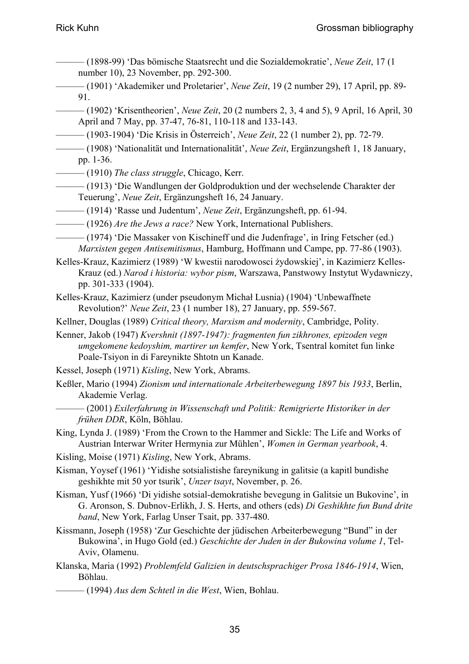- ——— (1898-99) 'Das bömische Staatsrecht und die Sozialdemokratie', *Neue Zeit*, 17 (1 number 10), 23 November, pp. 292-300.
- ——— (1901) 'Akademiker und Proletarier', *Neue Zeit*, 19 (2 number 29), 17 April, pp. 89- 91.
- ——— (1902) 'Krisentheorien', *Neue Zeit*, 20 (2 numbers 2, 3, 4 and 5), 9 April, 16 April, 30 April and 7 May, pp. 37-47, 76-81, 110-118 and 133-143.
- ——— (1903-1904) 'Die Krisis in Österreich', *Neue Zeit*, 22 (1 number 2), pp. 72-79.
- ——— (1908) 'Nationalität und Internationalität', *Neue Zeit*, Ergänzungsheft 1, 18 January, pp. 1-36.
- ——— (1910) *The class struggle*, Chicago, Kerr.
- ——— (1913) 'Die Wandlungen der Goldproduktion und der wechselende Charakter der Teuerung', *Neue Zeit*, Ergänzungsheft 16, 24 January.
- ——— (1914) 'Rasse und Judentum', *Neue Zeit*, Ergänzungsheft, pp. 61-94.
- ——— (1926) *Are the Jews a race?* New York, International Publishers.
- ——— (1974) 'Die Massaker von Kischineff und die Judenfrage', in Iring Fetscher (ed.) *Marxisten gegen Antisemitismus*, Hamburg, Hoffmann und Campe, pp. 77-86 (1903).

Kelles-Krauz, Kazimierz (1989) 'W kwestii narodowosci żydowskiej', in Kazimierz Kelles-Krauz (ed.) *Narod i historia: wybor pism*, Warszawa, Panstwowy Instytut Wydawniczy, pp. 301-333 (1904).

- Kelles-Krauz, Kazimierz (under pseudonym Michał Lusnia) (1904) 'Unbewaffnete Revolution?' *Neue Zeit*, 23 (1 number 18), 27 January, pp. 559-567.
- Kellner, Douglas (1989) *Critical theory, Marxism and modernity*, Cambridge, Polity.
- Kenner, Jakob (1947) *Kvershnit (1897-1947): fragmenten fun zikhrones, epizoden vegn umgekomene kedoyshim, martirer un kemfer*, New York, Tsentral komitet fun linke Poale-Tsiyon in di Fareynikte Shtotn un Kanade.
- Kessel, Joseph (1971) *Kisling*, New York, Abrams.
- Keßler, Mario (1994) *Zionism und internationale Arbeiterbewegung 1897 bis 1933*, Berlin, Akademie Verlag.
	- ——— (2001) *Exilerfahrung in Wissenschaft und Politik: Remigrierte Historiker in der frühen DDR*, Köln, Böhlau.
- King, Lynda J. (1989) 'From the Crown to the Hammer and Sickle: The Life and Works of Austrian Interwar Writer Hermynia zur Mühlen', *Women in German yearbook*, 4.
- Kisling, Moise (1971) *Kisling*, New York, Abrams.
- Kisman, Yoysef (1961) 'Yidishe sotsialistishe fareynikung in galitsie (a kapitl bundishe geshikhte mit 50 yor tsurik', *Unzer tsayt*, November, p. 26.
- Kisman, Yusf (1966) 'Di yidishe sotsial-demokratishe bevegung in Galitsie un Bukovine', in G. Aronson, S. Dubnov-Erlikh, J. S. Herts, and others (eds) *Di Geshikhte fun Bund drite band*, New York, Farlag Unser Tsait, pp. 337-480.
- Kissmann, Joseph (1958) 'Zur Geschichte der jüdischen Arbeiterbewegung "Bund" in der Bukowina', in Hugo Gold (ed.) *Geschichte der Juden in der Bukowina volume 1*, Tel-Aviv, Olamenu.
- Klanska, Maria (1992) *Problemfeld Galizien in deutschsprachiger Prosa 1846-1914*, Wien, Böhlau.
- ——— (1994) *Aus dem Schtetl in die West*, Wien, Bohlau.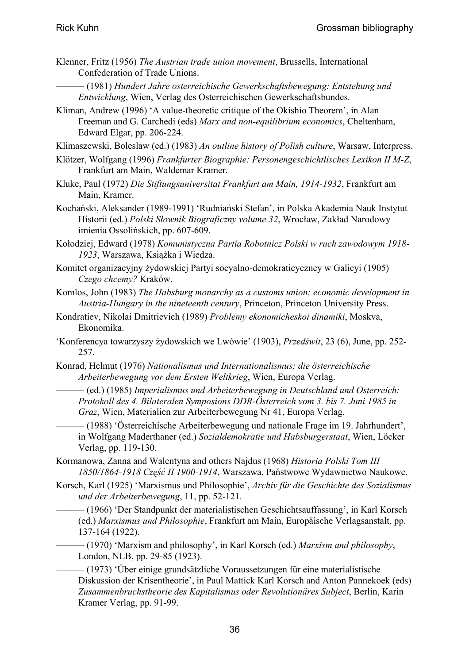- Klenner, Fritz (1956) *The Austrian trade union movement*, Brussells, International Confederation of Trade Unions.
	- ——— (1981) *Hundert Jahre osterreichische Gewerkschaftsbewegung: Entstehung und Entwicklung*, Wien, Verlag des Osterreichischen Gewerkschaftsbundes.
- Kliman, Andrew (1996) 'A value-theoretic critique of the Okishio Theorem', in Alan Freeman and G. Carchedi (eds) *Marx and non-equilibrium economics*, Cheltenham, Edward Elgar, pp. 206-224.
- Klimaszewski, Bolesław (ed.) (1983) *An outline history of Polish culture*, Warsaw, Interpress.
- Klötzer, Wolfgang (1996) *Frankfurter Biographie: Personengeschichtlisches Lexikon II M-Z*, Frankfurt am Main, Waldemar Kramer.
- Kluke, Paul (1972) *Die Stiftungsuniversitat Frankfurt am Main, 1914-1932*, Frankfurt am Main, Kramer.
- Kochański, Aleksander (1989-1991) 'Rudniański Stefan', in Polska Akademia Nauk Instytut Historii (ed.) *Polski Słownik Biograficzny volume 32*, Wrocław, Zakład Narodowy imienia Ossolińskich, pp. 607-609.
- Kołodziej, Edward (1978) *Komunistyczna Partia Robotnicz Polski w ruch zawodowym 1918- 1923*, Warszawa, Książka i Wiedza.
- Komitet organizacyjny żydowskiej Partyi socyalno-demokraticyczney w Galicyi (1905) *Czego chcemy?* Kraków.
- Komlos, John (1983) *The Habsburg monarchy as a customs union: economic development in Austria-Hungary in the nineteenth century*, Princeton, Princeton University Press.
- Kondratiev, Nikolai Dmitrievich (1989) *Problemy ekonomicheskoi dinamiki*, Moskva, Ekonomika.
- 'Konferencya towarzyszy żydowskich we Lwówie' (1903), *Przedświt*, 23 (6), June, pp. 252- 257.
- Konrad, Helmut (1976) *Nationalismus und Internationalismus: die österreichische Arbeiterbewegung vor dem Ersten Weltkrieg*, Wien, Europa Verlag.
	- ——— (ed.) (1985) *Imperialismus und Arbeiterbewegung in Deutschland und Osterreich: Protokoll des 4. Bilateralen Symposions DDR-Österreich vom 3. bis 7. Juni 1985 in Graz*, Wien, Materialien zur Arbeiterbewegung Nr 41, Europa Verlag.
	- ——— (1988) 'Österreichische Arbeiterbewegung und nationale Frage im 19. Jahrhundert', in Wolfgang Maderthaner (ed.) *Sozialdemokratie und Habsburgerstaat*, Wien, Löcker Verlag, pp. 119-130.
- Kormanowa, Zanna and Walentyna and others Najdus (1968) *Historia Polski Tom III 1850/1864-1918 Część II 1900-1914*, Warszawa, Państwowe Wydawnictwo Naukowe.
- Korsch, Karl (1925) 'Marxismus und Philosophie', *Archiv für die Geschichte des Sozialismus und der Arbeiterbewegung*, 11, pp. 52-121.
	- ——— (1966) 'Der Standpunkt der materialistischen Geschichtsauffassung', in Karl Korsch (ed.) *Marxismus und Philosophie*, Frankfurt am Main, Europäische Verlagsanstalt, pp. 137-164 (1922).
	- ——— (1970) 'Marxism and philosophy', in Karl Korsch (ed.) *Marxism and philosophy*, London, NLB, pp. 29-85 (1923).
		- ——— (1973) 'Über einige grundsätzliche Voraussetzungen für eine materialistische Diskussion der Krisentheorie', in Paul Mattick Karl Korsch and Anton Pannekoek (eds) *Zusammenbruchstheorie des Kapitalismus oder Revolutionäres Subject*, Berlin, Karin Kramer Verlag, pp. 91-99.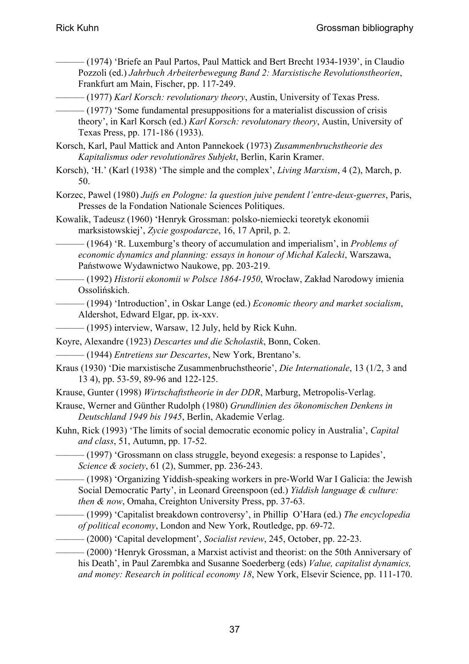- ——— (1974) 'Briefe an Paul Partos, Paul Mattick and Bert Brecht 1934-1939', in Claudio Pozzoli (ed.) *Jahrbuch Arbeiterbewegung Band 2: Marxistische Revolutionstheorien*, Frankfurt am Main, Fischer, pp. 117-249.
- ——— (1977) *Karl Korsch: revolutionary theory*, Austin, University of Texas Press.
- ——— (1977) 'Some fundamental presuppositions for a materialist discussion of crisis theory', in Karl Korsch (ed.) *Karl Korsch: revolutonary theory*, Austin, University of Texas Press, pp. 171-186 (1933).
- Korsch, Karl, Paul Mattick and Anton Pannekoek (1973) *Zusammenbruchstheorie des Kapitalismus oder revolutionäres Subjekt*, Berlin, Karin Kramer.
- Korsch), 'H.' (Karl (1938) 'The simple and the complex', *Living Marxism*, 4 (2), March, p. 50.
- Korzec, Pawel (1980) *Juifs en Pologne: la question juive pendent l'entre-deux-guerres*, Paris, Presses de la Fondation Nationale Sciences Politiques.
- Kowalik, Tadeusz (1960) 'Henryk Grossman: polsko-niemiecki teoretyk ekonomii marksistowskiej', *Zycie gospodarcze*, 16, 17 April, p. 2.
	- ——— (1964) 'R. Luxemburg's theory of accumulation and imperialism', in *Problems of economic dynamics and planning: essays in honour of Michał Kalecki*, Warszawa, Państwowe Wydawnictwo Naukowe, pp. 203-219.
- ——— (1992) *Historii ekonomii w Polsce 1864-1950*, Wrocław, Zakład Narodowy imienia Ossolińskich.
	- ——— (1994) 'Introduction', in Oskar Lange (ed.) *Economic theory and market socialism*, Aldershot, Edward Elgar, pp. ix-xxv.
- (1995) interview, Warsaw, 12 July, held by Rick Kuhn.
- Koyre, Alexandre (1923) *Descartes und die Scholastik*, Bonn, Coken.
- ——— (1944) *Entretiens sur Descartes*, New York, Brentano's.
- Kraus (1930) 'Die marxistische Zusammenbruchstheorie', *Die Internationale*, 13 (1/2, 3 and 13 4), pp. 53-59, 89-96 and 122-125.
- Krause, Gunter (1998) *Wirtschaftstheorie in der DDR*, Marburg, Metropolis-Verlag.
- Krause, Werner and Günther Rudolph (1980) *Grundlinien des ökonomischen Denkens in Deutschland 1949 bis 1945*, Berlin, Akademie Verlag.
- Kuhn, Rick (1993) 'The limits of social democratic economic policy in Australia', *Capital and class*, 51, Autumn, pp. 17-52.
	- ——— (1997) 'Grossmann on class struggle, beyond exegesis: a response to Lapides', *Science & society*, 61 (2), Summer, pp. 236-243.
- ——— (1998) 'Organizing Yiddish-speaking workers in pre-World War I Galicia: the Jewish Social Democratic Party', in Leonard Greenspoon (ed.) *Yiddish language & culture: then & now*, Omaha, Creighton University Press, pp. 37-63.
- ——— (1999) 'Capitalist breakdown controversy', in Phillip O'Hara (ed.) *The encyclopedia of political economy*, London and New York, Routledge, pp. 69-72.
- ——— (2000) 'Capital development', *Socialist review*, 245, October, pp. 22-23.
	- ——— (2000) 'Henryk Grossman, a Marxist activist and theorist: on the 50th Anniversary of his Death', in Paul Zarembka and Susanne Soederberg (eds) *Value, capitalist dynamics, and money: Research in political economy 18*, New York, Elsevir Science, pp. 111-170.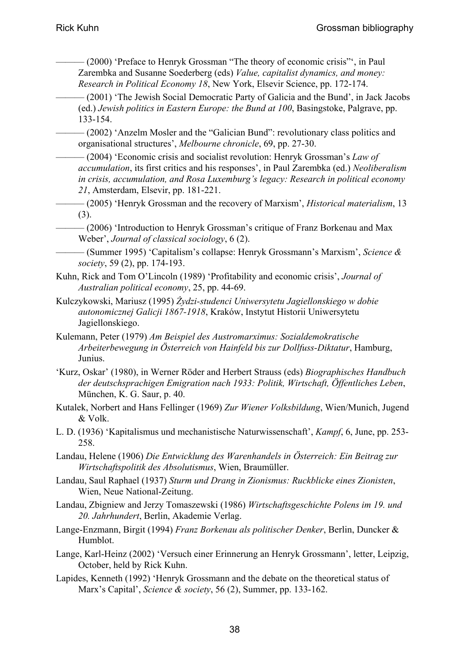- ——— (2000) 'Preface to Henryk Grossman "The theory of economic crisis"', in Paul Zarembka and Susanne Soederberg (eds) *Value, capitalist dynamics, and money: Research in Political Economy 18*, New York, Elsevir Science, pp. 172-174.
- ——— (2001) 'The Jewish Social Democratic Party of Galicia and the Bund', in Jack Jacobs (ed.) *Jewish politics in Eastern Europe: the Bund at 100*, Basingstoke, Palgrave, pp. 133-154.
	- ——— (2002) 'Anzelm Mosler and the "Galician Bund": revolutionary class politics and organisational structures', *Melbourne chronicle*, 69, pp. 27-30.
	- ——— (2004) 'Economic crisis and socialist revolution: Henryk Grossman's *Law of accumulation*, its first critics and his responses', in Paul Zarembka (ed.) *Neoliberalism in crisis, accumulation, and Rosa Luxemburg's legacy: Research in political economy 21*, Amsterdam, Elsevir, pp. 181-221.
- ——— (2005) 'Henryk Grossman and the recovery of Marxism', *Historical materialism*, 13 (3).
	- $-$  (2006) 'Introduction to Henryk Grossman's critique of Franz Borkenau and Max Weber', *Journal of classical sociology*, 6 (2).
- ——— (Summer 1995) 'Capitalism's collapse: Henryk Grossmann's Marxism', *Science & society*, 59 (2), pp. 174-193.
- Kuhn, Rick and Tom O'Lincoln (1989) 'Profitability and economic crisis', *Journal of Australian political economy*, 25, pp. 44-69.
- Kulczykowski, Mariusz (1995) *Żydzi-studenci Uniwersytetu Jagiellonskiego w dobie autonomicznej Galicji 1867-1918*, Kraków, Instytut Historii Uniwersytetu Jagiellonskiego.
- Kulemann, Peter (1979) *Am Beispiel des Austromarximus: Sozialdemokratische Arbeiterbewegung in Österreich von Hainfeld bis zur Dollfuss-Diktatur*, Hamburg, Junius.
- 'Kurz, Oskar' (1980), in Werner Röder and Herbert Strauss (eds) *Biographisches Handbuch der deutschsprachigen Emigration nach 1933: Politik, Wirtschaft, Öffentliches Leben*, München, K. G. Saur, p. 40.
- Kutalek, Norbert and Hans Fellinger (1969) *Zur Wiener Volksbildung*, Wien/Munich, Jugend & Volk.
- L. D. (1936) 'Kapitalismus und mechanistische Naturwissenschaft', *Kampf*, 6, June, pp. 253- 258.
- Landau, Helene (1906) *Die Entwicklung des Warenhandels in Österreich: Ein Beitrag zur Wirtschaftspolitik des Absolutismus*, Wien, Braumüller.
- Landau, Saul Raphael (1937) *Sturm und Drang in Zionismus: Ruckblicke eines Zionisten*, Wien, Neue National-Zeitung.
- Landau, Zbigniew and Jerzy Tomaszewski (1986) *Wirtschaftsgeschichte Polens im 19. und 20. Jahrhundert*, Berlin, Akademie Verlag.
- Lange-Enzmann, Birgit (1994) *Franz Borkenau als politischer Denker*, Berlin, Duncker & Humblot.
- Lange, Karl-Heinz (2002) 'Versuch einer Erinnerung an Henryk Grossmann', letter, Leipzig, October, held by Rick Kuhn.
- Lapides, Kenneth (1992) 'Henryk Grossmann and the debate on the theoretical status of Marx's Capital', *Science & society*, 56 (2), Summer, pp. 133-162.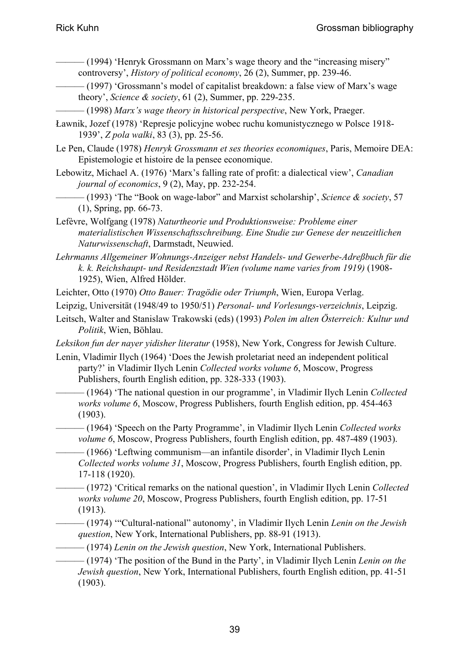- ——— (1994) 'Henryk Grossmann on Marx's wage theory and the "increasing misery" controversy', *History of political economy*, 26 (2), Summer, pp. 239-46.
- ——— (1997) 'Grossmann's model of capitalist breakdown: a false view of Marx's wage theory', *Science & society*, 61 (2), Summer, pp. 229-235.
- ——— (1998) *Marx's wage theory in historical perspective*, New York, Praeger.
- Ławnik, Jozef (1978) 'Represje policyjne wobec ruchu komunistycznego w Polsce 1918- 1939', *Z pola walki*, 83 (3), pp. 25-56.
- Le Pen, Claude (1978) *Henryk Grossmann et ses theories economiques*, Paris, Memoire DEA: Epistemologie et histoire de la pensee economique.
- Lebowitz, Michael A. (1976) 'Marx's falling rate of profit: a dialectical view', *Canadian journal of economics*, 9 (2), May, pp. 232-254.
- ——— (1993) 'The "Book on wage-labor" and Marxist scholarship', *Science & society*, 57 (1), Spring, pp. 66-73.
- Lefèvre, Wolfgang (1978) *Naturtheorie und Produktionsweise: Probleme einer materialistischen Wissenschaftsschreibung. Eine Studie zur Genese der neuzeitlichen Naturwissenschaft*, Darmstadt, Neuwied.
- *Lehrmanns Allgemeiner Wohnungs-Anzeiger nebst Handels- und Gewerbe-Adreßbuch für die k. k. Reichshaupt- und Residenzstadt Wien (volume name varies from 1919)* (1908- 1925), Wien, Alfred Hölder.
- Leichter, Otto (1970) *Otto Bauer: Tragödie oder Triumph*, Wien, Europa Verlag.
- Leipzig, Universität (1948/49 to 1950/51) *Personal- und Vorlesungs-verzeichnis*, Leipzig.
- Leitsch, Walter and Stanislaw Trakowski (eds) (1993) *Polen im alten Österreich: Kultur und Politik*, Wien, Böhlau.
- *Leksikon fun der nayer yidisher literatur* (1958), New York, Congress for Jewish Culture.
- Lenin, Vladimir Ilych (1964) 'Does the Jewish proletariat need an independent political party?' in Vladimir Ilych Lenin *Collected works volume 6*, Moscow, Progress Publishers, fourth English edition, pp. 328-333 (1903).
	- ——— (1964) 'The national question in our programme', in Vladimir Ilych Lenin *Collected works volume 6*, Moscow, Progress Publishers, fourth English edition, pp. 454-463 (1903).
- ——— (1964) 'Speech on the Party Programme', in Vladimir Ilych Lenin *Collected works volume 6*, Moscow, Progress Publishers, fourth English edition, pp. 487-489 (1903).
- ——— (1966) 'Leftwing communism—an infantile disorder', in Vladimir Ilych Lenin *Collected works volume 31*, Moscow, Progress Publishers, fourth English edition, pp. 17-118 (1920).
- ——— (1972) 'Critical remarks on the national question', in Vladimir Ilych Lenin *Collected works volume 20*, Moscow, Progress Publishers, fourth English edition, pp. 17-51 (1913).
	- ——— (1974) '"Cultural-national" autonomy', in Vladimir Ilych Lenin *Lenin on the Jewish question*, New York, International Publishers, pp. 88-91 (1913).
- ——— (1974) *Lenin on the Jewish question*, New York, International Publishers.
- ——— (1974) 'The position of the Bund in the Party', in Vladimir Ilych Lenin *Lenin on the Jewish question*, New York, International Publishers, fourth English edition, pp. 41-51 (1903).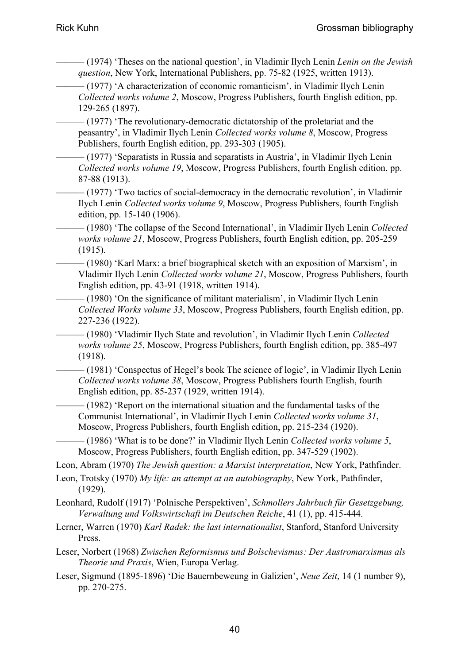- ——— (1974) 'Theses on the national question', in Vladimir Ilych Lenin *Lenin on the Jewish question*, New York, International Publishers, pp. 75-82 (1925, written 1913).
- ——— (1977) 'A characterization of economic romanticism', in Vladimir Ilych Lenin *Collected works volume 2*, Moscow, Progress Publishers, fourth English edition, pp. 129-265 (1897).
- $-$  (1977) The revolutionary-democratic dictatorship of the proletariat and the peasantry', in Vladimir Ilych Lenin *Collected works volume 8*, Moscow, Progress Publishers, fourth English edition, pp. 293-303 (1905).
- $(1977)$  'Separatists in Russia and separatists in Austria', in Vladimir Ilych Lenin *Collected works volume 19*, Moscow, Progress Publishers, fourth English edition, pp. 87-88 (1913).
- -(1977) 'Two tactics of social-democracy in the democratic revolution', in Vladimir Ilych Lenin *Collected works volume 9*, Moscow, Progress Publishers, fourth English edition, pp. 15-140 (1906).
- ——— (1980) 'The collapse of the Second International', in Vladimir Ilych Lenin *Collected works volume 21*, Moscow, Progress Publishers, fourth English edition, pp. 205-259 (1915).
- (1980) 'Karl Marx: a brief biographical sketch with an exposition of Marxism', in Vladimir Ilych Lenin *Collected works volume 21*, Moscow, Progress Publishers, fourth English edition, pp. 43-91 (1918, written 1914).
	- $(1980)$  'On the significance of militant materialism', in Vladimir Ilych Lenin *Collected Works volume 33*, Moscow, Progress Publishers, fourth English edition, pp. 227-236 (1922).
- ——— (1980) 'Vladimir Ilych State and revolution', in Vladimir Ilych Lenin *Collected works volume 25*, Moscow, Progress Publishers, fourth English edition, pp. 385-497 (1918).
	- ——— (1981) 'Conspectus of Hegel's book The science of logic', in Vladimir Ilych Lenin *Collected works volume 38*, Moscow, Progress Publishers fourth English, fourth English edition, pp. 85-237 (1929, written 1914).
		- $(1982)$  'Report on the international situation and the fundamental tasks of the Communist International', in Vladimir Ilych Lenin *Collected works volume 31*, Moscow, Progress Publishers, fourth English edition, pp. 215-234 (1920).
		- ——— (1986) 'What is to be done?' in Vladimir Ilych Lenin *Collected works volume 5*, Moscow, Progress Publishers, fourth English edition, pp. 347-529 (1902).

Leon, Abram (1970) *The Jewish question: a Marxist interpretation*, New York, Pathfinder.

- Leon, Trotsky (1970) *My life: an attempt at an autobiography*, New York, Pathfinder, (1929).
- Leonhard, Rudolf (1917) 'Polnische Perspektiven', *Schmollers Jahrbuch für Gesetzgebung, Verwaltung und Volkswirtschaft im Deutschen Reiche*, 41 (1), pp. 415-444.
- Lerner, Warren (1970) *Karl Radek: the last internationalist*, Stanford, Stanford University Press.
- Leser, Norbert (1968) *Zwischen Reformismus und Bolschevismus: Der Austromarxismus als Theorie und Praxis*, Wien, Europa Verlag.
- Leser, Sigmund (1895-1896) 'Die Bauernbeweung in Galizien', *Neue Zeit*, 14 (1 number 9), pp. 270-275.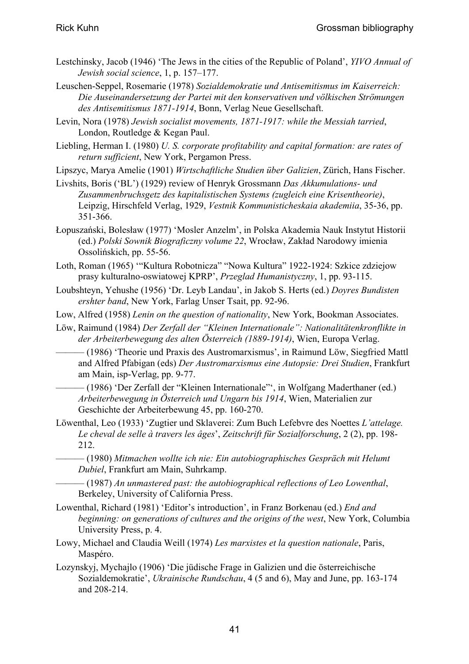- Lestchinsky, Jacob (1946) 'The Jews in the cities of the Republic of Poland', *YIVO Annual of Jewish social science*, 1, p. 157–177.
- Leuschen-Seppel, Rosemarie (1978) *Sozialdemokratie und Antisemitismus im Kaiserreich: Die Auseinandersetzung der Partei mit den konservativen und völkischen Strömungen des Antisemitismus 1871-1914*, Bonn, Verlag Neue Gesellschaft.
- Levin, Nora (1978) *Jewish socialist movements, 1871-1917: while the Messiah tarried*, London, Routledge & Kegan Paul.
- Liebling, Herman I. (1980) *U. S. corporate profitability and capital formation: are rates of return sufficient*, New York, Pergamon Press.
- Lipszyc, Marya Amelie (1901) *Wirtschaftliche Studien über Galizien*, Zürich, Hans Fischer.
- Livshits, Boris ('BL') (1929) review of Henryk Grossmann *Das Akkumulations- und Zusammenbruchsgetz des kapitalistischen Systems (zugleich eine Krisentheorie)*, Leipzig, Hirschfeld Verlag, 1929, *Vestnik Kommunisticheskaia akademiia*, 35-36, pp. 351-366.
- Łopuszański, Bolesław (1977) 'Mosler Anzelm', in Polska Akademia Nauk Instytut Historii (ed.) *Polski Sownik Biograficzny volume 22*, Wrocław, Zakład Narodowy imienia Ossolińskich, pp. 55-56.
- Loth, Roman (1965) '"Kultura Robotnicza" "Nowa Kultura" 1922-1924: Szkice zdziejow prasy kulturalno-oswiatowej KPRP', *Przeglad Humanistyczny*, 1, pp. 93-115.
- Loubshteyn, Yehushe (1956) 'Dr. Leyb Landau', in Jakob S. Herts (ed.) *Doyres Bundisten ershter band*, New York, Farlag Unser Tsait, pp. 92-96.
- Low, Alfred (1958) *Lenin on the question of nationality*, New York, Bookman Associates.
- Löw, Raimund (1984) *Der Zerfall der "Kleinen Internationale": Nationalitätenkronflikte in der Arbeiterbewegung des alten Österreich (1889-1914)*, Wien, Europa Verlag.
	- (1986) 'Theorie und Praxis des Austromarxismus', in Raimund Löw, Siegfried Mattl and Alfred Pfabigan (eds) *Der Austromarxismus eine Autopsie: Drei Studien*, Frankfurt am Main, isp-Verlag, pp. 9-77.
	- -(1986) 'Der Zerfall der "Kleinen Internationale"', in Wolfgang Maderthaner (ed.) *Arbeiterbewegung in Österreich und Ungarn bis 1914*, Wien, Materialien zur Geschichte der Arbeiterbewung 45, pp. 160-270.
- Löwenthal, Leo (1933) 'Zugtier und Sklaverei: Zum Buch Lefebvre des Noettes *L'attelage. Le cheval de selle à travers les âges*', *Zeitschrift für Sozialforschung*, 2 (2), pp. 198- 212.
- ——— (1980) *Mitmachen wollte ich nie: Ein autobiographisches Gespräch mit Helumt Dubiel*, Frankfurt am Main, Suhrkamp.
	- ——— (1987) *An unmastered past: the autobiographical reflections of Leo Lowenthal*, Berkeley, University of California Press.
- Lowenthal, Richard (1981) 'Editor's introduction', in Franz Borkenau (ed.) *End and beginning: on generations of cultures and the origins of the west*, New York, Columbia University Press, p. 4.
- Lowy, Michael and Claudia Weill (1974) *Les marxistes et la question nationale*, Paris, Maspéro.
- Lozynskyj, Mychajlo (1906) 'Die jüdische Frage in Galizien und die österreichische Sozialdemokratie', *Ukrainische Rundschau*, 4 (5 and 6), May and June, pp. 163-174 and 208-214.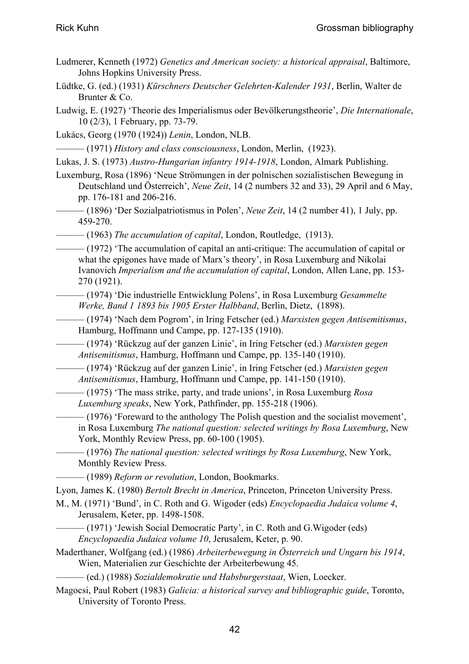- Ludmerer, Kenneth (1972) *Genetics and American society: a historical appraisal*, Baltimore, Johns Hopkins University Press.
- Lüdtke, G. (ed.) (1931) *Kürschners Deutscher Gelehrten-Kalender 1931*, Berlin, Walter de Brunter & Co.
- Ludwig, E. (1927) 'Theorie des Imperialismus oder Bevölkerungstheorie', *Die Internationale*, 10 (2/3), 1 February, pp. 73-79.
- Lukács, Georg (1970 (1924)) *Lenin*, London, NLB.

——— (1971) *History and class consciousness*, London, Merlin, (1923).

- Lukas, J. S. (1973) *Austro-Hungarian infantry 1914-1918*, London, Almark Publishing.
- Luxemburg, Rosa (1896) 'Neue Strömungen in der polnischen sozialistischen Bewegung in Deutschland und Österreich', *Neue Zeit*, 14 (2 numbers 32 and 33), 29 April and 6 May, pp. 176-181 and 206-216.
- ——— (1896) 'Der Sozialpatriotismus in Polen', *Neue Zeit*, 14 (2 number 41), 1 July, pp. 459-270.
- ——— (1963) *The accumulation of capital*, London, Routledge, (1913).
- (1972) 'The accumulation of capital an anti-critique: The accumulation of capital or what the epigones have made of Marx's theory', in Rosa Luxemburg and Nikolai Ivanovich *Imperialism and the accumulation of capital*, London, Allen Lane, pp. 153- 270 (1921).
- ——— (1974) 'Die industrielle Entwicklung Polens', in Rosa Luxemburg *Gesammelte Werke, Band 1 1893 bis 1905 Erster Halbband*, Berlin, Dietz, (1898).
- ——— (1974) 'Nach dem Pogrom', in Iring Fetscher (ed.) *Marxisten gegen Antisemitismus*, Hamburg, Hoffmann und Campe, pp. 127-135 (1910).
	- ——— (1974) 'Rückzug auf der ganzen Linie', in Iring Fetscher (ed.) *Marxisten gegen Antisemitismus*, Hamburg, Hoffmann und Campe, pp. 135-140 (1910).
	- ——— (1974) 'Rückzug auf der ganzen Linie', in Iring Fetscher (ed.) *Marxisten gegen Antisemitismus*, Hamburg, Hoffmann und Campe, pp. 141-150 (1910).
		- ——— (1975) 'The mass strike, party, and trade unions', in Rosa Luxemburg *Rosa Luxemburg speaks*, New York, Pathfinder, pp. 155-218 (1906).
	- $-$  (1976) 'Foreward to the anthology The Polish question and the socialist movement', in Rosa Luxemburg *The national question: selected writings by Rosa Luxemburg*, New York, Monthly Review Press, pp. 60-100 (1905).
		- ——— (1976) *The national question: selected writings by Rosa Luxemburg*, New York, Monthly Review Press.
		- ——— (1989) *Reform or revolution*, London, Bookmarks.

Lyon, James K. (1980) *Bertolt Brecht in America*, Princeton, Princeton University Press.

- M., M. (1971) 'Bund', in C. Roth and G. Wigoder (eds) *Encyclopaedia Judaica volume 4*, Jerusalem, Keter, pp. 1498-1508.
- $-$  (1971) 'Jewish Social Democratic Party', in C. Roth and G. Wigoder (eds) *Encyclopaedia Judaica volume 10*, Jerusalem, Keter, p. 90.
- Maderthaner, Wolfgang (ed.) (1986) *Arbeiterbewegung in Österreich und Ungarn bis 1914*, Wien, Materialien zur Geschichte der Arbeiterbewung 45.

——— (ed.) (1988) *Sozialdemokratie und Habsburgerstaat*, Wien, Loecker.

Magocsi, Paul Robert (1983) *Galicia: a historical survey and bibliographic guide*, Toronto, University of Toronto Press.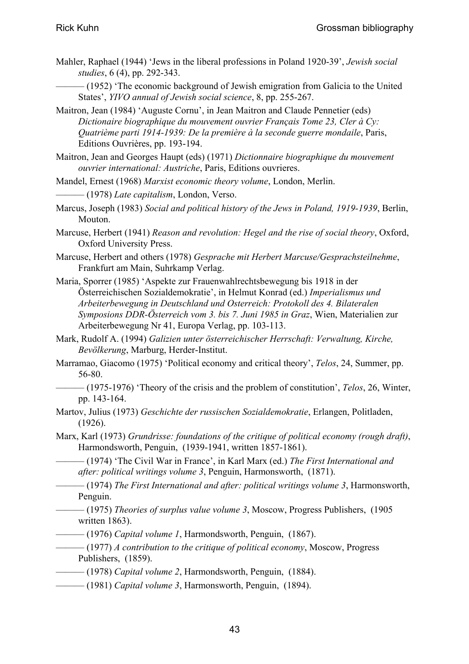- Mahler, Raphael (1944) 'Jews in the liberal professions in Poland 1920-39', *Jewish social studies*, 6 (4), pp. 292-343.
- (1952) 'The economic background of Jewish emigration from Galicia to the United States', *YIVO annual of Jewish social science*, 8, pp. 255-267.
- Maitron, Jean (1984) 'Auguste Cornu', in Jean Maitron and Claude Pennetier (eds) *Dictionaire biographique du mouvement ouvrier Français Tome 23, Cler à Cy: Quatrième parti 1914-1939: De la première à la seconde guerre mondaile*, Paris, Editions Ouvrières, pp. 193-194.
- Maitron, Jean and Georges Haupt (eds) (1971) *Dictionnaire biographique du mouvement ouvrier international: Austriche*, Paris, Editions ouvrieres.
- Mandel, Ernest (1968) *Marxist economic theory volume*, London, Merlin.
- ——— (1978) *Late capitalism*, London, Verso.
- Marcus, Joseph (1983) *Social and political history of the Jews in Poland, 1919-1939*, Berlin, Mouton.
- Marcuse, Herbert (1941) *Reason and revolution: Hegel and the rise of social theory*, Oxford, Oxford University Press.
- Marcuse, Herbert and others (1978) *Gesprache mit Herbert Marcuse/Gesprachsteilnehme*, Frankfurt am Main, Suhrkamp Verlag.
- Maria, Sporrer (1985) 'Aspekte zur Frauenwahlrechtsbewegung bis 1918 in der Österreichischen Sozialdemokratie', in Helmut Konrad (ed.) *Imperialismus und Arbeiterbewegung in Deutschland und Osterreich: Protokoll des 4. Bilateralen Symposions DDR-Österreich vom 3. bis 7. Juni 1985 in Graz*, Wien, Materialien zur Arbeiterbewegung Nr 41, Europa Verlag, pp. 103-113.
- Mark, Rudolf A. (1994) *Galizien unter österreichischer Herrschaft: Verwaltung, Kirche, Bevölkerung*, Marburg, Herder-Institut.
- Marramao, Giacomo (1975) 'Political economy and critical theory', *Telos*, 24, Summer, pp. 56-80.
- ——— (1975-1976) 'Theory of the crisis and the problem of constitution', *Telos*, 26, Winter, pp. 143-164.
- Martov, Julius (1973) *Geschichte der russischen Sozialdemokratie*, Erlangen, Politladen, (1926).
- Marx, Karl (1973) *Grundrisse: foundations of the critique of political economy (rough draft)*, Harmondsworth, Penguin, (1939-1941, written 1857-1861).
	- ——— (1974) 'The Civil War in France', in Karl Marx (ed.) *The First International and after: political writings volume 3*, Penguin, Harmonsworth, (1871).
- ——— (1974) *The First International and after: political writings volume 3*, Harmonsworth, Penguin.
	- ——— (1975) *Theories of surplus value volume 3*, Moscow, Progress Publishers, (1905 written 1863).
- ——— (1976) *Capital volume 1*, Harmondsworth, Penguin, (1867).
- ——— (1977) *A contribution to the critique of political economy*, Moscow, Progress Publishers, (1859).
- ——— (1978) *Capital volume 2*, Harmondsworth, Penguin, (1884).
- ——— (1981) *Capital volume 3*, Harmonsworth, Penguin, (1894).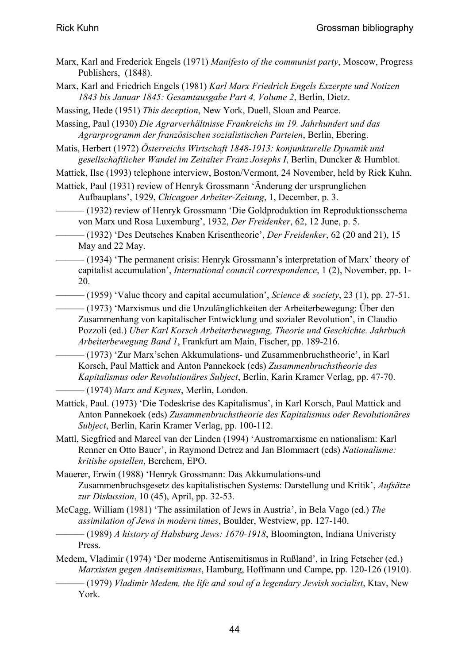- Marx, Karl and Frederick Engels (1971) *Manifesto of the communist party*, Moscow, Progress Publishers, (1848).
- Marx, Karl and Friedrich Engels (1981) *Karl Marx Friedrich Engels Exzerpte und Notizen 1843 bis Januar 1845: Gesamtausgabe Part 4, Volume 2*, Berlin, Dietz.
- Massing, Hede (1951) *This deception*, New York, Duell, Sloan and Pearce.
- Massing, Paul (1930) *Die Agrarverhältnisse Frankreichs im 19. Jahrhundert und das Agrarprogramm der französischen sozialistischen Parteien*, Berlin, Ebering.
- Matis, Herbert (1972) *Österreichs Wirtschaft 1848-1913: konjunkturelle Dynamik und gesellschaftlicher Wandel im Zeitalter Franz Josephs I*, Berlin, Duncker & Humblot.
- Mattick, Ilse (1993) telephone interview, Boston/Vermont, 24 November, held by Rick Kuhn.
- Mattick, Paul (1931) review of Henryk Grossmann 'Änderung der ursprunglichen Aufbauplans', 1929, *Chicagoer Arbeiter-Zeitung*, 1, December, p. 3.
- ——— (1932) review of Henryk Grossmann 'Die Goldproduktion im Reproduktionsschema von Marx und Rosa Luxemburg', 1932, *Der Freidenker*, 62, 12 June, p. 5.
- ——— (1932) 'Des Deutsches Knaben Krisentheorie', *Der Freidenker*, 62 (20 and 21), 15 May and 22 May.
- ——— (1934) 'The permanent crisis: Henryk Grossmann's interpretation of Marx' theory of capitalist accumulation', *International council correspondence*, 1 (2), November, pp. 1- 20.
- ——— (1959) 'Value theory and capital accumulation', *Science & society*, 23 (1), pp. 27-51.
	- ——— (1973) 'Marxismus und die Unzulänglichkeiten der Arbeiterbewegung: Über den Zusammenhang von kapitalischer Entwicklung und sozialer Revolution', in Claudio Pozzoli (ed.) *Uber Karl Korsch Arbeiterbewegung, Theorie und Geschichte. Jahrbuch Arbeiterbewegung Band 1*, Frankfurt am Main, Fischer, pp. 189-216.
	- ——— (1973) 'Zur Marx'schen Akkumulations- und Zusammenbruchstheorie', in Karl Korsch, Paul Mattick and Anton Pannekoek (eds) *Zusammenbruchstheorie des Kapitalismus oder Revolutionäres Subject*, Berlin, Karin Kramer Verlag, pp. 47-70.
	- ——— (1974) *Marx and Keynes*, Merlin, London.
- Mattick, Paul. (1973) 'Die Todeskrise des Kapitalismus', in Karl Korsch, Paul Mattick and Anton Pannekoek (eds) *Zusammenbruchstheorie des Kapitalismus oder Revolutionäres Subject*, Berlin, Karin Kramer Verlag, pp. 100-112.
- Mattl, Siegfried and Marcel van der Linden (1994) 'Austromarxisme en nationalism: Karl Renner en Otto Bauer', in Raymond Detrez and Jan Blommaert (eds) *Nationalisme: kritishe opstellen*, Berchem, EPO.
- Mauerer, Erwin (1988) 'Henryk Grossmann: Das Akkumulations-und Zusammenbruchsgesetz des kapitalistischen Systems: Darstellung und Kritik', *Aufsätze zur Diskussion*, 10 (45), April, pp. 32-53.
- McCagg, William (1981) 'The assimilation of Jews in Austria', in Bela Vago (ed.) *The assimilation of Jews in modern times*, Boulder, Westview, pp. 127-140.
- ——— (1989) *A history of Habsburg Jews: 1670-1918*, Bloomington, Indiana Univeristy Press.
- Medem, Vladimir (1974) 'Der moderne Antisemitismus in Rußland', in Iring Fetscher (ed.) *Marxisten gegen Antisemitismus*, Hamburg, Hoffmann und Campe, pp. 120-126 (1910). ——— (1979) *Vladimir Medem, the life and soul of a legendary Jewish socialist*, Ktav, New

York.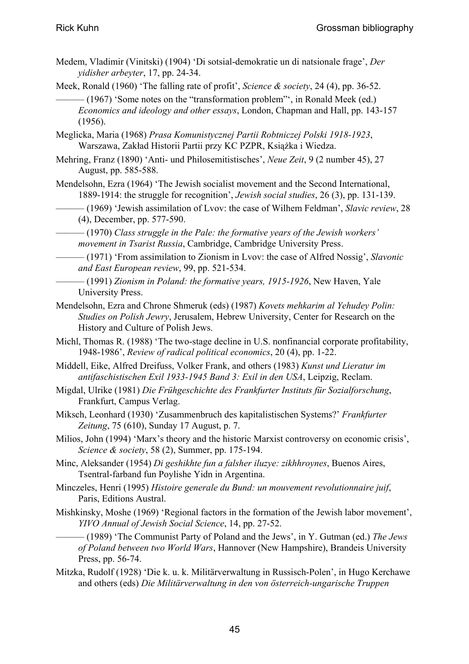- Medem, Vladimir (Vinitski) (1904) 'Di sotsial-demokratie un di natsionale frage', *Der yidisher arbeyter*, 17, pp. 24-34.
- Meek, Ronald (1960) 'The falling rate of profit', *Science & society*, 24 (4), pp. 36-52.
	- $-(1967)$  'Some notes on the "transformation problem"', in Ronald Meek (ed.) *Economics and ideology and other essays*, London, Chapman and Hall, pp. 143-157 (1956).
- Meglicka, Maria (1968) *Prasa Komunistycznej Partii Robtniczej Polski 1918-1923*, Warszawa, Zakład Historii Partii przy KC PZPR, Książka i Wiedza.
- Mehring, Franz (1890) 'Anti- und Philosemitistisches', *Neue Zeit*, 9 (2 number 45), 27 August, pp. 585-588.
- Mendelsohn, Ezra (1964) 'The Jewish socialist movement and the Second International, 1889-1914: the struggle for recognition', *Jewish social studies*, 26 (3), pp. 131-139.
- ——— (1969) 'Jewish assimilation of Lvov: the case of Wilhem Feldman', *Slavic review*, 28 (4), December, pp. 577-590.
	- ——— (1970) *Class struggle in the Pale: the formative years of the Jewish workers' movement in Tsarist Russia*, Cambridge, Cambridge University Press.
- ——— (1971) 'From assimilation to Zionism in Lvov: the case of Alfred Nossig', *Slavonic and East European review*, 99, pp. 521-534.
- ——— (1991) *Zionism in Poland: the formative years, 1915-1926*, New Haven, Yale University Press.
- Mendelsohn, Ezra and Chrone Shmeruk (eds) (1987) *Kovets mehkarim al Yehudey Polin: Studies on Polish Jewry*, Jerusalem, Hebrew University, Center for Research on the History and Culture of Polish Jews.
- Michl, Thomas R. (1988) 'The two-stage decline in U.S. nonfinancial corporate profitability, 1948-1986', *Review of radical political economics*, 20 (4), pp. 1-22.
- Middell, Eike, Alfred Dreifuss, Volker Frank, and others (1983) *Kunst und Lieratur im antifaschistischen Exil 1933-1945 Band 3: Exil in den USA*, Leipzig, Reclam.
- Migdal, Ulrike (1981) *Die Frühgeschichte des Frankfurter Instituts für Sozialforschung*, Frankfurt, Campus Verlag.
- Miksch, Leonhard (1930) 'Zusammenbruch des kapitalistischen Systems?' *Frankfurter Zeitung*, 75 (610), Sunday 17 August, p. 7.
- Milios, John (1994) 'Marx's theory and the historic Marxist controversy on economic crisis', *Science & society*, 58 (2), Summer, pp. 175-194.
- Minc, Aleksander (1954) *Di geshikhte fun a falsher iluzye: zikhhroynes*, Buenos Aires, Tsentral-farband fun Poylishe Yidn in Argentina.
- Minczeles, Henri (1995) *Histoire generale du Bund: un mouvement revolutionnaire juif*, Paris, Editions Austral.
- Mishkinsky, Moshe (1969) 'Regional factors in the formation of the Jewish labor movement', *YIVO Annual of Jewish Social Science*, 14, pp. 27-52.
	- ——— (1989) 'The Communist Party of Poland and the Jews', in Y. Gutman (ed.) *The Jews of Poland between two World Wars*, Hannover (New Hampshire), Brandeis University Press, pp. 56-74.
- Mitzka, Rudolf (1928) 'Die k. u. k. Militärverwaltung in Russisch-Polen', in Hugo Kerchawe and others (eds) *Die Militärverwaltung in den von österreich-ungarische Truppen*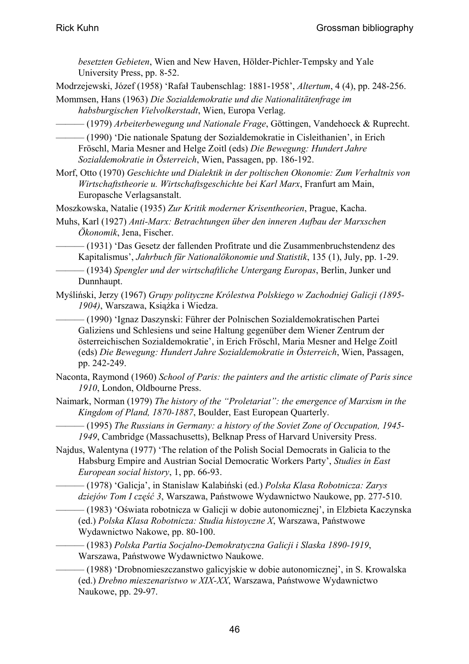*besetzten Gebieten*, Wien and New Haven, Hölder-Pichler-Tempsky and Yale University Press, pp. 8-52.

Modrzejewski, Józef (1958) 'Rafał Taubenschlag: 1881-1958', *Altertum*, 4 (4), pp. 248-256.

Mommsen, Hans (1963) *Die Sozialdemokratie und die Nationalitätenfrage im habsburgischen Vielvolkerstadt*, Wien, Europa Verlag.

——— (1979) *Arbeiterbewegung und Nationale Frage*, Göttingen, Vandehoeck & Ruprecht.

——— (1990) 'Die nationale Spatung der Sozialdemokratie in Cisleithanien', in Erich Fröschl, Maria Mesner and Helge Zoitl (eds) *Die Bewegung: Hundert Jahre Sozialdemokratie in Österreich*, Wien, Passagen, pp. 186-192.

Morf, Otto (1970) *Geschichte und Dialektik in der poltischen Okonomie: Zum Verhaltnis von Wirtschaftstheorie u. Wirtschaftsgeschichte bei Karl Marx*, Franfurt am Main, Europasche Verlagsanstalt.

Moszkowska, Natalie (1935) *Zur Kritik moderner Krisentheorien*, Prague, Kacha.

Muhs, Karl (1927) *Anti-Marx: Betrachtungen über den inneren Aufbau der Marxschen Ökonomik*, Jena, Fischer.

——— (1931) 'Das Gesetz der fallenden Profitrate und die Zusammenbruchstendenz des Kapitalismus', *Jahrbuch für Nationalökonomie und Statistik*, 135 (1), July, pp. 1-29.

——— (1934) *Spengler und der wirtschaftliche Untergang Europas*, Berlin, Junker und Dunnhaupt.

Myśliński, Jerzy (1967) *Grupy polityczne Królestwa Polskiego w Zachodniej Galicji (1895- 1904)*, Warszawa, Książka i Wiedza.

——— (1990) 'Ignaz Daszynski: Führer der Polnischen Sozialdemokratischen Partei Galiziens und Schlesiens und seine Haltung gegenüber dem Wiener Zentrum der österreichischen Sozialdemokratie', in Erich Fröschl, Maria Mesner and Helge Zoitl (eds) *Die Bewegung: Hundert Jahre Sozialdemokratie in Österreich*, Wien, Passagen, pp. 242-249.

- Naconta, Raymond (1960) *School of Paris: the painters and the artistic climate of Paris since 1910*, London, Oldbourne Press.
- Naimark, Norman (1979) *The history of the "Proletariat": the emergence of Marxism in the Kingdom of Pland, 1870-1887*, Boulder, East European Quarterly.
- ——— (1995) *The Russians in Germany: a history of the Soviet Zone of Occupation, 1945- 1949*, Cambridge (Massachusetts), Belknap Press of Harvard University Press.
- Najdus, Walentyna (1977) 'The relation of the Polish Social Democrats in Galicia to the Habsburg Empire and Austrian Social Democratic Workers Party', *Studies in East European social history*, 1, pp. 66-93.

——— (1978) 'Galicja', in Stanislaw Kalabiński (ed.) *Polska Klasa Robotnicza: Zarys dziejów Tom I część 3*, Warszawa, Państwowe Wydawnictwo Naukowe, pp. 277-510.

——— (1983) 'Oświata robotnicza w Galicji w dobie autonomicznej', in Elzbieta Kaczynska (ed.) *Polska Klasa Robotnicza: Studia histoyczne X*, Warszawa, Państwowe Wydawnictwo Nakowe, pp. 80-100.

——— (1983) *Polska Partia Socjalno-Demokratyczna Galicji i Slaska 1890-1919*, Warszawa, Państwowe Wydawnictwo Naukowe.

——— (1988) 'Drobnomieszczanstwo galicyjskie w dobie autonomicznej', in S. Krowalska (ed.) *Drebno mieszenaristwo w XIX-XX*, Warszawa, Państwowe Wydawnictwo Naukowe, pp. 29-97.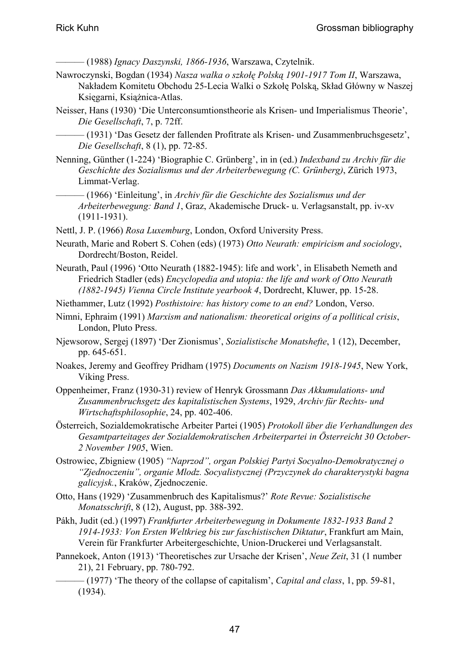——— (1988) *Ignacy Daszynski, 1866-1936*, Warszawa, Czytelnik.

- Nawroczynski, Bogdan (1934) *Nasza walka o szkołę Polską 1901-1917 Tom II*, Warszawa, Nakładem Komitetu Obchodu 25-Lecia Walki o Szkołę Polską, Skład Główny w Naszej Księgarni, Książnica-Atlas.
- Neisser, Hans (1930) 'Die Unterconsumtionstheorie als Krisen- und Imperialismus Theorie', *Die Gesellschaft*, 7, p. 72ff.
	- ——— (1931) 'Das Gesetz der fallenden Profitrate als Krisen- und Zusammenbruchsgesetz', *Die Gesellschaft*, 8 (1), pp. 72-85.
- Nenning, Günther (1-224) 'Biographie C. Grünberg', in in (ed.) *Indexband zu Archiv für die Geschichte des Sozialismus und der Arbeiterbewegung (C. Grünberg)*, Zürich 1973, Limmat-Verlag.
- ——— (1966) 'Einleitung', in *Archiv für die Geschichte des Sozialismus und der Arbeiterbewegung: Band 1*, Graz, Akademische Druck- u. Verlagsanstalt, pp. iv-xv (1911-1931).
- Nettl, J. P. (1966) *Rosa Luxemburg*, London, Oxford University Press.
- Neurath, Marie and Robert S. Cohen (eds) (1973) *Otto Neurath: empiricism and sociology*, Dordrecht/Boston, Reidel.
- Neurath, Paul (1996) 'Otto Neurath (1882-1945): life and work', in Elisabeth Nemeth and Friedrich Stadler (eds) *Encyclopedia and utopia: the life and work of Otto Neurath (1882-1945) Vienna Circle Institute yearbook 4*, Dordrecht, Kluwer, pp. 15-28.
- Niethammer, Lutz (1992) *Posthistoire: has history come to an end?* London, Verso.
- Nimni, Ephraim (1991) *Marxism and nationalism: theoretical origins of a pollitical crisis*, London, Pluto Press.
- Njewsorow, Sergej (1897) 'Der Zionismus', *Sozialistische Monatshefte*, 1 (12), December, pp. 645-651.
- Noakes, Jeremy and Geoffrey Pridham (1975) *Documents on Nazism 1918-1945*, New York, Viking Press.
- Oppenheimer, Franz (1930-31) review of Henryk Grossmann *Das Akkumulations- und Zusammenbruchsgetz des kapitalistischen Systems*, 1929, *Archiv für Rechts- und Wirtschaftsphilosophie*, 24, pp. 402-406.
- Österreich, Sozialdemokratische Arbeiter Partei (1905) *Protokoll über die Verhandlungen des Gesamtparteitages der Sozialdemokratischen Arbeiterpartei in Österreicht 30 October-2 November 1905*, Wien.
- Ostrowiec, Zbigniew (1905) *"Naprzod", organ Polskiej Partyi Socyalno-Demokratycznej o "Zjednoczeniu", organie Mlodz. Socyalistycznej (Przyczynek do charakterystyki bagna galicyjsk.*, Kraków, Zjednoczenie.
- Otto, Hans (1929) 'Zusammenbruch des Kapitalismus?' *Rote Revue: Sozialistische Monatsschrift*, 8 (12), August, pp. 388-392.
- Pákh, Judit (ed.) (1997) *Frankfurter Arbeiterbewegung in Dokumente 1832-1933 Band 2 1914-1933: Von Ersten Weltkrieg bis zur faschistischen Diktatur*, Frankfurt am Main, Verein für Frankfurter Arbeitergeschichte, Union-Druckerei und Verlagsanstalt.
- Pannekoek, Anton (1913) 'Theoretisches zur Ursache der Krisen', *Neue Zeit*, 31 (1 number 21), 21 February, pp. 780-792.
- ——— (1977) 'The theory of the collapse of capitalism', *Capital and class*, 1, pp. 59-81, (1934).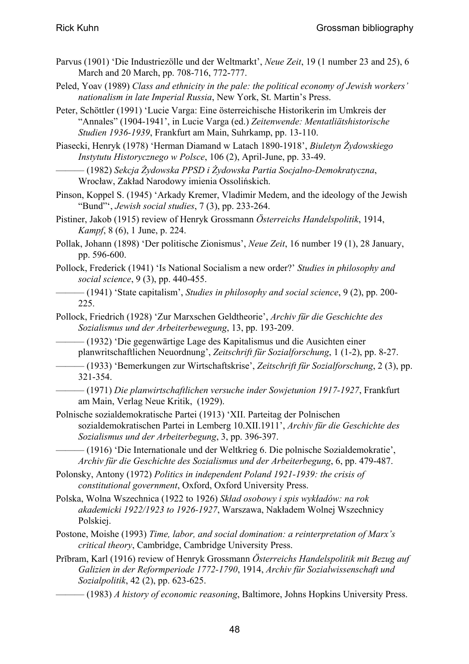- Parvus (1901) 'Die Industriezölle und der Weltmarkt', *Neue Zeit*, 19 (1 number 23 and 25), 6 March and 20 March, pp. 708-716, 772-777.
- Peled, Yoav (1989) *Class and ethnicity in the pale: the political economy of Jewish workers' nationalism in late Imperial Russia*, New York, St. Martin's Press.
- Peter, Schöttler (1991) 'Lucie Varga: Eine österreichische Historikerin im Umkreis der "Annales" (1904-1941', in Lucie Varga (ed.) *Zeitenwende: Mentatliätshistorische Studien 1936-1939*, Frankfurt am Main, Suhrkamp, pp. 13-110.

Piasecki, Henryk (1978) 'Herman Diamand w Latach 1890-1918', *Biuletyn Żydowskiego Instytutu Historycznego w Polsce*, 106 (2), April-June, pp. 33-49.

——— (1982) *Sekcja Żydowska PPSD i Żydowska Partia Socjalno-Demokratyczna*, Wrocław, Zakład Narodowy imienia Ossolińskich.

Pinson, Koppel S. (1945) 'Arkady Kremer, Vladimir Medem, and the ideology of the Jewish "Bund"', *Jewish social studies*, 7 (3), pp. 233-264.

- Pistiner, Jakob (1915) review of Henryk Grossmann *Österreichs Handelspolitik*, 1914, *Kampf*, 8 (6), 1 June, p. 224.
- Pollak, Johann (1898) 'Der politische Zionismus', *Neue Zeit*, 16 number 19 (1), 28 January, pp. 596-600.
- Pollock, Frederick (1941) 'Is National Socialism a new order?' *Studies in philosophy and social science*, 9 (3), pp. 440-455.
- ——— (1941) 'State capitalism', *Studies in philosophy and social science*, 9 (2), pp. 200- 225.
- Pollock, Friedrich (1928) 'Zur Marxschen Geldtheorie', *Archiv für die Geschichte des Sozialismus und der Arbeiterbewegung*, 13, pp. 193-209.

——— (1932) 'Die gegenwärtige Lage des Kapitalismus und die Ausichten einer planwritschaftlichen Neuordnung', *Zeitschrift für Sozialforschung*, 1 (1-2), pp. 8-27.

——— (1933) 'Bemerkungen zur Wirtschaftskrise', *Zeitschrift für Sozialforschung*, 2 (3), pp. 321-354.

- ——— (1971) *Die planwirtschaftlichen versuche inder Sowjetunion 1917-1927*, Frankfurt am Main, Verlag Neue Kritik, (1929).
- Polnische sozialdemokratische Partei (1913) 'XII. Parteitag der Polnischen sozialdemokratischen Partei in Lemberg 10.XII.1911', *Archiv für die Geschichte des Sozialismus und der Arbeiterbegung*, 3, pp. 396-397.
	- ——— (1916) 'Die Internationale und der Weltkrieg 6. Die polnische Sozialdemokratie', *Archiv für die Geschichte des Sozialismus und der Arbeiterbegung*, 6, pp. 479-487.
- Polonsky, Antony (1972) *Politics in independent Poland 1921-1939: the crisis of constitutional government*, Oxford, Oxford University Press.
- Polska, Wolna Wszechnica (1922 to 1926) *Skład osobowy i spis wykładów: na rok akademicki 1922/1923 to 1926-1927*, Warszawa, Nakładem Wolnej Wszechnicy Polskiej.
- Postone, Moishe (1993) *Time, labor, and social domination: a reinterpretation of Marx's critical theory*, Cambridge, Cambridge University Press.
- Prĭbram, Karl (1916) review of Henryk Grossmann *Österreichs Handelspolitik mit Bezug auf Galizien in der Reformperiode 1772-1790*, 1914, *Archiv für Sozialwissenschaft und Sozialpolitik*, 42 (2), pp. 623-625.
	- ——— (1983) *A history of economic reasoning*, Baltimore, Johns Hopkins University Press.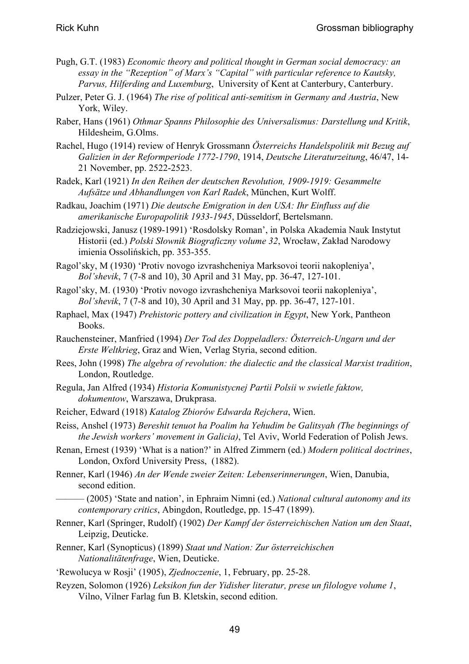- Pugh, G.T. (1983) *Economic theory and political thought in German social democracy: an essay in the "Rezeption" of Marx's "Capital" with particular reference to Kautsky, Parvus, Hilferding and Luxemburg*, University of Kent at Canterbury, Canterbury.
- Pulzer, Peter G. J. (1964) *The rise of political anti-semitism in Germany and Austria*, New York, Wiley.
- Raber, Hans (1961) *Othmar Spanns Philosophie des Universalismus: Darstellung und Kritik*, Hildesheim, G.Olms.
- Rachel, Hugo (1914) review of Henryk Grossmann *Österreichs Handelspolitik mit Bezug auf Galizien in der Reformperiode 1772-1790*, 1914, *Deutsche Literaturzeitung*, 46/47, 14- 21 November, pp. 2522-2523.
- Radek, Karl (1921) *In den Reihen der deutschen Revolution, 1909-1919: Gesammelte Aufsätze und Abhandlungen von Karl Radek*, München, Kurt Wolff.
- Radkau, Joachim (1971) *Die deutsche Emigration in den USA: Ihr Einfluss auf die amerikanische Europapolitik 1933-1945*, Düsseldorf, Bertelsmann.
- Radziejowski, Janusz (1989-1991) 'Rosdolsky Roman', in Polska Akademia Nauk Instytut Historii (ed.) *Polski Słownik Biograficzny volume 32*, Wrocław, Zakład Narodowy imienia Ossolińskich, pp. 353-355.
- Ragol'sky, M (1930) 'Protiv novogo izvrashcheniya Marksovoi teorii nakopleniya', *Bol'shevik*, 7 (7-8 and 10), 30 April and 31 May, pp. 36-47, 127-101.
- Ragol'sky, M. (1930) 'Protiv novogo izvrashcheniya Marksovoi teorii nakopleniya', *Bol'shevik*, 7 (7-8 and 10), 30 April and 31 May, pp. pp. 36-47, 127-101.
- Raphael, Max (1947) *Prehistoric pottery and civilization in Egypt*, New York, Pantheon Books.
- Rauchensteiner, Manfried (1994) *Der Tod des Doppeladlers: Österreich-Ungarn und der Erste Weltkrieg*, Graz and Wien, Verlag Styria, second edition.
- Rees, John (1998) *The algebra of revolution: the dialectic and the classical Marxist tradition*, London, Routledge.
- Regula, Jan Alfred (1934) *Historia Komunistycnej Partii Polsii w swietle faktow, dokumentow*, Warszawa, Drukprasa.
- Reicher, Edward (1918) *Katalog Zbiorów Edwarda Rejchera*, Wien.

Reiss, Anshel (1973) *Bereshit tenuot ha Poalim ha Yehudim be Galitsyah (The beginnings of the Jewish workers' movement in Galicia)*, Tel Aviv, World Federation of Polish Jews.

Renan, Ernest (1939) 'What is a nation?' in Alfred Zimmern (ed.) *Modern political doctrines*, London, Oxford University Press, (1882).

- Renner, Karl (1946) *An der Wende zweier Zeiten: Lebenserinnerungen*, Wien, Danubia, second edition.
	- ——— (2005) 'State and nation', in Ephraim Nimni (ed.) *National cultural autonomy and its contemporary critics*, Abingdon, Routledge, pp. 15-47 (1899).
- Renner, Karl (Springer, Rudolf) (1902) *Der Kampf der österreichischen Nation um den Staat*, Leipzig, Deuticke.
- Renner, Karl (Synopticus) (1899) *Staat und Nation: Zur österreichischen Nationalitätenfrage*, Wien, Deuticke.
- 'Rewolucya w Rosji' (1905), *Zjednoczenie*, 1, February, pp. 25-28.
- Reyzen, Solomon (1926) *Leksikon fun der Yidisher literatur, prese un filologye volume 1*, Vilno, Vilner Farlag fun B. Kletskin, second edition.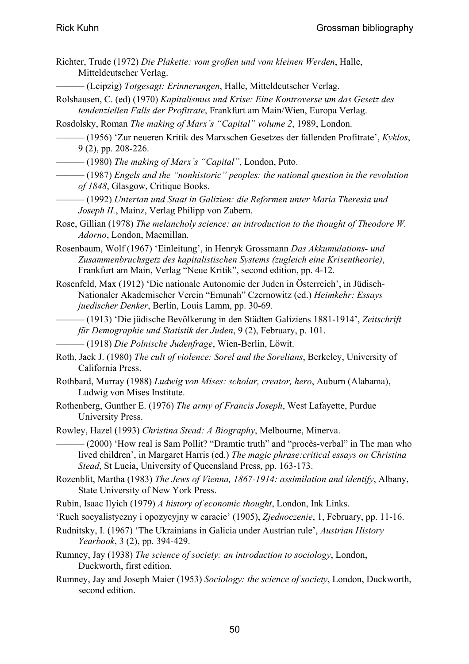- Richter, Trude (1972) *Die Plakette: vom großen und vom kleinen Werden*, Halle, Mitteldeutscher Verlag.
- ——— (Leipzig) *Totgesagt: Erinnerungen*, Halle, Mitteldeutscher Verlag.
- Rolshausen, C. (ed) (1970) *Kapitalismus und Krise: Eine Kontroverse um das Gesetz des tendenziellen Falls der Profitrate*, Frankfurt am Main/Wien, Europa Verlag.

Rosdolsky, Roman *The making of Marx's "Capital" volume 2*, 1989, London.

- ——— (1956) 'Zur neueren Kritik des Marxschen Gesetzes der fallenden Profitrate', *Kyklos*, 9 (2), pp. 208-226.
- ——— (1980) *The making of Marx's "Capital"*, London, Puto.
- ——— (1987) *Engels and the "nonhistoric" peoples: the national question in the revolution of 1848*, Glasgow, Critique Books.
- ——— (1992) *Untertan und Staat in Galizien: die Reformen unter Maria Theresia und Joseph II.*, Mainz, Verlag Philipp von Zabern.
- Rose, Gillian (1978) *The melancholy science: an introduction to the thought of Theodore W. Adorno*, London, Macmillan.
- Rosenbaum, Wolf (1967) 'Einleitung', in Henryk Grossmann *Das Akkumulations- und Zusammenbruchsgetz des kapitalistischen Systems (zugleich eine Krisentheorie)*, Frankfurt am Main, Verlag "Neue Kritik", second edition, pp. 4-12.
- Rosenfeld, Max (1912) 'Die nationale Autonomie der Juden in Österreich', in Jüdisch-Nationaler Akademischer Verein "Emunah" Czernowitz (ed.) *Heimkehr: Essays juedischer Denker*, Berlin, Louis Lamm, pp. 30-69.
- ——— (1913) 'Die jüdische Bevölkerung in den Städten Galiziens 1881-1914', *Zeitschrift für Demographie und Statistik der Juden*, 9 (2), February, p. 101.
	- ——— (1918) *Die Polnische Judenfrage*, Wien-Berlin, Löwit.
- Roth, Jack J. (1980) *The cult of violence: Sorel and the Sorelians*, Berkeley, University of California Press.
- Rothbard, Murray (1988) *Ludwig von Mises: scholar, creator, hero*, Auburn (Alabama), Ludwig von Mises Institute.
- Rothenberg, Gunther E. (1976) *The army of Francis Joseph*, West Lafayette, Purdue University Press.
- Rowley, Hazel (1993) *Christina Stead: A Biography*, Melbourne, Minerva.
- ——— (2000) 'How real is Sam Pollit? "Dramtic truth" and "procès-verbal" in The man who lived children', in Margaret Harris (ed.) *The magic phrase:critical essays on Christina Stead*, St Lucia, University of Queensland Press, pp. 163-173.
- Rozenblit, Martha (1983) *The Jews of Vienna, 1867-1914: assimilation and identify*, Albany, State University of New York Press.
- Rubin, Isaac Ilyich (1979) *A history of economic thought*, London, Ink Links.
- 'Ruch socyalistyczny i opozycyjny w caracie' (1905), *Zjednoczenie*, 1, February, pp. 11-16.
- Rudnitsky, I. (1967) 'The Ukrainians in Galicia under Austrian rule', *Austrian History Yearbook*, 3 (2), pp. 394-429.
- Rumney, Jay (1938) *The science of society: an introduction to sociology*, London, Duckworth, first edition.
- Rumney, Jay and Joseph Maier (1953) *Sociology: the science of society*, London, Duckworth, second edition.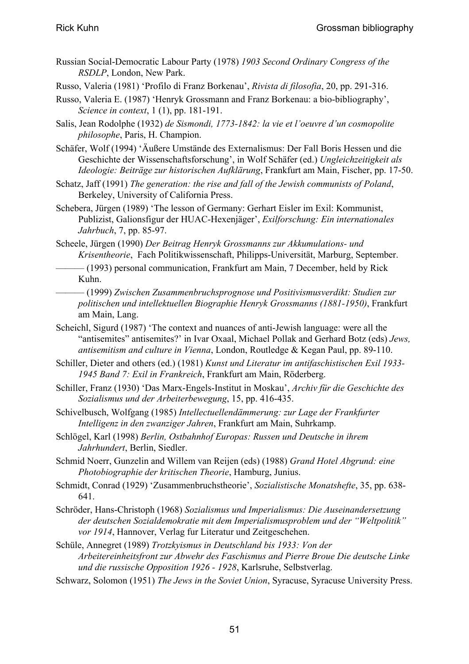- Russian Social-Democratic Labour Party (1978) *1903 Second Ordinary Congress of the RSDLP*, London, New Park.
- Russo, Valeria (1981) 'Profilo di Franz Borkenau', *Rivista di filosofia*, 20, pp. 291-316.
- Russo, Valeria E. (1987) 'Henryk Grossmann and Franz Borkenau: a bio-bibliography', *Science in context*, 1 (1), pp. 181-191.
- Salis, Jean Rodolphe (1932) *de Sismondi, 1773-1842: la vie et l'oeuvre d'un cosmopolite philosophe*, Paris, H. Champion.
- Schäfer, Wolf (1994) 'Äußere Umstände des Externalismus: Der Fall Boris Hessen und die Geschichte der Wissenschaftsforschung', in Wolf Schäfer (ed.) *Ungleichzeitigkeit als Ideologie: Beiträge zur historischen Aufklärung*, Frankfurt am Main, Fischer, pp. 17-50.
- Schatz, Jaff (1991) *The generation: the rise and fall of the Jewish communists of Poland*, Berkeley, University of California Press.
- Schebera, Jürgen (1989) 'The lesson of Germany: Gerhart Eisler im Exil: Kommunist, Publizist, Galionsfigur der HUAC-Hexenjäger', *Exilforschung: Ein internationales Jahrbuch*, 7, pp. 85-97.
- Scheele, Jürgen (1990) *Der Beitrag Henryk Grossmanns zur Akkumulations- und Krisentheorie*, Fach Politikwissenschaft, Philipps-Universität, Marburg, September.
- ——— (1993) personal communication, Frankfurt am Main, 7 December, held by Rick Kuhn.
- ——— (1999) *Zwischen Zusammenbruchsprognose und Positivismusverdikt: Studien zur politischen und intellektuellen Biographie Henryk Grossmanns (1881-1950)*, Frankfurt am Main, Lang.
- Scheichl, Sigurd (1987) 'The context and nuances of anti-Jewish language: were all the "antisemites" antisemites?' in Ivar Oxaal, Michael Pollak and Gerhard Botz (eds) *Jews, antisemitism and culture in Vienna*, London, Routledge & Kegan Paul, pp. 89-110.
- Schiller, Dieter and others (ed.) (1981) *Kunst und Literatur im antifaschistischen Exil 1933- 1945 Band 7: Exil in Frankreich*, Frankfurt am Main, Röderberg.
- Schiller, Franz (1930) 'Das Marx-Engels-Institut in Moskau', *Archiv für die Geschichte des Sozialismus und der Arbeiterbewegung*, 15, pp. 416-435.
- Schivelbusch, Wolfgang (1985) *Intellectuellendämmerung: zur Lage der Frankfurter Intelligenz in den zwanziger Jahren*, Frankfurt am Main, Suhrkamp.
- Schlögel, Karl (1998) *Berlin, Ostbahnhof Europas: Russen und Deutsche in ihrem Jahrhundert*, Berlin, Siedler.
- Schmid Noerr, Gunzelin and Willem van Reijen (eds) (1988) *Grand Hotel Abgrund: eine Photobiographie der kritischen Theorie*, Hamburg, Junius.
- Schmidt, Conrad (1929) 'Zusammenbruchstheorie', *Sozialistische Monatshefte*, 35, pp. 638- 641.
- Schröder, Hans-Christoph (1968) *Sozialismus und Imperialismus: Die Auseinandersetzung der deutschen Sozialdemokratie mit dem Imperialismusproblem und der "Weltpolitik" vor 1914*, Hannover, Verlag fur Literatur und Zeitgeschehen.
- Schüle, Annegret (1989) *Trotzkyismus in Deutschland bis 1933: Von der Arbeitereinheitsfront zur Abwehr des Faschismus and Pierre Broue Die deutsche Linke und die russische Opposition 1926 - 1928*, Karlsruhe, Selbstverlag.

Schwarz, Solomon (1951) *The Jews in the Soviet Union*, Syracuse, Syracuse University Press.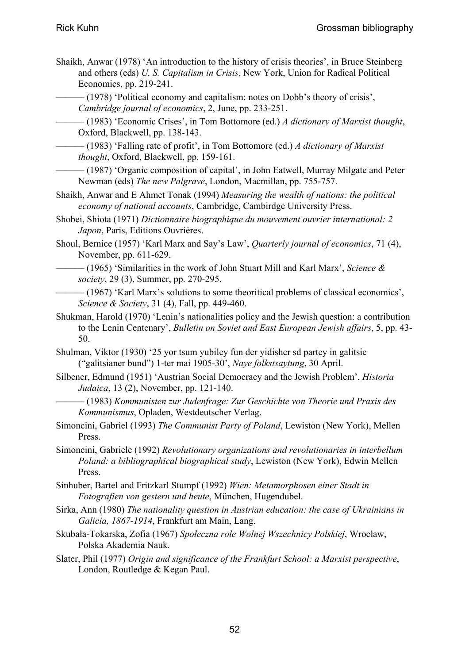Shaikh, Anwar (1978) 'An introduction to the history of crisis theories', in Bruce Steinberg and others (eds) *U. S. Capitalism in Crisis*, New York, Union for Radical Political Economics, pp. 219-241.

——— (1978) 'Political economy and capitalism: notes on Dobb's theory of crisis', *Cambridge journal of economics*, 2, June, pp. 233-251.

——— (1983) 'Economic Crises', in Tom Bottomore (ed.) *A dictionary of Marxist thought*, Oxford, Blackwell, pp. 138-143.

——— (1983) 'Falling rate of profit', in Tom Bottomore (ed.) *A dictionary of Marxist thought*, Oxford, Blackwell, pp. 159-161.

——— (1987) 'Organic composition of capital', in John Eatwell, Murray Milgate and Peter Newman (eds) *The new Palgrave*, London, Macmillan, pp. 755-757.

Shaikh, Anwar and E Ahmet Tonak (1994) *Measuring the wealth of nations: the political economy of national accounts*, Cambridge, Cambirdge University Press.

Shobei, Shiota (1971) *Dictionnaire biographique du mouvement ouvrier international: 2 Japon*, Paris, Editions Ouvrières.

Shoul, Bernice (1957) 'Karl Marx and Say's Law', *Quarterly journal of economics*, 71 (4), November, pp. 611-629.

——— (1965) 'Similarities in the work of John Stuart Mill and Karl Marx', *Science & society*, 29 (3), Summer, pp. 270-295.

- ——— (1967) 'Karl Marx's solutions to some theoritical problems of classical economics', *Science & Society*, 31 (4), Fall, pp. 449-460.
- Shukman, Harold (1970) 'Lenin's nationalities policy and the Jewish question: a contribution to the Lenin Centenary', *Bulletin on Soviet and East European Jewish affairs*, 5, pp. 43- 50.

Shulman, Viktor (1930) '25 yor tsum yubiley fun der yidisher sd partey in galitsie ("galitsianer bund") 1-ter mai 1905-30', *Naye folkstsaytung*, 30 April.

- Silbener, Edmund (1951) 'Austrian Social Democracy and the Jewish Problem', *Historia Judaica*, 13 (2), November, pp. 121-140.
- ——— (1983) *Kommunisten zur Judenfrage: Zur Geschichte von Theorie und Praxis des Kommunismus*, Opladen, Westdeutscher Verlag.
- Simoncini, Gabriel (1993) *The Communist Party of Poland*, Lewiston (New York), Mellen Press.
- Simoncini, Gabriele (1992) *Revolutionary organizations and revolutionaries in interbellum Poland: a bibliographical biographical study*, Lewiston (New York), Edwin Mellen Press.
- Sinhuber, Bartel and Fritzkarl Stumpf (1992) *Wien: Metamorphosen einer Stadt in Fotografien von gestern und heute*, München, Hugendubel.
- Sirka, Ann (1980) *The nationality question in Austrian education: the case of Ukrainians in Galicia, 1867-1914*, Frankfurt am Main, Lang.
- Skubała-Tokarska, Zofia (1967) *Społeczna role Wolnej Wszechnicy Polskiej*, Wrocław, Polska Akademia Nauk.
- Slater, Phil (1977) *Origin and significance of the Frankfurt School: a Marxist perspective*, London, Routledge & Kegan Paul.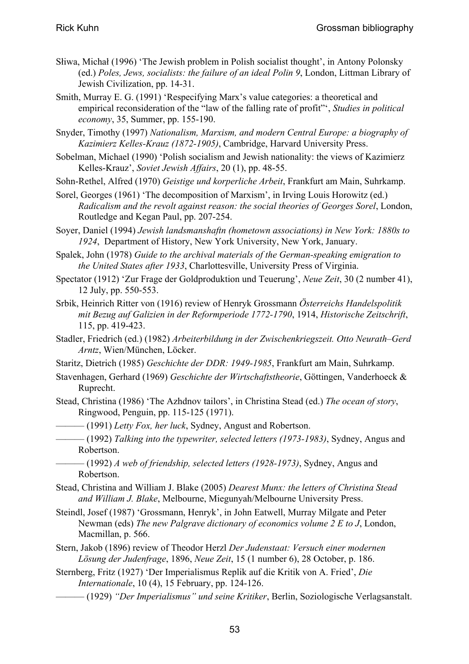- Słiwa, Michał (1996) 'The Jewish problem in Polish socialist thought', in Antony Polonsky (ed.) *Poles, Jews, socialists: the failure of an ideal Polin 9*, London, Littman Library of Jewish Civilization, pp. 14-31.
- Smith, Murray E. G. (1991) 'Respecifying Marx's value categories: a theoretical and empirical reconsideration of the "law of the falling rate of profit"', *Studies in political economy*, 35, Summer, pp. 155-190.
- Snyder, Timothy (1997) *Nationalism, Marxism, and modern Central Europe: a biography of Kazimierz Kelles-Krauz (1872-1905)*, Cambridge, Harvard University Press.
- Sobelman, Michael (1990) 'Polish socialism and Jewish nationality: the views of Kazimierz Kelles-Krauz', *Soviet Jewish Affairs*, 20 (1), pp. 48-55.
- Sohn-Rethel, Alfred (1970) *Geistige und korperliche Arbeit*, Frankfurt am Main, Suhrkamp.
- Sorel, Georges (1961) 'The decomposition of Marxism', in Irving Louis Horowitz (ed.) *Radicalism and the revolt against reason: the social theories of Georges Sorel*, London, Routledge and Kegan Paul, pp. 207-254.
- Soyer, Daniel (1994) *Jewish landsmanshaftn (hometown associations) in New York: 1880s to 1924*, Department of History, New York University, New York, January.
- Spalek, John (1978) *Guide to the archival materials of the German-speaking emigration to the United States after 1933*, Charlottesville, University Press of Virginia.
- Spectator (1912) 'Zur Frage der Goldproduktion und Teuerung', *Neue Zeit*, 30 (2 number 41), 12 July, pp. 550-553.
- Srbik, Heinrich Ritter von (1916) review of Henryk Grossmann *Österreichs Handelspolitik mit Bezug auf Galizien in der Reformperiode 1772-1790*, 1914, *Historische Zeitschrift*, 115, pp. 419-423.
- Stadler, Friedrich (ed.) (1982) *Arbeiterbildung in der Zwischenkriegszeit. Otto Neurath–Gerd Arntz*, Wien/München, Löcker.
- Staritz, Dietrich (1985) *Geschichte der DDR: 1949-1985*, Frankfurt am Main, Suhrkamp.
- Stavenhagen, Gerhard (1969) *Geschichte der Wirtschaftstheorie*, Göttingen, Vanderhoeck & Ruprecht.
- Stead, Christina (1986) 'The Azhdnov tailors', in Christina Stead (ed.) *The ocean of story*, Ringwood, Penguin, pp. 115-125 (1971).
- ——— (1991) *Letty Fox, her luck*, Sydney, Angust and Robertson.
- ——— (1992) *Talking into the typewriter, selected letters (1973-1983)*, Sydney, Angus and Robertson.
- ——— (1992) *A web of friendship, selected letters (1928-1973)*, Sydney, Angus and Robertson.
- Stead, Christina and William J. Blake (2005) *Dearest Munx: the letters of Christina Stead and William J. Blake*, Melbourne, Miegunyah/Melbourne University Press.
- Steindl, Josef (1987) 'Grossmann, Henryk', in John Eatwell, Murray Milgate and Peter Newman (eds) *The new Palgrave dictionary of economics volume 2 E to J*, London, Macmillan, p. 566.
- Stern, Jakob (1896) review of Theodor Herzl *Der Judenstaat: Versuch einer modernen Lösung der Judenfrage*, 1896, *Neue Zeit*, 15 (1 number 6), 28 October, p. 186.
- Sternberg, Fritz (1927) 'Der Imperialismus Replik auf die Kritik von A. Fried', *Die Internationale*, 10 (4), 15 February, pp. 124-126.
	- ——— (1929) *"Der Imperialismus" und seine Kritiker*, Berlin, Soziologische Verlagsanstalt.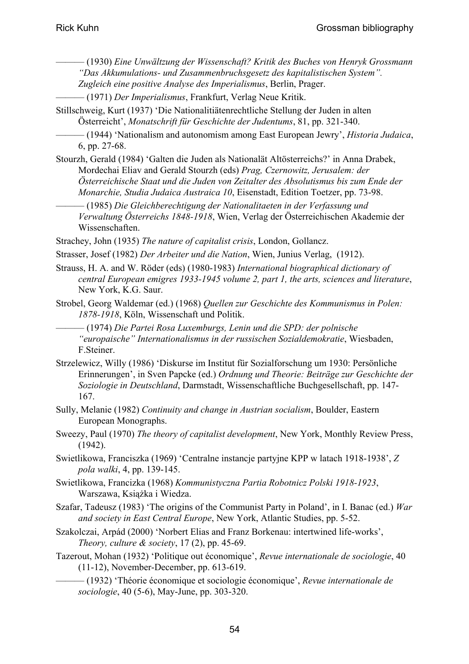- ——— (1930) *Eine Unwältzung der Wissenschaft? Kritik des Buches von Henryk Grossmann "Das Akkumulations- und Zusammenbruchsgesetz des kapitalistischen System". Zugleich eine positive Analyse des Imperialismus*, Berlin, Prager.
- ——— (1971) *Der Imperialismus*, Frankfurt, Verlag Neue Kritik.
- Stillschweig, Kurt (1937) 'Die Nationalitiätenrechtliche Stellung der Juden in alten Österreicht', *Monatschrift für Geschichte der Judentums*, 81, pp. 321-340.
- ——— (1944) 'Nationalism and autonomism among East European Jewry', *Historia Judaica*, 6, pp. 27-68.
- Stourzh, Gerald (1984) 'Galten die Juden als Nationalät Altösterreichs?' in Anna Drabek, Mordechai Eliav and Gerald Stourzh (eds) *Prag, Czernowitz, Jerusalem: der Österreichische Staat und die Juden von Zeitalter des Absolutismus bis zum Ende der Monarchie, Studia Judaica Austraica 10*, Eisenstadt, Edition Toetzer, pp. 73-98.
	- ——— (1985) *Die Gleichberechtigung der Nationalitaeten in der Verfassung und Verwaltung Österreichs 1848-1918*, Wien, Verlag der Österreichischen Akademie der Wissenschaften.
- Strachey, John (1935) *The nature of capitalist crisis*, London, Gollancz.
- Strasser, Josef (1982) *Der Arbeiter und die Nation*, Wien, Junius Verlag, (1912).
- Strauss, H. A. and W. Röder (eds) (1980-1983) *International biographical dictionary of central European emigres 1933-1945 volume 2, part 1, the arts, sciences and literature*, New York, K.G. Saur.
- Strobel, Georg Waldemar (ed.) (1968) *Quellen zur Geschichte des Kommunismus in Polen: 1878-1918*, Köln, Wissenschaft und Politik.
- ——— (1974) *Die Partei Rosa Luxemburgs, Lenin und die SPD: der polnische "europaische" Internationalismus in der russischen Sozialdemokratie*, Wiesbaden, F.Steiner.
- Strzelewicz, Willy (1986) 'Diskurse im Institut für Sozialforschung um 1930: Persönliche Erinnerungen', in Sven Papcke (ed.) *Ordnung und Theorie: Beiträge zur Geschichte der Soziologie in Deutschland*, Darmstadt, Wissenschaftliche Buchgesellschaft, pp. 147- 167.
- Sully, Melanie (1982) *Continuity and change in Austrian socialism*, Boulder, Eastern European Monographs.
- Sweezy, Paul (1970) *The theory of capitalist development*, New York, Monthly Review Press, (1942).
- Swietlikowa, Franciszka (1969) 'Centralne instancje partyjne KPP w latach 1918-1938', *Z pola walki*, 4, pp. 139-145.
- Swietlikowa, Francizka (1968) *Kommunistyczna Partia Robotnicz Polski 1918-1923*, Warszawa, Książka i Wiedza.
- Szafar, Tadeusz (1983) 'The origins of the Communist Party in Poland', in I. Banac (ed.) *War and society in East Central Europe*, New York, Atlantic Studies, pp. 5-52.
- Szakolczai, Arpád (2000) 'Norbert Elias and Franz Borkenau: intertwined life-works', *Theory, culture & society*, 17 (2), pp. 45-69.
- Tazerout, Mohan (1932) 'Politique out économique', *Revue internationale de sociologie*, 40 (11-12), November-December, pp. 613-619.
	- ——— (1932) 'Théorie économique et sociologie économique', *Revue internationale de sociologie*, 40 (5-6), May-June, pp. 303-320.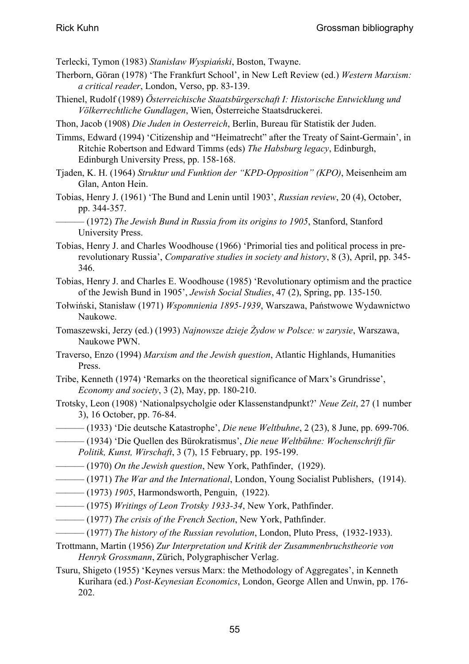Terlecki, Tymon (1983) *Stanisław Wyspiański*, Boston, Twayne.

- Therborn, Göran (1978) 'The Frankfurt School', in New Left Review (ed.) *Western Marxism: a critical reader*, London, Verso, pp. 83-139.
- Thienel, Rudolf (1989) *Österreichische Staatsbürgerschaft I: Historische Entwicklung und Völkerrechtliche Gundlagen*, Wien, Österreiche Staatsdruckerei.
- Thon, Jacob (1908) *Die Juden in Oesterreich*, Berlin, Bureau für Statistik der Juden.
- Timms, Edward (1994) 'Citizenship and "Heimatrecht" after the Treaty of Saint-Germain', in Ritchie Robertson and Edward Timms (eds) *The Habsburg legacy*, Edinburgh, Edinburgh University Press, pp. 158-168.
- Tjaden, K. H. (1964) *Struktur und Funktion der "KPD-Opposition" (KPO)*, Meisenheim am Glan, Anton Hein.
- Tobias, Henry J. (1961) 'The Bund and Lenin until 1903', *Russian review*, 20 (4), October, pp. 344-357.
- ——— (1972) *The Jewish Bund in Russia from its origins to 1905*, Stanford, Stanford University Press.
- Tobias, Henry J. and Charles Woodhouse (1966) 'Primorial ties and political process in prerevolutionary Russia', *Comparative studies in society and history*, 8 (3), April, pp. 345- 346.
- Tobias, Henry J. and Charles E. Woodhouse (1985) 'Revolutionary optimism and the practice of the Jewish Bund in 1905', *Jewish Social Studies*, 47 (2), Spring, pp. 135-150.
- Tołwiński, Stanisław (1971) *Wspomnienia 1895-1939*, Warszawa, Państwowe Wydawnictwo Naukowe.
- Tomaszewski, Jerzy (ed.) (1993) *Najnowsze dzieje Żydow w Polsce: w zarysie*, Warszawa, Naukowe PWN.
- Traverso, Enzo (1994) *Marxism and the Jewish question*, Atlantic Highlands, Humanities Press.
- Tribe, Kenneth (1974) 'Remarks on the theoretical significance of Marx's Grundrisse', *Economy and society*, 3 (2), May, pp. 180-210.
- Trotsky, Leon (1908) 'Nationalpsycholgie oder Klassenstandpunkt?' *Neue Zeit*, 27 (1 number 3), 16 October, pp. 76-84.
- ——— (1933) 'Die deutsche Katastrophe', *Die neue Weltbuhne*, 2 (23), 8 June, pp. 699-706.
- ——— (1934) 'Die Quellen des Bürokratismus', *Die neue Weltbühne: Wochenschrift für Politik, Kunst, Wirschaft*, 3 (7), 15 February, pp. 195-199.
- ——— (1970) *On the Jewish question*, New York, Pathfinder, (1929).
- ——— (1971) *The War and the International*, London, Young Socialist Publishers, (1914).
- ——— (1973) *1905*, Harmondsworth, Penguin, (1922).
- ——— (1975) *Writings of Leon Trotsky 1933-34*, New York, Pathfinder.
- ——— (1977) *The crisis of the French Section*, New York, Pathfinder.
- ——— (1977) *The history of the Russian revolution*, London, Pluto Press, (1932-1933).
- Trottmann, Martin (1956) *Zur Interpretation und Kritik der Zusammenbruchstheorie von Henryk Grossmann*, Zürich, Polygraphischer Verlag.
- Tsuru, Shigeto (1955) 'Keynes versus Marx: the Methodology of Aggregates', in Kenneth Kurihara (ed.) *Post-Keynesian Economics*, London, George Allen and Unwin, pp. 176- 202.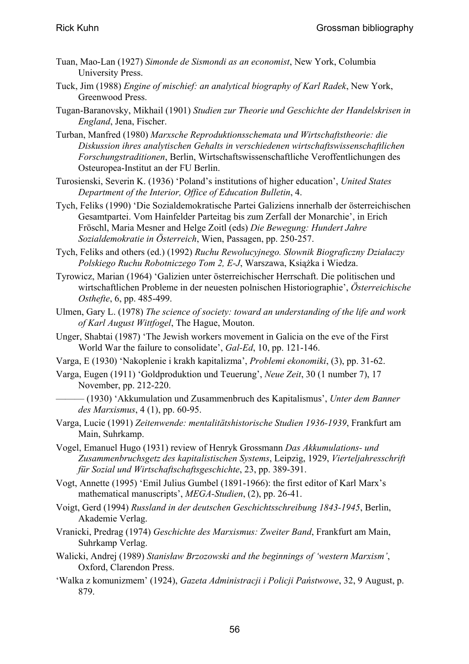- Tuan, Mao-Lan (1927) *Simonde de Sismondi as an economist*, New York, Columbia University Press.
- Tuck, Jim (1988) *Engine of mischief: an analytical biography of Karl Radek*, New York, Greenwood Press.
- Tugan-Baranovsky, Mikhail (1901) *Studien zur Theorie und Geschichte der Handelskrisen in England*, Jena, Fischer.
- Turban, Manfred (1980) *Marxsche Reproduktionsschemata und Wirtschaftstheorie: die Diskussion ihres analytischen Gehalts in verschiedenen wirtschaftswissenschaftlichen Forschungstraditionen*, Berlin, Wirtschaftswissenschaftliche Veroffentlichungen des Osteuropea-Institut an der FU Berlin.
- Turosienski, Severin K. (1936) 'Poland's institutions of higher education', *United States Department of the Interior, Office of Education Bulletin*, 4.
- Tych, Feliks (1990) 'Die Sozialdemokratische Partei Galiziens innerhalb der österreichischen Gesamtpartei. Vom Hainfelder Parteitag bis zum Zerfall der Monarchie', in Erich Fröschl, Maria Mesner and Helge Zoitl (eds) *Die Bewegung: Hundert Jahre Sozialdemokratie in Österreich*, Wien, Passagen, pp. 250-257.
- Tych, Feliks and others (ed.) (1992) *Ruchu Rewolucyjnego. Słownik Biograficzny Działaczy Polskiego Ruchu Robotniczego Tom 2, E-J*, Warszawa, Książka i Wiedza.
- Tyrowicz, Marian (1964) 'Galizien unter österreichischer Herrschaft. Die politischen und wirtschaftlichen Probleme in der neuesten polnischen Historiographie', *Österreichische Osthefte*, 6, pp. 485-499.
- Ulmen, Gary L. (1978) *The science of society: toward an understanding of the life and work of Karl August Wittfogel*, The Hague, Mouton.
- Unger, Shabtai (1987) 'The Jewish workers movement in Galicia on the eve of the First World War the failure to consolidate', *Gal-Ed*, 10, pp. 121-146.
- Varga, E (1930) 'Nakoplenie i krakh kapitalizma', *Problemi ekonomiki*, (3), pp. 31-62.
- Varga, Eugen (1911) 'Goldproduktion und Teuerung', *Neue Zeit*, 30 (1 number 7), 17 November, pp. 212-220.
	- ——— (1930) 'Akkumulation und Zusammenbruch des Kapitalismus', *Unter dem Banner des Marxismus*, 4 (1), pp. 60-95.
- Varga, Lucie (1991) *Zeitenwende: mentalitätshistorische Studien 1936-1939*, Frankfurt am Main, Suhrkamp.
- Vogel, Emanuel Hugo (1931) review of Henryk Grossmann *Das Akkumulations- und Zusammenbruchsgetz des kapitalistischen Systems*, Leipzig, 1929, *Vierteljahresschrift für Sozial und Wirtschaftschaftsgeschichte*, 23, pp. 389-391.
- Vogt, Annette (1995) 'Emil Julius Gumbel (1891-1966): the first editor of Karl Marx's mathematical manuscripts', *MEGA-Studien*, (2), pp. 26-41.
- Voigt, Gerd (1994) *Russland in der deutschen Geschichtsschreibung 1843-1945*, Berlin, Akademie Verlag.
- Vranicki, Predrag (1974) *Geschichte des Marxismus: Zweiter Band*, Frankfurt am Main, Suhrkamp Verlag.
- Walicki, Andrej (1989) *Stanisław Brzozowski and the beginnings of 'western Marxism'*, Oxford, Clarendon Press.
- 'Walka z komunizmem' (1924), *Gazeta Administracji i Policji Państwowe*, 32, 9 August, p. 879.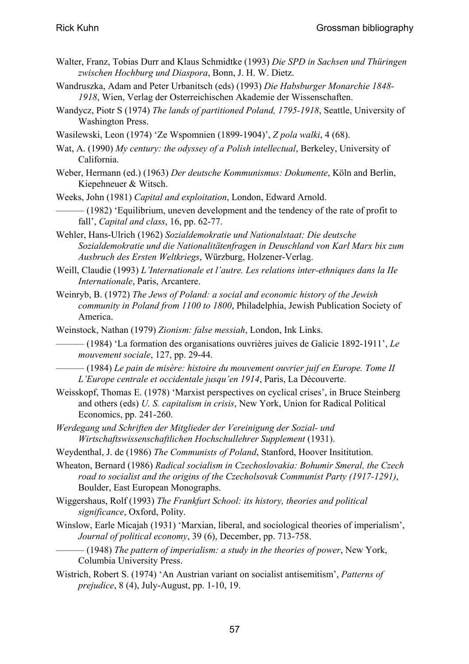- Walter, Franz, Tobias Durr and Klaus Schmidtke (1993) *Die SPD in Sachsen und Thüringen zwischen Hochburg und Diaspora*, Bonn, J. H. W. Dietz.
- Wandruszka, Adam and Peter Urbanitsch (eds) (1993) *Die Habsburger Monarchie 1848- 1918*, Wien, Verlag der Osterreichischen Akademie der Wissenschaften.
- Wandycz, Piotr S (1974) *The lands of partitioned Poland, 1795-1918*, Seattle, University of Washington Press.
- Wasilewski, Leon (1974) 'Ze Wspomnien (1899-1904)', *Z pola walki*, 4 (68).
- Wat, A. (1990) *My century: the odyssey of a Polish intellectual*, Berkeley, University of California.
- Weber, Hermann (ed.) (1963) *Der deutsche Kommunismus: Dokumente*, Köln and Berlin, Kiepehneuer & Witsch.
- Weeks, John (1981) *Capital and exploitation*, London, Edward Arnold.
- $-$  (1982) 'Equilibrium, uneven development and the tendency of the rate of profit to fall', *Capital and class*, 16, pp. 62-77.
- Wehler, Hans-Ulrich (1962) *Sozialdemokratie und Nationalstaat: Die deutsche Sozialdemokratie und die Nationalitätenfragen in Deuschland von Karl Marx bix zum Ausbruch des Ersten Weltkriegs*, Würzburg, Holzener-Verlag.
- Weill, Claudie (1993) *L'Internationale et l'autre. Les relations inter-ethniques dans la IIe Internationale*, Paris, Arcantere.
- Weinryb, B. (1972) *The Jews of Poland: a social and economic history of the Jewish community in Poland from 1100 to 1800*, Philadelphia, Jewish Publication Society of America.
- Weinstock, Nathan (1979) *Zionism: false messiah*, London, Ink Links.
	- ——— (1984) 'La formation des organisations ouvrières juives de Galicie 1892-1911', *Le mouvement sociale*, 127, pp. 29-44.
	- ——— (1984) *Le pain de misère: histoire du mouvement ouvrier juif en Europe. Tome II L'Europe centrale et occidentale jusqu'en 1914*, Paris, La Découverte.
- Weisskopf, Thomas E. (1978) 'Marxist perspectives on cyclical crises', in Bruce Steinberg and others (eds) *U. S. capitalism in crisis*, New York, Union for Radical Political Economics, pp. 241-260.
- *Werdegang und Schriften der Mitglieder der Vereinigung der Sozial- und Wirtschaftswissenschaftlichen Hochschullehrer Supplement* (1931).
- Weydenthal, J. de (1986) *The Communists of Poland*, Stanford, Hoover Insititution.
- Wheaton, Bernard (1986) *Radical socialism in Czechoslovakia: Bohumir Smeral, the Czech road to socialist and the origins of the Czecholsovak Communist Party (1917-1291)*, Boulder, East European Monographs.
- Wiggershaus, Rolf (1993) *The Frankfurt School: its history, theories and political significance*, Oxford, Polity.
- Winslow, Earle Micajah (1931) 'Marxian, liberal, and sociological theories of imperialism', *Journal of political economy*, 39 (6), December, pp. 713-758.
	- ——— (1948) *The pattern of imperialism: a study in the theories of power*, New York, Columbia University Press.
- Wistrich, Robert S. (1974) 'An Austrian variant on socialist antisemitism', *Patterns of prejudice*, 8 (4), July-August, pp. 1-10, 19.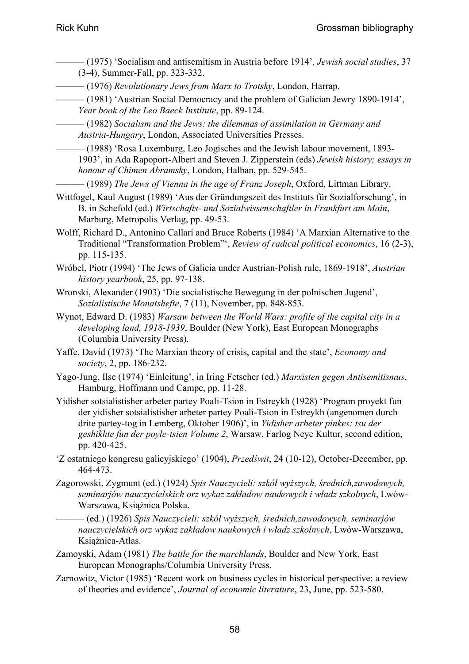- ——— (1975) 'Socialism and antisemitism in Austria before 1914', *Jewish social studies*, 37 (3-4), Summer-Fall, pp. 323-332.
- ——— (1976) *Revolutionary Jews from Marx to Trotsky*, London, Harrap.
- ——— (1981) 'Austrian Social Democracy and the problem of Galician Jewry 1890-1914', *Year book of the Leo Baeck Institute*, pp. 89-124.

——— (1982) *Socialism and the Jews: the dilemmas of assimilation in Germany and Austria-Hungary*, London, Associated Universities Presses.

——— (1988) 'Rosa Luxemburg, Leo Jogisches and the Jewish labour movement, 1893- 1903', in Ada Rapoport-Albert and Steven J. Zipperstein (eds) *Jewish history; essays in honour of Chimen Abramsky*, London, Halban, pp. 529-545.

——— (1989) *The Jews of Vienna in the age of Franz Joseph*, Oxford, Littman Library.

Wittfogel, Kaul August (1989) 'Aus der Gründungszeit des Instituts für Sozialforschung', in B. in Schefold (ed.) *Wirtschafts- und Sozialwissenschaftler in Frankfurt am Main*, Marburg, Metropolis Verlag, pp. 49-53.

- Wolff, Richard D., Antonino Callari and Bruce Roberts (1984) 'A Marxian Alternative to the Traditional "Transformation Problem"', *Review of radical political economics*, 16 (2-3), pp. 115-135.
- Wróbel, Piotr (1994) 'The Jews of Galicia under Austrian-Polish rule, 1869-1918', *Austrian history yearbook*, 25, pp. 97-138.
- Wronski, Alexander (1903) 'Die socialistische Bewegung in der polnischen Jugend', *Sozialistische Monatshefte*, 7 (11), November, pp. 848-853.
- Wynot, Edward D. (1983) *Warsaw between the World Wars: profile of the capital city in a developing land, 1918-1939*, Boulder (New York), East European Monographs (Columbia University Press).
- Yaffe, David (1973) 'The Marxian theory of crisis, capital and the state', *Economy and society*, 2, pp. 186-232.
- Yago-Jung, Ilse (1974) 'Einleitung', in Iring Fetscher (ed.) *Marxisten gegen Antisemitismus*, Hamburg, Hoffmann und Campe, pp. 11-28.
- Yidisher sotsialistisher arbeter partey Poali-Tsion in Estreykh (1928) 'Program proyekt fun der yidisher sotsialistisher arbeter partey Poali-Tsion in Estreykh (angenomen durch drite partey-tog in Lemberg, Oktober 1906)', in *Yidisher arbeter pinkes: tsu der geshikhte fun der poyle-tsien Volume 2*, Warsaw, Farlog Neye Kultur, second edition, pp. 420-425.
- 'Z ostatniego kongresu galicyjskiego' (1904), *Przedświt*, 24 (10-12), October-December, pp. 464-473.
- Zagorowski, Zygmunt (ed.) (1924) *Spis Nauczycieli: szkół wyższych, średnich,zawodowych, seminarjów nauczycielskich orz wykaz zakładow naukowych i władz szkolnych*, Lwów-Warszawa, Książnica Polska.
	- ——— (ed.) (1926) *Spis Nauczycieli: szkół wyższych, średnich,zawodowych, seminarjów nauczycielskich orz wykaz zakładow naukowych i władz szkolnych*, Lwów-Warszawa, Książnica-Atlas.
- Zamoyski, Adam (1981) *The battle for the marchlands*, Boulder and New York, East European Monographs/Columbia University Press.
- Zarnowitz, Victor (1985) 'Recent work on business cycles in historical perspective: a review of theories and evidence', *Journal of economic literature*, 23, June, pp. 523-580.